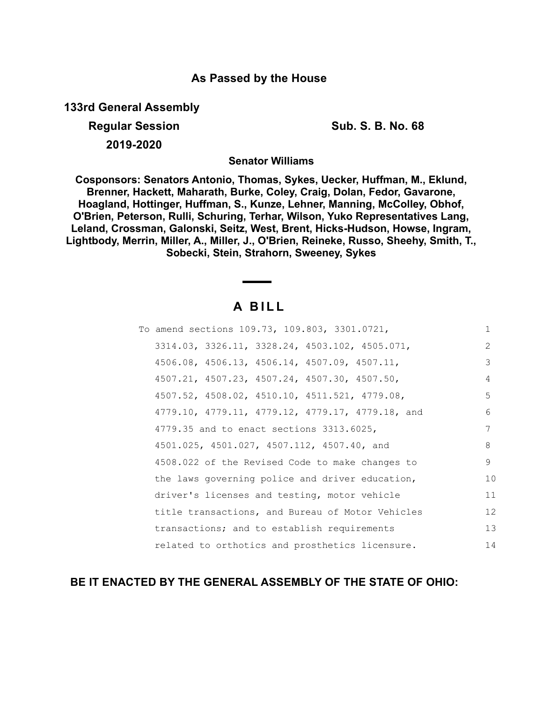# **As Passed by the House**

**133rd General Assembly**

**Regular Session Sub. S. B. No. 68** 

**2019-2020**

**Senator Williams**

**Cosponsors: Senators Antonio, Thomas, Sykes, Uecker, Huffman, M., Eklund, Brenner, Hackett, Maharath, Burke, Coley, Craig, Dolan, Fedor, Gavarone, Hoagland, Hottinger, Huffman, S., Kunze, Lehner, Manning, McColley, Obhof, O'Brien, Peterson, Rulli, Schuring, Terhar, Wilson, Yuko Representatives Lang, Leland, Crossman, Galonski, Seitz, West, Brent, Hicks-Hudson, Howse, Ingram, Lightbody, Merrin, Miller, A., Miller, J., O'Brien, Reineke, Russo, Sheehy, Smith, T., Sobecki, Stein, Strahorn, Sweeney, Sykes**

## **A B I L L**

| To amend sections 109.73, 109.803, 3301.0721,    | 1                 |
|--------------------------------------------------|-------------------|
| 3314.03, 3326.11, 3328.24, 4503.102, 4505.071,   | 2                 |
| 4506.08, 4506.13, 4506.14, 4507.09, 4507.11,     | 3                 |
| 4507.21, 4507.23, 4507.24, 4507.30, 4507.50,     | 4                 |
| 4507.52, 4508.02, 4510.10, 4511.521, 4779.08,    | 5                 |
| 4779.10, 4779.11, 4779.12, 4779.17, 4779.18, and | 6                 |
| 4779.35 and to enact sections 3313.6025,         | 7                 |
| 4501.025, 4501.027, 4507.112, 4507.40, and       | 8                 |
| 4508.022 of the Revised Code to make changes to  | 9                 |
| the laws governing police and driver education,  | 10                |
| driver's licenses and testing, motor vehicle     | 11                |
| title transactions, and Bureau of Motor Vehicles | $12 \overline{ }$ |
| transactions; and to establish requirements      | 13                |
| related to orthotics and prosthetics licensure.  | 14                |

## **BE IT ENACTED BY THE GENERAL ASSEMBLY OF THE STATE OF OHIO:**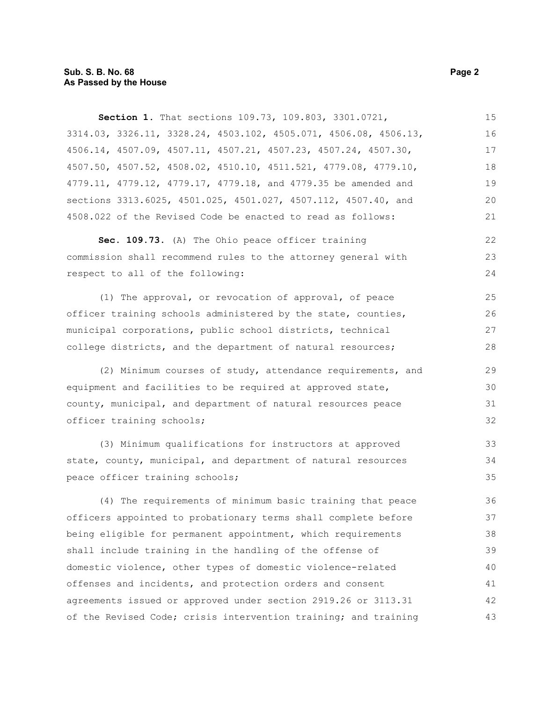**Section 1.** That sections 109.73, 109.803, 3301.0721, 3314.03, 3326.11, 3328.24, 4503.102, 4505.071, 4506.08, 4506.13, 4506.14, 4507.09, 4507.11, 4507.21, 4507.23, 4507.24, 4507.30, 4507.50, 4507.52, 4508.02, 4510.10, 4511.521, 4779.08, 4779.10, 4779.11, 4779.12, 4779.17, 4779.18, and 4779.35 be amended and sections 3313.6025, 4501.025, 4501.027, 4507.112, 4507.40, and 4508.022 of the Revised Code be enacted to read as follows: **Sec. 109.73.** (A) The Ohio peace officer training commission shall recommend rules to the attorney general with respect to all of the following: (1) The approval, or revocation of approval, of peace officer training schools administered by the state, counties, municipal corporations, public school districts, technical college districts, and the department of natural resources; (2) Minimum courses of study, attendance requirements, and equipment and facilities to be required at approved state, county, municipal, and department of natural resources peace officer training schools; (3) Minimum qualifications for instructors at approved state, county, municipal, and department of natural resources peace officer training schools; (4) The requirements of minimum basic training that peace officers appointed to probationary terms shall complete before being eligible for permanent appointment, which requirements shall include training in the handling of the offense of domestic violence, other types of domestic violence-related offenses and incidents, and protection orders and consent agreements issued or approved under section 2919.26 or 3113.31 15 16 17 18 19 20 21 22 23 24 25 26 27 28 29 30 31 32 33 34 35 36 37 38 39 40 41 42

of the Revised Code; crisis intervention training; and training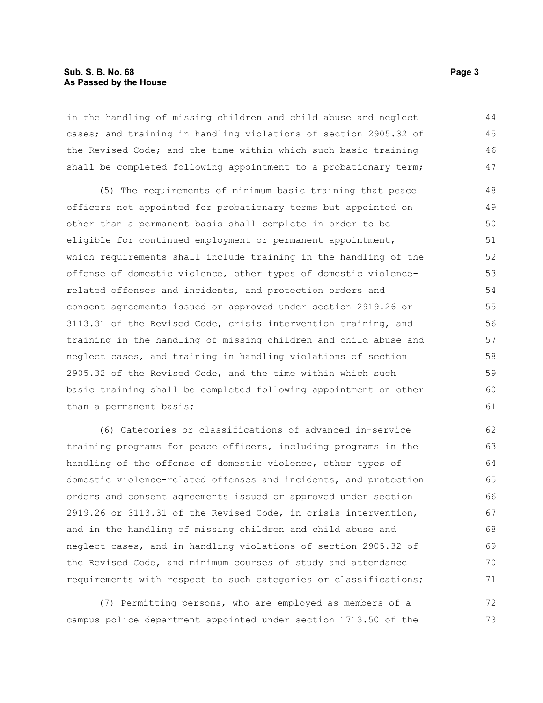#### **Sub. S. B. No. 68 Page 3 Page 3 Page 3 Page 3 Page 3 Page 3 As Passed by the House**

in the handling of missing children and child abuse and neglect cases; and training in handling violations of section 2905.32 of the Revised Code; and the time within which such basic training shall be completed following appointment to a probationary term; 44 45 46 47

(5) The requirements of minimum basic training that peace officers not appointed for probationary terms but appointed on other than a permanent basis shall complete in order to be eligible for continued employment or permanent appointment, which requirements shall include training in the handling of the offense of domestic violence, other types of domestic violencerelated offenses and incidents, and protection orders and consent agreements issued or approved under section 2919.26 or 3113.31 of the Revised Code, crisis intervention training, and training in the handling of missing children and child abuse and neglect cases, and training in handling violations of section 2905.32 of the Revised Code, and the time within which such basic training shall be completed following appointment on other than a permanent basis; 48 49 50 51 52 53 54 55 56 57 58 59 60 61

(6) Categories or classifications of advanced in-service training programs for peace officers, including programs in the handling of the offense of domestic violence, other types of domestic violence-related offenses and incidents, and protection orders and consent agreements issued or approved under section 2919.26 or 3113.31 of the Revised Code, in crisis intervention, and in the handling of missing children and child abuse and neglect cases, and in handling violations of section 2905.32 of the Revised Code, and minimum courses of study and attendance requirements with respect to such categories or classifications;

(7) Permitting persons, who are employed as members of a campus police department appointed under section 1713.50 of the 72 73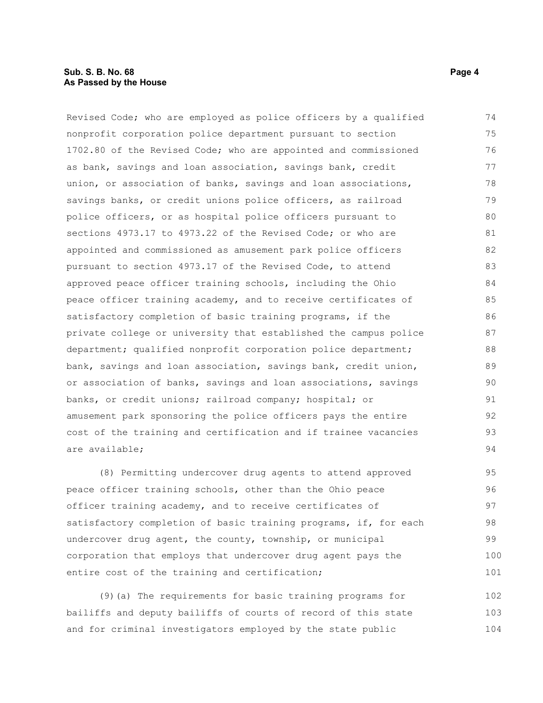#### **Sub. S. B. No. 68 Page 4 Page 4 Page 4 Page 4 Page 4 Page 4 Page 4 Page 4 As Passed by the House**

Revised Code; who are employed as police officers by a qualified nonprofit corporation police department pursuant to section 1702.80 of the Revised Code; who are appointed and commissioned as bank, savings and loan association, savings bank, credit union, or association of banks, savings and loan associations, savings banks, or credit unions police officers, as railroad police officers, or as hospital police officers pursuant to sections 4973.17 to 4973.22 of the Revised Code; or who are appointed and commissioned as amusement park police officers pursuant to section 4973.17 of the Revised Code, to attend approved peace officer training schools, including the Ohio peace officer training academy, and to receive certificates of satisfactory completion of basic training programs, if the private college or university that established the campus police department; qualified nonprofit corporation police department; bank, savings and loan association, savings bank, credit union, or association of banks, savings and loan associations, savings banks, or credit unions; railroad company; hospital; or amusement park sponsoring the police officers pays the entire cost of the training and certification and if trainee vacancies are available; 74 75 76 77 78 79 80 81 82 83 84 85 86 87 88 89 90 91 92 93 94

(8) Permitting undercover drug agents to attend approved peace officer training schools, other than the Ohio peace officer training academy, and to receive certificates of satisfactory completion of basic training programs, if, for each undercover drug agent, the county, township, or municipal corporation that employs that undercover drug agent pays the entire cost of the training and certification; 95 96 97 98 99 100 101

(9)(a) The requirements for basic training programs for bailiffs and deputy bailiffs of courts of record of this state and for criminal investigators employed by the state public 102 103 104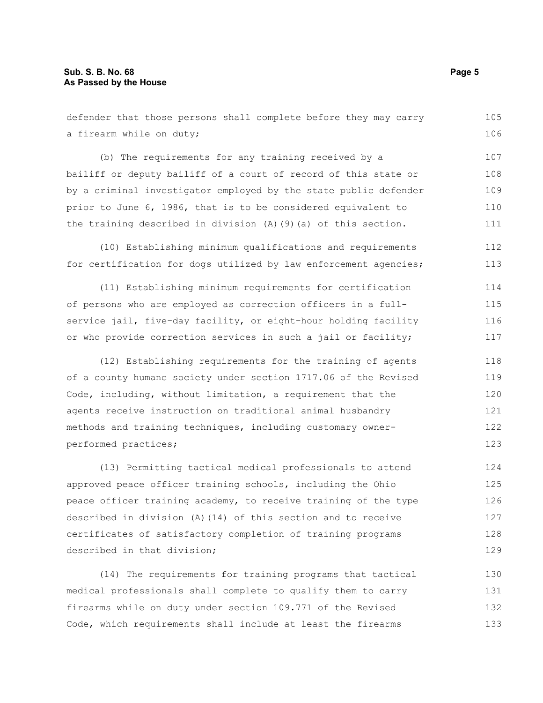a firearm while on duty; (b) The requirements for any training received by a bailiff or deputy bailiff of a court of record of this state or by a criminal investigator employed by the state public defender prior to June 6, 1986, that is to be considered equivalent to the training described in division (A)(9)(a) of this section. (10) Establishing minimum qualifications and requirements for certification for dogs utilized by law enforcement agencies; (11) Establishing minimum requirements for certification of persons who are employed as correction officers in a fullservice jail, five-day facility, or eight-hour holding facility or who provide correction services in such a jail or facility; (12) Establishing requirements for the training of agents of a county humane society under section 1717.06 of the Revised Code, including, without limitation, a requirement that the agents receive instruction on traditional animal husbandry methods and training techniques, including customary ownerperformed practices; (13) Permitting tactical medical professionals to attend 106 107 108 109 110 111 112 113 114 115 116 117 118 119 120 121 122 123 124

defender that those persons shall complete before they may carry

approved peace officer training schools, including the Ohio peace officer training academy, to receive training of the type described in division (A)(14) of this section and to receive certificates of satisfactory completion of training programs described in that division; 125 126 127 128 129

(14) The requirements for training programs that tactical medical professionals shall complete to qualify them to carry firearms while on duty under section 109.771 of the Revised Code, which requirements shall include at least the firearms 130 131 132 133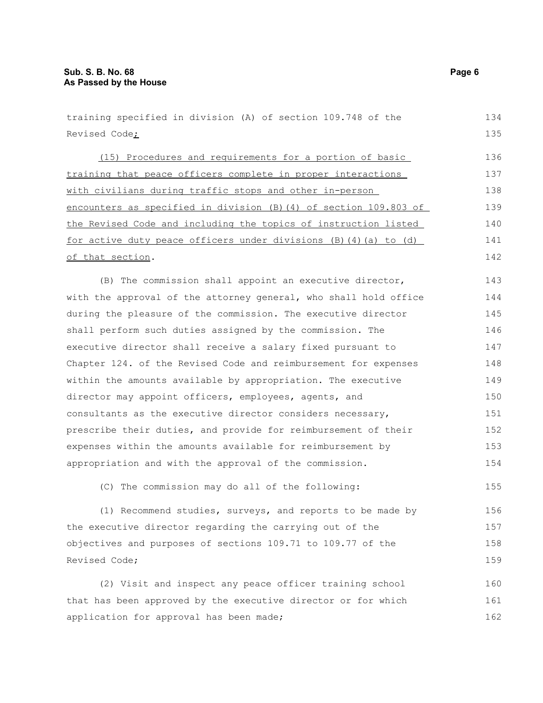| training specified in division (A) of section 109.748 of the      | 134 |
|-------------------------------------------------------------------|-----|
| Revised Code;                                                     | 135 |
| (15) Procedures and requirements for a portion of basic           | 136 |
| training that peace officers complete in proper interactions      | 137 |
| with civilians during traffic stops and other in-person           | 138 |
| encounters as specified in division (B) (4) of section 109.803 of | 139 |
| the Revised Code and including the topics of instruction listed   | 140 |
| for active duty peace officers under divisions (B) (4) (a) to (d) | 141 |
| of that section.                                                  | 142 |
| (B) The commission shall appoint an executive director,           | 143 |
| with the approval of the attorney general, who shall hold office  | 144 |
| during the pleasure of the commission. The executive director     | 145 |
| shall perform such duties assigned by the commission. The         | 146 |
| executive director shall receive a salary fixed pursuant to       | 147 |
| Chapter 124. of the Revised Code and reimbursement for expenses   | 148 |
| within the amounts available by appropriation. The executive      | 149 |
| director may appoint officers, employees, agents, and             | 150 |
| consultants as the executive director considers necessary,        | 151 |
| prescribe their duties, and provide for reimbursement of their    | 152 |
| expenses within the amounts available for reimbursement by        | 153 |
| appropriation and with the approval of the commission.            | 154 |
| (C) The commission may do all of the following:                   | 155 |
| (1) Recommend studies, surveys, and reports to be made by         | 156 |
| the executive director regarding the carrying out of the          | 157 |
| objectives and purposes of sections 109.71 to 109.77 of the       | 158 |
| Revised Code;                                                     | 159 |
| (2) Visit and inspect any peace officer training school           | 160 |
| that has been approved by the executive director or for which     | 161 |
| application for approval has been made;                           | 162 |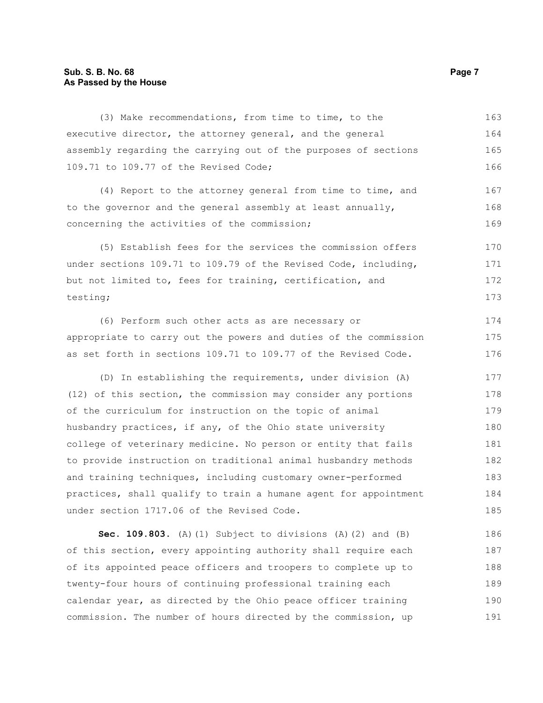### **Sub. S. B. No. 68** Page 7 **As Passed by the House**

| (3) Make recommendations, from time to time, to the               | 163 |
|-------------------------------------------------------------------|-----|
| executive director, the attorney general, and the general         | 164 |
| assembly regarding the carrying out of the purposes of sections   | 165 |
| 109.71 to 109.77 of the Revised Code;                             | 166 |
| (4) Report to the attorney general from time to time, and         | 167 |
| to the governor and the general assembly at least annually,       | 168 |
| concerning the activities of the commission;                      | 169 |
| (5) Establish fees for the services the commission offers         | 170 |
| under sections 109.71 to 109.79 of the Revised Code, including,   | 171 |
| but not limited to, fees for training, certification, and         | 172 |
| testing;                                                          | 173 |
| (6) Perform such other acts as are necessary or                   | 174 |
| appropriate to carry out the powers and duties of the commission  | 175 |
| as set forth in sections 109.71 to 109.77 of the Revised Code.    | 176 |
| (D) In establishing the requirements, under division (A)          | 177 |
| (12) of this section, the commission may consider any portions    | 178 |
| of the curriculum for instruction on the topic of animal          | 179 |
| husbandry practices, if any, of the Ohio state university         | 180 |
| college of veterinary medicine. No person or entity that fails    | 181 |
| to provide instruction on traditional animal husbandry methods    | 182 |
| and training techniques, including customary owner-performed      | 183 |
| practices, shall qualify to train a humane agent for appointment  | 184 |
| under section 1717.06 of the Revised Code.                        | 185 |
| <b>Sec. 109.803.</b> (A) (1) Subject to divisions (A) (2) and (B) | 186 |
| of this section, every appointing authority shall require each    | 187 |
| of its appointed peace officers and troopers to complete up to    | 188 |
| twenty-four hours of continuing professional training each        | 189 |
| calendar year, as directed by the Ohio peace officer training     | 190 |
| commission. The number of hours directed by the commission, up    | 191 |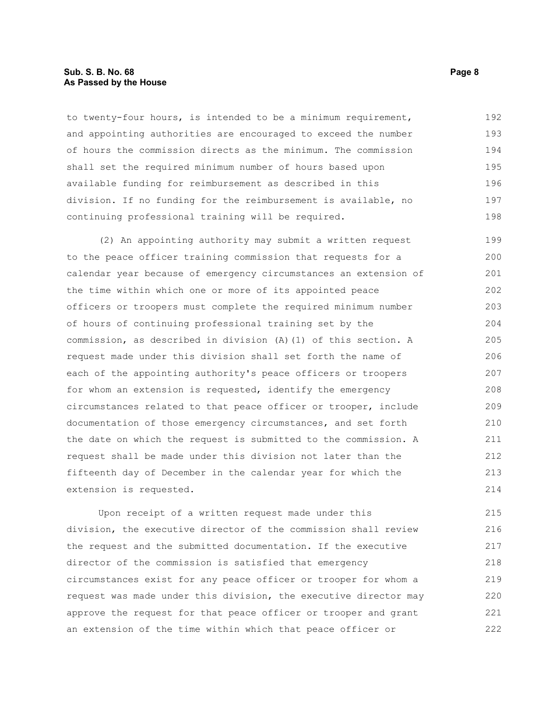#### **Sub. S. B. No. 68 Page 8 Page 8 Page 8 Page 8 Page 8 Page 8 Page 8 Page 8 As Passed by the House**

to twenty-four hours, is intended to be a minimum requirement, and appointing authorities are encouraged to exceed the number of hours the commission directs as the minimum. The commission shall set the required minimum number of hours based upon available funding for reimbursement as described in this division. If no funding for the reimbursement is available, no continuing professional training will be required. 192 193 194 195 196 197 198

(2) An appointing authority may submit a written request to the peace officer training commission that requests for a calendar year because of emergency circumstances an extension of the time within which one or more of its appointed peace officers or troopers must complete the required minimum number of hours of continuing professional training set by the commission, as described in division (A)(1) of this section. A request made under this division shall set forth the name of each of the appointing authority's peace officers or troopers for whom an extension is requested, identify the emergency circumstances related to that peace officer or trooper, include documentation of those emergency circumstances, and set forth the date on which the request is submitted to the commission. A request shall be made under this division not later than the fifteenth day of December in the calendar year for which the extension is requested. 199 200 201 202 203 204 205 206 207 208 209 210 211 212 213 214

Upon receipt of a written request made under this division, the executive director of the commission shall review the request and the submitted documentation. If the executive director of the commission is satisfied that emergency circumstances exist for any peace officer or trooper for whom a request was made under this division, the executive director may approve the request for that peace officer or trooper and grant an extension of the time within which that peace officer or 215 216 217 218 219 220 221 222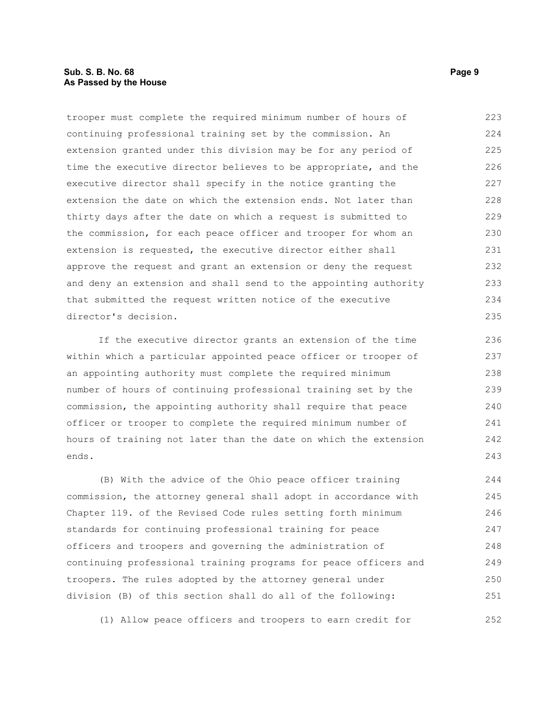#### **Sub. S. B. No. 68 Page 9 Page 9 Page 9 Page 9 Page 9 Page 9 Page 9 Page 9 Page 9 Page 9 Page 9 Page 9 Page 9 Page 9 Page 9 Page 9 Page 9 Page 9 Page 9 Page 9 Page 1 Page 1 Pag As Passed by the House**

trooper must complete the required minimum number of hours of continuing professional training set by the commission. An extension granted under this division may be for any period of time the executive director believes to be appropriate, and the executive director shall specify in the notice granting the extension the date on which the extension ends. Not later than thirty days after the date on which a request is submitted to the commission, for each peace officer and trooper for whom an extension is requested, the executive director either shall approve the request and grant an extension or deny the request and deny an extension and shall send to the appointing authority that submitted the request written notice of the executive director's decision. 223 224 225 226 227 228 229 230 231 232 233 234 235

If the executive director grants an extension of the time within which a particular appointed peace officer or trooper of an appointing authority must complete the required minimum number of hours of continuing professional training set by the commission, the appointing authority shall require that peace officer or trooper to complete the required minimum number of hours of training not later than the date on which the extension ends.

(B) With the advice of the Ohio peace officer training commission, the attorney general shall adopt in accordance with Chapter 119. of the Revised Code rules setting forth minimum standards for continuing professional training for peace officers and troopers and governing the administration of continuing professional training programs for peace officers and troopers. The rules adopted by the attorney general under division (B) of this section shall do all of the following: 244 245 246 247 248 249 250 251

(1) Allow peace officers and troopers to earn credit for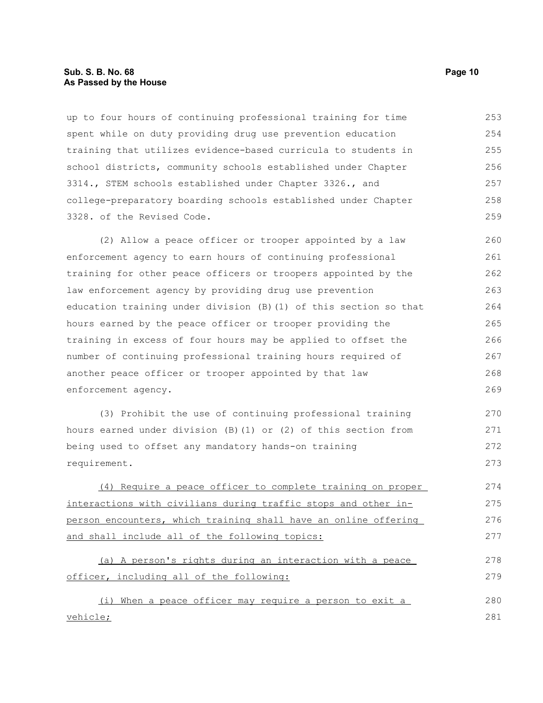#### **Sub. S. B. No. 68 Page 10 As Passed by the House**

up to four hours of continuing professional training for time spent while on duty providing drug use prevention education training that utilizes evidence-based curricula to students in school districts, community schools established under Chapter 3314., STEM schools established under Chapter 3326., and college-preparatory boarding schools established under Chapter 3328. of the Revised Code. 253 254 255 256 257 258 259

(2) Allow a peace officer or trooper appointed by a law enforcement agency to earn hours of continuing professional training for other peace officers or troopers appointed by the law enforcement agency by providing drug use prevention education training under division (B)(1) of this section so that hours earned by the peace officer or trooper providing the training in excess of four hours may be applied to offset the number of continuing professional training hours required of another peace officer or trooper appointed by that law enforcement agency. 260 261 262 263 264 265 266 267 268 269

(3) Prohibit the use of continuing professional training hours earned under division (B)(1) or (2) of this section from being used to offset any mandatory hands-on training requirement. 270 271 272 273

(4) Require a peace officer to complete training on proper interactions with civilians during traffic stops and other inperson encounters, which training shall have an online offering and shall include all of the following topics: 274 275 276 277

(a) A person's rights during an interaction with a peace officer, including all of the following: 278 279

(i) When a peace officer may require a person to exit a vehicle; 280 281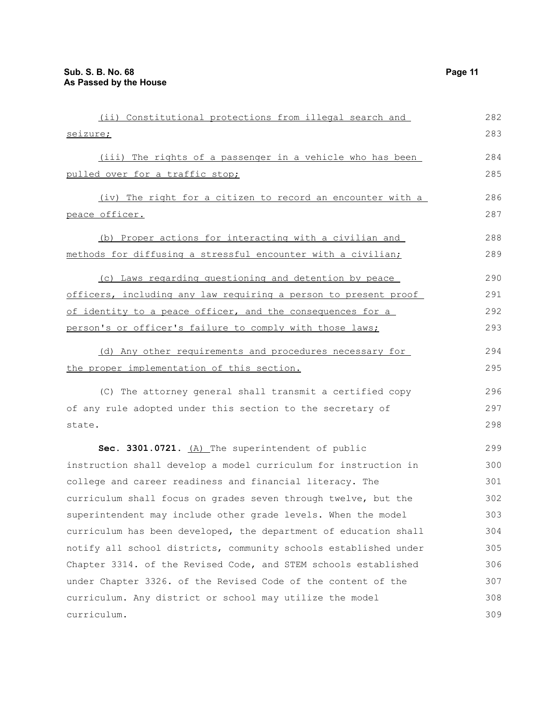| (ii) Constitutional protections from illegal search and          | 282 |
|------------------------------------------------------------------|-----|
| seizure;                                                         | 283 |
| (iii) The rights of a passenger in a vehicle who has been        | 284 |
| pulled over for a traffic stop;                                  | 285 |
| (iv) The right for a citizen to record an encounter with a       | 286 |
| peace officer.                                                   | 287 |
| (b) Proper actions for interacting with a civilian and           | 288 |
| methods for diffusing a stressful encounter with a civilian;     | 289 |
| (c) Laws regarding questioning and detention by peace            | 290 |
| officers, including any law requiring a person to present proof  | 291 |
| of identity to a peace officer, and the consequences for a       | 292 |
| person's or officer's failure to comply with those laws;         | 293 |
| (d) Any other requirements and procedures necessary for          | 294 |
| the proper implementation of this section.                       | 295 |
| (C) The attorney general shall transmit a certified copy         | 296 |
| of any rule adopted under this section to the secretary of       | 297 |
| state.                                                           | 298 |
| Sec. 3301.0721. (A) The superintendent of public                 | 299 |
| instruction shall develop a model curriculum for instruction in  | 300 |
| college and career readiness and financial literacy. The         | 301 |
| curriculum shall focus on grades seven through twelve, but the   | 302 |
| superintendent may include other grade levels. When the model    | 303 |
| curriculum has been developed, the department of education shall | 304 |
| notify all school districts, community schools established under | 305 |
| Chapter 3314. of the Revised Code, and STEM schools established  | 306 |
| under Chapter 3326. of the Revised Code of the content of the    | 307 |
| curriculum. Any district or school may utilize the model         | 308 |
| curriculum.                                                      | 309 |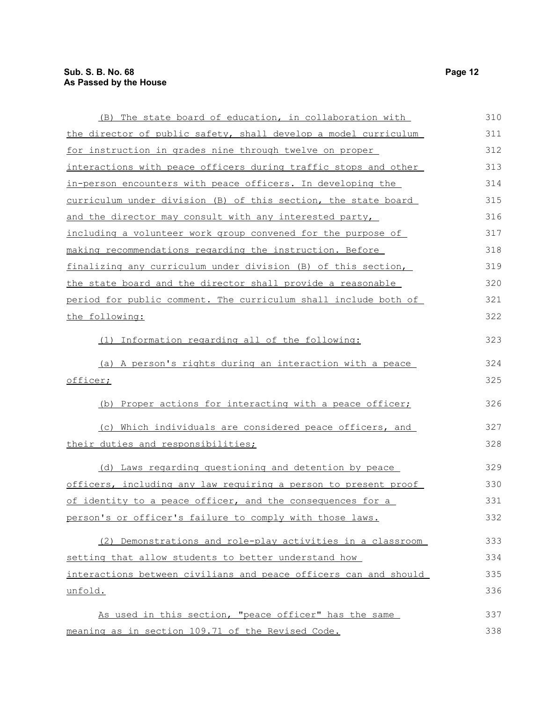| (B) The state board of education, in collaboration with            | 310 |
|--------------------------------------------------------------------|-----|
| the director of public safety, shall develop a model curriculum    | 311 |
| <u>for instruction in grades nine through twelve on proper</u>     | 312 |
| interactions with peace officers during traffic stops and other    | 313 |
| <u>in-person encounters with peace officers. In developing the</u> | 314 |
| curriculum under division (B) of this section, the state board     | 315 |
| and the director may consult with any interested party,            | 316 |
| including a volunteer work group convened for the purpose of       | 317 |
| making recommendations regarding the instruction. Before           | 318 |
| finalizing any curriculum under division (B) of this section,      | 319 |
| the state board and the director shall provide a reasonable        | 320 |
| period for public comment. The curriculum shall include both of    | 321 |
| the following:                                                     | 322 |
| (1) Information regarding all of the following:                    | 323 |
| (a) A person's rights during an interaction with a peace           | 324 |
| officer;                                                           | 325 |
| (b) Proper actions for interacting with a peace officer;           | 326 |
| (c) Which individuals are considered peace officers, and           | 327 |
| their duties and responsibilities;                                 | 328 |
| (d) Laws regarding questioning and detention by peace              | 329 |
| officers, including any law requiring a person to present proof    | 330 |
| of identity to a peace officer, and the consequences for a         | 331 |
| person's or officer's failure to comply with those laws.           | 332 |
| (2) Demonstrations and role-play activities in a classroom         | 333 |
| setting that allow students to better understand how               | 334 |
| interactions between civilians and peace officers can and should   | 335 |
| unfold.                                                            | 336 |
| As used in this section, "peace officer" has the same              | 337 |
| meaning as in section 109.71 of the Revised Code.                  | 338 |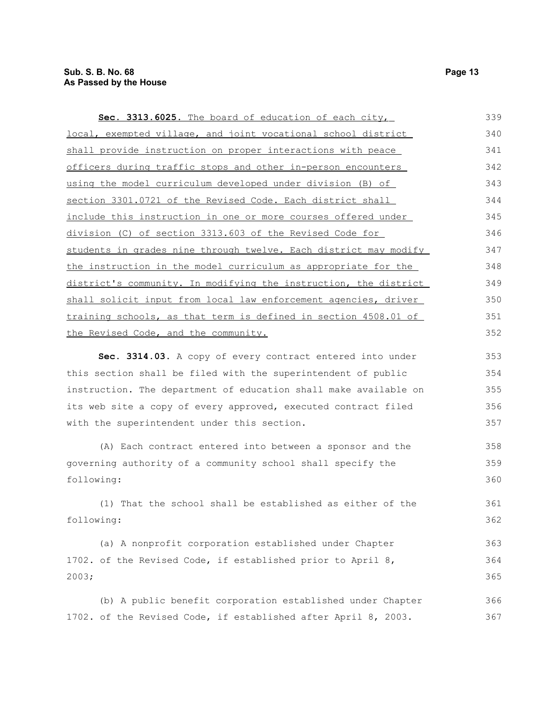| Sec. 3313.6025. The board of education of each city,             | 339 |
|------------------------------------------------------------------|-----|
| local, exempted village, and joint vocational school district    | 340 |
| shall provide instruction on proper interactions with peace      | 341 |
| officers during traffic stops and other in-person encounters     | 342 |
| using the model curriculum developed under division (B) of       | 343 |
| section 3301.0721 of the Revised Code. Each district shall       | 344 |
| include this instruction in one or more courses offered under    | 345 |
| division (C) of section 3313.603 of the Revised Code for         | 346 |
| students in grades nine through twelve. Each district may modify | 347 |
| the instruction in the model curriculum as appropriate for the   | 348 |
| district's community. In modifying the instruction, the district | 349 |
| shall solicit input from local law enforcement agencies, driver  | 350 |
| training schools, as that term is defined in section 4508.01 of  | 351 |
| the Revised Code, and the community.                             | 352 |
| Sec. 3314.03. A copy of every contract entered into under        | 353 |
| this section shall be filed with the superintendent of public    | 354 |
| instruction. The department of education shall make available on | 355 |
| its web site a copy of every approved, executed contract filed   | 356 |

(A) Each contract entered into between a sponsor and the governing authority of a community school shall specify the following: 358 359 360

with the superintendent under this section.

(1) That the school shall be established as either of the following: 361 362

(a) A nonprofit corporation established under Chapter 1702. of the Revised Code, if established prior to April 8, 2003; 363 364 365

(b) A public benefit corporation established under Chapter 1702. of the Revised Code, if established after April 8, 2003. 366 367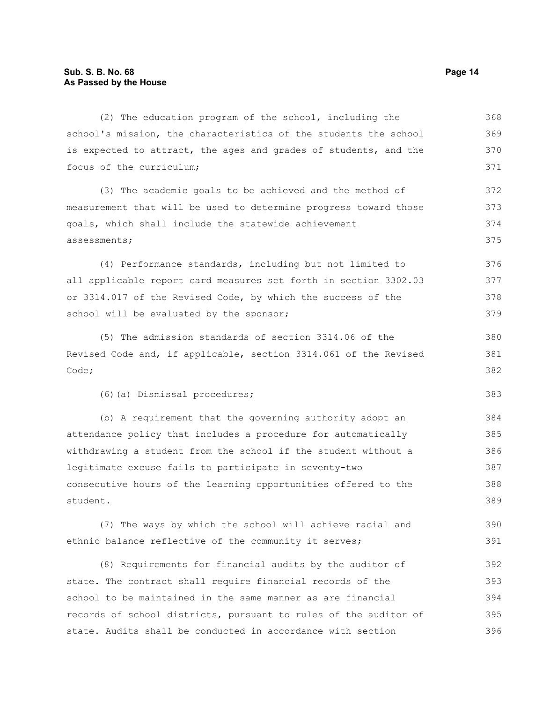#### **Sub. S. B. No. 68 Page 14 As Passed by the House**

(2) The education program of the school, including the school's mission, the characteristics of the students the school is expected to attract, the ages and grades of students, and the focus of the curriculum; 368 369 370 371

(3) The academic goals to be achieved and the method of measurement that will be used to determine progress toward those goals, which shall include the statewide achievement assessments; 372 373 374 375

(4) Performance standards, including but not limited to all applicable report card measures set forth in section 3302.03 or 3314.017 of the Revised Code, by which the success of the school will be evaluated by the sponsor; 376 377 378 379

(5) The admission standards of section 3314.06 of the Revised Code and, if applicable, section 3314.061 of the Revised Code; 380 381 382

(6)(a) Dismissal procedures;

(b) A requirement that the governing authority adopt an attendance policy that includes a procedure for automatically withdrawing a student from the school if the student without a legitimate excuse fails to participate in seventy-two consecutive hours of the learning opportunities offered to the student. 384 385 386 387 388 389

(7) The ways by which the school will achieve racial and ethnic balance reflective of the community it serves; 390 391

(8) Requirements for financial audits by the auditor of state. The contract shall require financial records of the school to be maintained in the same manner as are financial records of school districts, pursuant to rules of the auditor of state. Audits shall be conducted in accordance with section 392 393 394 395 396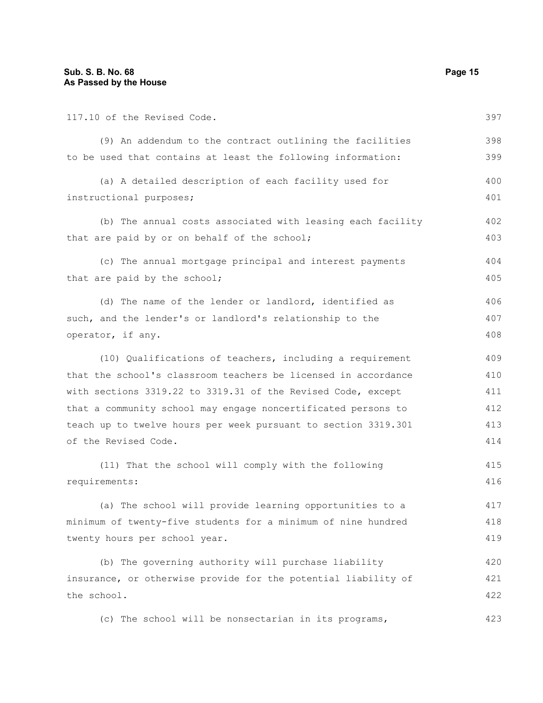117.10 of the Revised Code.

(9) An addendum to the contract outlining the facilities to be used that contains at least the following information: (a) A detailed description of each facility used for instructional purposes; (b) The annual costs associated with leasing each facility that are paid by or on behalf of the school; (c) The annual mortgage principal and interest payments that are paid by the school; (d) The name of the lender or landlord, identified as such, and the lender's or landlord's relationship to the operator, if any. (10) Qualifications of teachers, including a requirement that the school's classroom teachers be licensed in accordance with sections 3319.22 to 3319.31 of the Revised Code, except that a community school may engage noncertificated persons to teach up to twelve hours per week pursuant to section 3319.301 of the Revised Code. (11) That the school will comply with the following requirements: (a) The school will provide learning opportunities to a minimum of twenty-five students for a minimum of nine hundred twenty hours per school year. (b) The governing authority will purchase liability insurance, or otherwise provide for the potential liability of the school. (c) The school will be nonsectarian in its programs, 397 398 399 400 401 402 403 404 405 406 407 408 409 410 411 412 413 414 415 416 417 418 419 420 421 422 423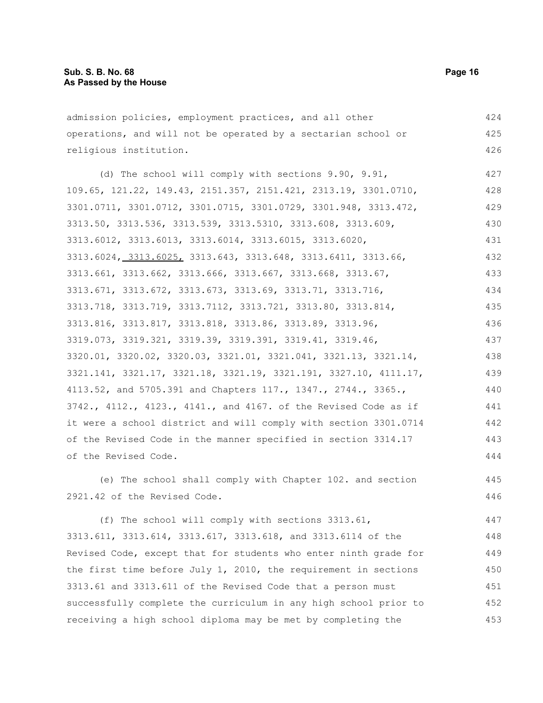453

| admission policies, employment practices, and all other          | 424 |
|------------------------------------------------------------------|-----|
| operations, and will not be operated by a sectarian school or    | 425 |
| religious institution.                                           | 426 |
| (d) The school will comply with sections 9.90, 9.91,             | 427 |
| 109.65, 121.22, 149.43, 2151.357, 2151.421, 2313.19, 3301.0710,  | 428 |
| 3301.0711, 3301.0712, 3301.0715, 3301.0729, 3301.948, 3313.472,  | 429 |
| 3313.50, 3313.536, 3313.539, 3313.5310, 3313.608, 3313.609,      | 430 |
| 3313.6012, 3313.6013, 3313.6014, 3313.6015, 3313.6020,           | 431 |
| 3313.6024, 3313.6025, 3313.643, 3313.648, 3313.6411, 3313.66,    | 432 |
| 3313.661, 3313.662, 3313.666, 3313.667, 3313.668, 3313.67,       | 433 |
| 3313.671, 3313.672, 3313.673, 3313.69, 3313.71, 3313.716,        | 434 |
| 3313.718, 3313.719, 3313.7112, 3313.721, 3313.80, 3313.814,      | 435 |
| 3313.816, 3313.817, 3313.818, 3313.86, 3313.89, 3313.96,         | 436 |
| 3319.073, 3319.321, 3319.39, 3319.391, 3319.41, 3319.46,         | 437 |
| 3320.01, 3320.02, 3320.03, 3321.01, 3321.041, 3321.13, 3321.14,  | 438 |
| 3321.141, 3321.17, 3321.18, 3321.19, 3321.191, 3327.10, 4111.17, | 439 |
| 4113.52, and 5705.391 and Chapters 117., 1347., 2744., 3365.,    | 440 |
| 3742., 4112., 4123., 4141., and 4167. of the Revised Code as if  | 441 |
| it were a school district and will comply with section 3301.0714 | 442 |
| of the Revised Code in the manner specified in section 3314.17   | 443 |
| of the Revised Code.                                             | 444 |
| (e) The school shall comply with Chapter 102. and section        | 445 |
| 2921.42 of the Revised Code.                                     | 446 |
| (f) The school will comply with sections 3313.61,                | 447 |
| 3313.611, 3313.614, 3313.617, 3313.618, and 3313.6114 of the     | 448 |
| Revised Code, except that for students who enter ninth grade for | 449 |
| the first time before July 1, 2010, the requirement in sections  | 450 |
| 3313.61 and 3313.611 of the Revised Code that a person must      | 451 |
| successfully complete the curriculum in any high school prior to | 452 |
|                                                                  |     |

receiving a high school diploma may be met by completing the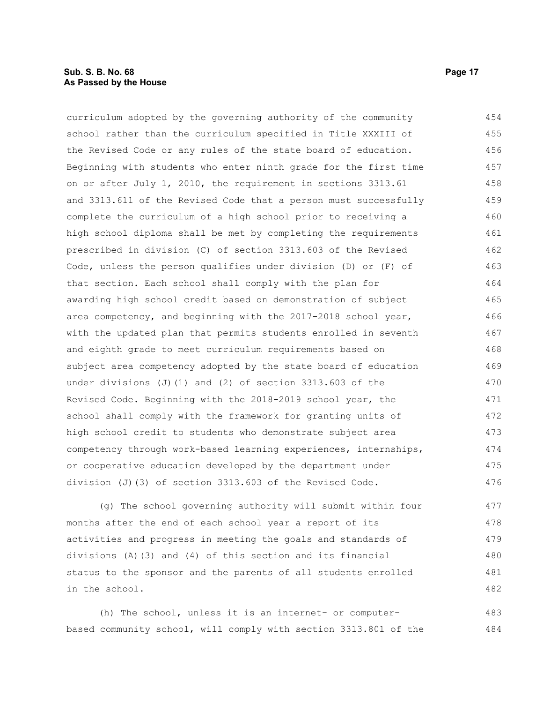#### **Sub. S. B. No. 68 Page 17 As Passed by the House**

curriculum adopted by the governing authority of the community school rather than the curriculum specified in Title XXXIII of the Revised Code or any rules of the state board of education. Beginning with students who enter ninth grade for the first time on or after July 1, 2010, the requirement in sections 3313.61 and 3313.611 of the Revised Code that a person must successfully complete the curriculum of a high school prior to receiving a high school diploma shall be met by completing the requirements prescribed in division (C) of section 3313.603 of the Revised Code, unless the person qualifies under division (D) or (F) of that section. Each school shall comply with the plan for awarding high school credit based on demonstration of subject area competency, and beginning with the 2017-2018 school year, with the updated plan that permits students enrolled in seventh and eighth grade to meet curriculum requirements based on subject area competency adopted by the state board of education under divisions (J)(1) and (2) of section  $3313.603$  of the Revised Code. Beginning with the 2018-2019 school year, the school shall comply with the framework for granting units of high school credit to students who demonstrate subject area competency through work-based learning experiences, internships, or cooperative education developed by the department under division (J)(3) of section 3313.603 of the Revised Code. 454 455 456 457 458 459 460 461 462 463 464 465 466 467 468 469 470 471 472 473 474 475 476

(g) The school governing authority will submit within four months after the end of each school year a report of its activities and progress in meeting the goals and standards of divisions (A)(3) and (4) of this section and its financial status to the sponsor and the parents of all students enrolled in the school. 477 478 479 480 481 482

(h) The school, unless it is an internet- or computerbased community school, will comply with section 3313.801 of the 483 484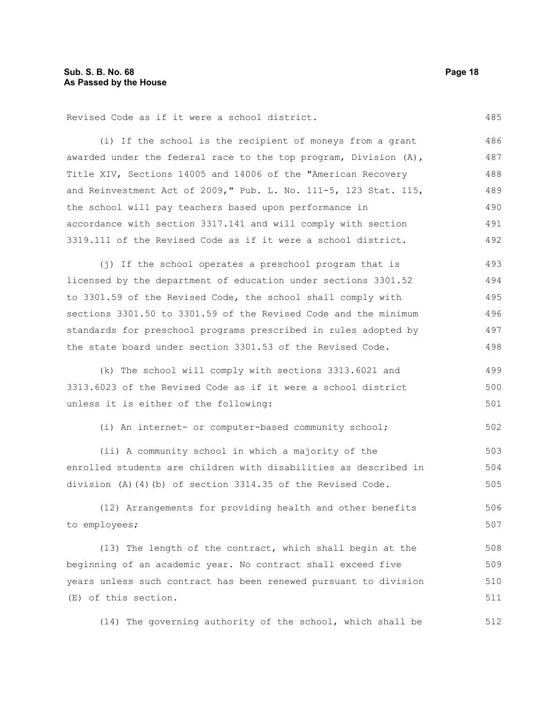Revised Code as if it were a school district.

(i) If the school is the recipient of moneys from a grant awarded under the federal race to the top program, Division (A), Title XIV, Sections 14005 and 14006 of the "American Recovery and Reinvestment Act of 2009," Pub. L. No. 111-5, 123 Stat. 115, the school will pay teachers based upon performance in accordance with section 3317.141 and will comply with section 3319.111 of the Revised Code as if it were a school district. 486 487 488 489 490 491 492

(j) If the school operates a preschool program that is licensed by the department of education under sections 3301.52 to 3301.59 of the Revised Code, the school shall comply with sections 3301.50 to 3301.59 of the Revised Code and the minimum standards for preschool programs prescribed in rules adopted by the state board under section 3301.53 of the Revised Code. 493 494 495 496 497 498

(k) The school will comply with sections 3313.6021 and 3313.6023 of the Revised Code as if it were a school district unless it is either of the following: 499 500 501

(i) An internet- or computer-based community school; 502

(ii) A community school in which a majority of the enrolled students are children with disabilities as described in division (A)(4)(b) of section 3314.35 of the Revised Code. 503 504 505

(12) Arrangements for providing health and other benefits to employees; 506 507

(13) The length of the contract, which shall begin at the beginning of an academic year. No contract shall exceed five years unless such contract has been renewed pursuant to division (E) of this section. 508 509 510 511

(14) The governing authority of the school, which shall be 512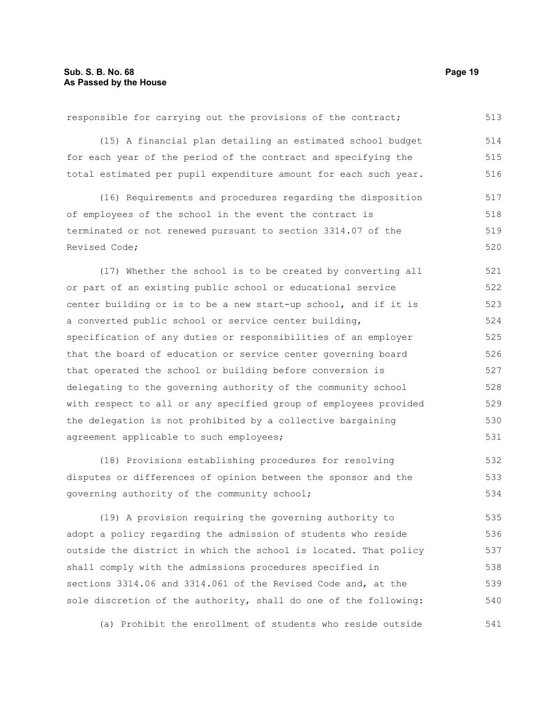| (15) A financial plan detailing an estimated school budget          | 514                |
|---------------------------------------------------------------------|--------------------|
| for each year of the period of the contract and specifying the      | 515                |
| total estimated per pupil expenditure amount for each such year.    | 516                |
| (16) Requirements and procedures regarding the disposition          | 517                |
| of employees of the school in the event the contract is             | 518                |
| terminated or not renewed pursuant to section 3314.07 of the        | 519                |
| Revised Code;                                                       | 520                |
| (17) Whether the school is to be created by converting all          | 521                |
| or part of an existing public school or educational service         | 522                |
| center building or is to be a new start-up school, and if it is     | 523                |
| a converted public school or service center building,               | 524                |
| specification of any duties or responsibilities of an employer      | 525                |
| that the board of education or service center governing board       | 526                |
| that operated the school or building before conversion is           | 527                |
| delegating to the governing authority of the community school       | 528                |
| with respect to all or any specified group of employees provided    | 529                |
| the delegation is not prohibited by a collective bargaining         | 530                |
| agreement applicable to such employees;                             | 531                |
| 110) David al anal antali I dal dia managalismo al Casilina I didan | $\Gamma \cap \cap$ |

responsible for carrying out the provisions of the contract;

(18) Provisions establishing procedures for resolving disputes or differences of opinion between the sponsor and the governing authority of the community school; 532 533 534

(19) A provision requiring the governing authority to adopt a policy regarding the admission of students who reside outside the district in which the school is located. That policy shall comply with the admissions procedures specified in sections 3314.06 and 3314.061 of the Revised Code and, at the sole discretion of the authority, shall do one of the following: 535 536 537 538 539 540

(a) Prohibit the enrollment of students who reside outside 541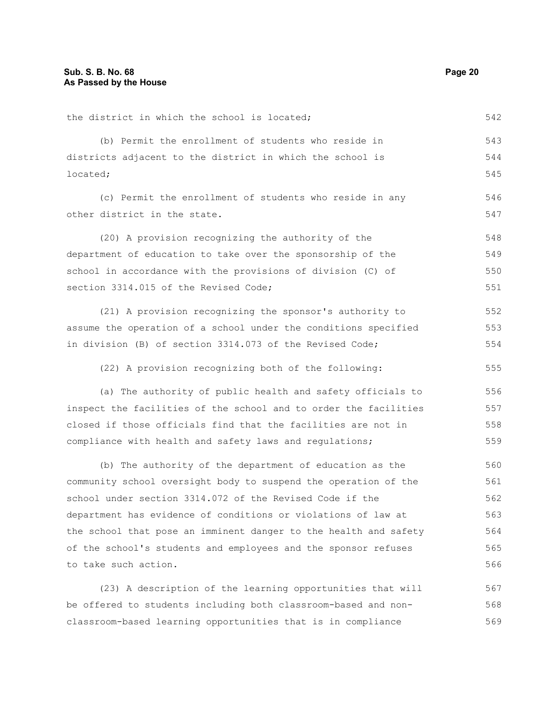| the district in which the school is located;                     | 542 |
|------------------------------------------------------------------|-----|
| (b) Permit the enrollment of students who reside in              | 543 |
| districts adjacent to the district in which the school is        | 544 |
| located;                                                         | 545 |
| (c) Permit the enrollment of students who reside in any          | 546 |
| other district in the state.                                     | 547 |
| (20) A provision recognizing the authority of the                | 548 |
| department of education to take over the sponsorship of the      | 549 |
| school in accordance with the provisions of division (C) of      | 550 |
| section 3314.015 of the Revised Code;                            | 551 |
| (21) A provision recognizing the sponsor's authority to          | 552 |
| assume the operation of a school under the conditions specified  | 553 |
| in division (B) of section 3314.073 of the Revised Code;         | 554 |
| (22) A provision recognizing both of the following:              | 555 |
| (a) The authority of public health and safety officials to       | 556 |
| inspect the facilities of the school and to order the facilities | 557 |
| closed if those officials find that the facilities are not in    | 558 |
| compliance with health and safety laws and regulations;          | 559 |
| (b) The authority of the department of education as the          | 560 |
| community school oversight body to suspend the operation of the  | 561 |
| school under section 3314.072 of the Revised Code if the         | 562 |
| department has evidence of conditions or violations of law at    | 563 |
| the school that pose an imminent danger to the health and safety | 564 |
| of the school's students and employees and the sponsor refuses   | 565 |
| to take such action.                                             | 566 |
| (23) A description of the learning opportunities that will       | 567 |
| be offered to students including both classroom-based and non-   | 568 |
| classroom-based learning opportunities that is in compliance     | 569 |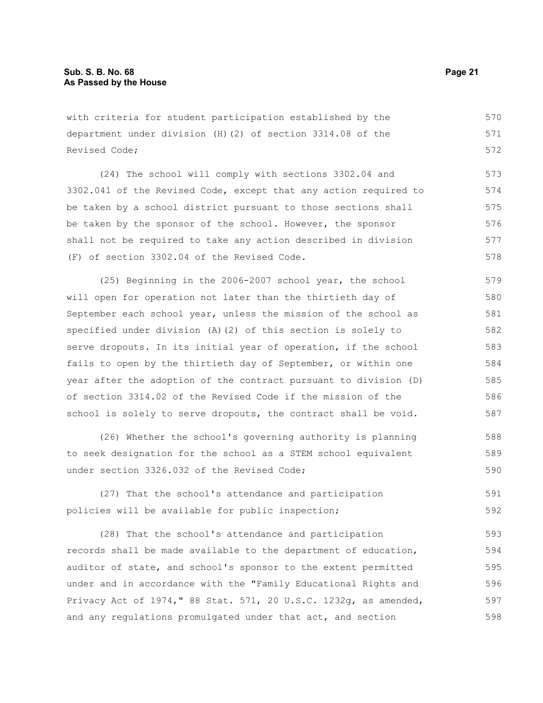with criteria for student participation established by the department under division (H)(2) of section 3314.08 of the Revised Code; 570 571 572

(24) The school will comply with sections 3302.04 and 3302.041 of the Revised Code, except that any action required to be taken by a school district pursuant to those sections shall be taken by the sponsor of the school. However, the sponsor shall not be required to take any action described in division (F) of section 3302.04 of the Revised Code. 573 574 575 576 577 578

(25) Beginning in the 2006-2007 school year, the school will open for operation not later than the thirtieth day of September each school year, unless the mission of the school as specified under division (A)(2) of this section is solely to serve dropouts. In its initial year of operation, if the school fails to open by the thirtieth day of September, or within one year after the adoption of the contract pursuant to division (D) of section 3314.02 of the Revised Code if the mission of the school is solely to serve dropouts, the contract shall be void. 579 580 581 582 583 584 585 586 587

(26) Whether the school's governing authority is planning to seek designation for the school as a STEM school equivalent under section 3326.032 of the Revised Code;

(27) That the school's attendance and participation policies will be available for public inspection; 591 592

(28) That the school's attendance and participation records shall be made available to the department of education, auditor of state, and school's sponsor to the extent permitted under and in accordance with the "Family Educational Rights and Privacy Act of 1974," 88 Stat. 571, 20 U.S.C. 1232g, as amended, and any regulations promulgated under that act, and section 593 594 595 596 597 598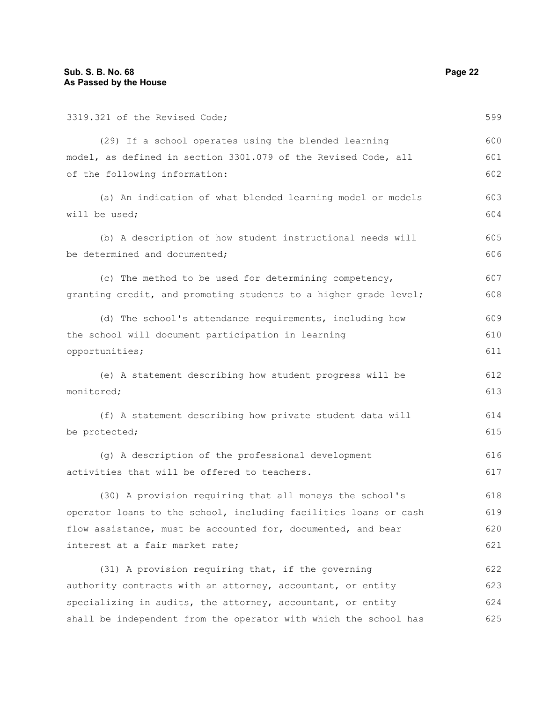3319.321 of the Revised Code; (29) If a school operates using the blended learning model, as defined in section 3301.079 of the Revised Code, all of the following information: (a) An indication of what blended learning model or models will be used; (b) A description of how student instructional needs will be determined and documented; (c) The method to be used for determining competency, granting credit, and promoting students to a higher grade level; (d) The school's attendance requirements, including how the school will document participation in learning opportunities; (e) A statement describing how student progress will be monitored; (f) A statement describing how private student data will be protected; (g) A description of the professional development activities that will be offered to teachers. (30) A provision requiring that all moneys the school's operator loans to the school, including facilities loans or cash flow assistance, must be accounted for, documented, and bear interest at a fair market rate; (31) A provision requiring that, if the governing authority contracts with an attorney, accountant, or entity specializing in audits, the attorney, accountant, or entity 599 600 601 602 603 604 605 606 607 608 609 610 611 612 613 614 615 616 617 618 619 620 621 622 623 624

shall be independent from the operator with which the school has 625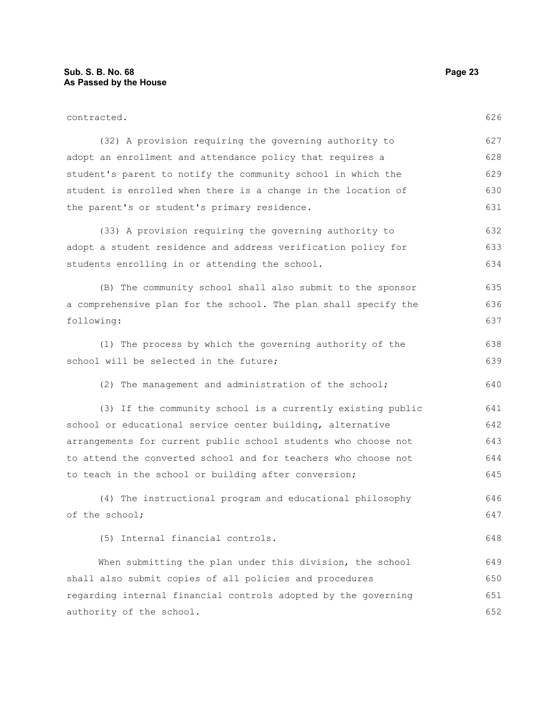| contracted.                                                     | 626 |
|-----------------------------------------------------------------|-----|
| (32) A provision requiring the governing authority to           | 627 |
| adopt an enrollment and attendance policy that requires a       | 628 |
| student's parent to notify the community school in which the    | 629 |
| student is enrolled when there is a change in the location of   | 630 |
| the parent's or student's primary residence.                    | 631 |
| (33) A provision requiring the governing authority to           | 632 |
| adopt a student residence and address verification policy for   | 633 |
| students enrolling in or attending the school.                  | 634 |
| (B) The community school shall also submit to the sponsor       | 635 |
| a comprehensive plan for the school. The plan shall specify the | 636 |
| following:                                                      | 637 |
| (1) The process by which the governing authority of the         | 638 |
| school will be selected in the future;                          | 639 |
| (2) The management and administration of the school;            | 640 |
| (3) If the community school is a currently existing public      | 641 |
| school or educational service center building, alternative      | 642 |
| arrangements for current public school students who choose not  | 643 |
| to attend the converted school and for teachers who choose not  | 644 |
| to teach in the school or building after conversion;            | 645 |
| (4) The instructional program and educational philosophy        | 646 |
| of the school;                                                  | 647 |
| (5) Internal financial controls.                                | 648 |
| When submitting the plan under this division, the school        | 649 |
| shall also submit copies of all policies and procedures         | 650 |
| regarding internal financial controls adopted by the governing  | 651 |
| authority of the school.                                        | 652 |
|                                                                 |     |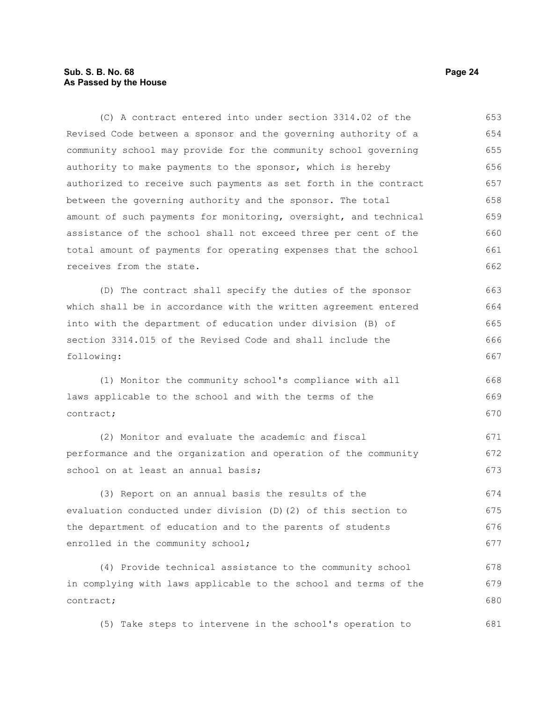#### **Sub. S. B. No. 68 Page 24 As Passed by the House**

(C) A contract entered into under section 3314.02 of the Revised Code between a sponsor and the governing authority of a community school may provide for the community school governing authority to make payments to the sponsor, which is hereby authorized to receive such payments as set forth in the contract between the governing authority and the sponsor. The total amount of such payments for monitoring, oversight, and technical assistance of the school shall not exceed three per cent of the total amount of payments for operating expenses that the school receives from the state. 653 654 655 656 657 658 659 660 661 662

(D) The contract shall specify the duties of the sponsor which shall be in accordance with the written agreement entered into with the department of education under division (B) of section 3314.015 of the Revised Code and shall include the following: 663 664 665 666 667

(1) Monitor the community school's compliance with all laws applicable to the school and with the terms of the contract; 668 669 670

(2) Monitor and evaluate the academic and fiscal performance and the organization and operation of the community school on at least an annual basis;

(3) Report on an annual basis the results of the evaluation conducted under division (D)(2) of this section to the department of education and to the parents of students enrolled in the community school; 674 675 676 677

(4) Provide technical assistance to the community school in complying with laws applicable to the school and terms of the contract; 678 679 680

(5) Take steps to intervene in the school's operation to 681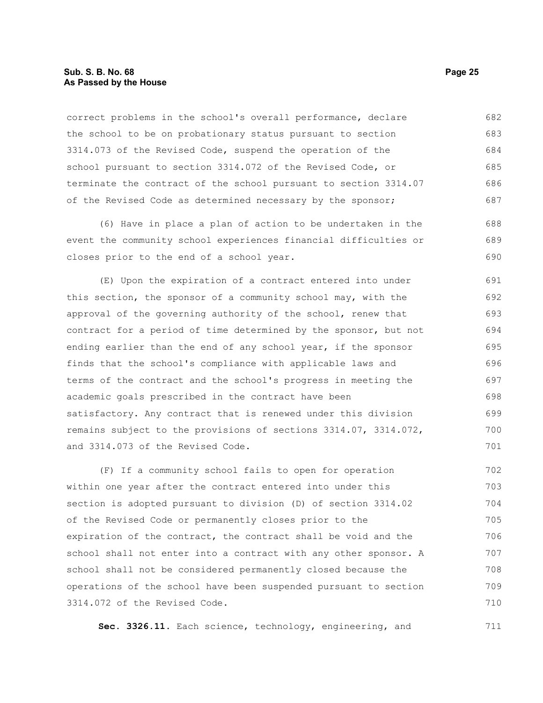#### **Sub. S. B. No. 68 Page 25 As Passed by the House**

correct problems in the school's overall performance, declare the school to be on probationary status pursuant to section 3314.073 of the Revised Code, suspend the operation of the school pursuant to section 3314.072 of the Revised Code, or terminate the contract of the school pursuant to section 3314.07 of the Revised Code as determined necessary by the sponsor; 682 683 684 685 686 687

(6) Have in place a plan of action to be undertaken in the event the community school experiences financial difficulties or closes prior to the end of a school year. 688 689 690

(E) Upon the expiration of a contract entered into under this section, the sponsor of a community school may, with the approval of the governing authority of the school, renew that contract for a period of time determined by the sponsor, but not ending earlier than the end of any school year, if the sponsor finds that the school's compliance with applicable laws and terms of the contract and the school's progress in meeting the academic goals prescribed in the contract have been satisfactory. Any contract that is renewed under this division remains subject to the provisions of sections 3314.07, 3314.072, and 3314.073 of the Revised Code. 691 692 693 694 695 696 697 698 699 700 701

(F) If a community school fails to open for operation within one year after the contract entered into under this section is adopted pursuant to division (D) of section 3314.02 of the Revised Code or permanently closes prior to the expiration of the contract, the contract shall be void and the school shall not enter into a contract with any other sponsor. A school shall not be considered permanently closed because the operations of the school have been suspended pursuant to section 3314.072 of the Revised Code. 702 703 704 705 706 707 708 709 710

**Sec. 3326.11.** Each science, technology, engineering, and 711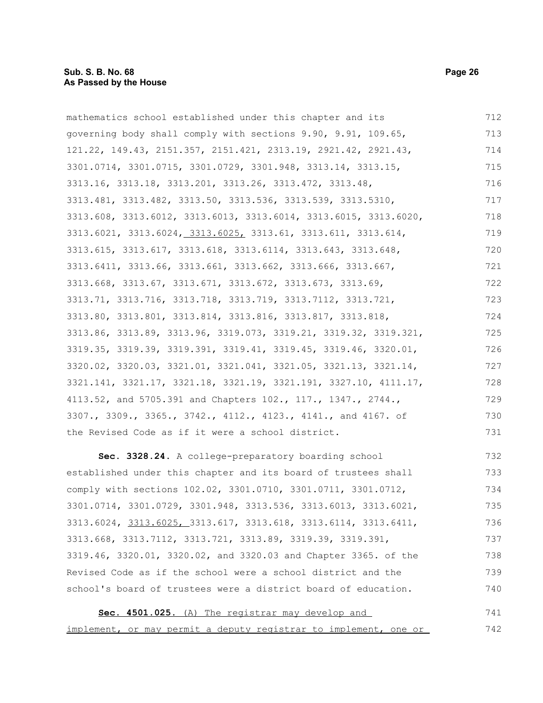mathematics school established under this chapter and its governing body shall comply with sections 9.90, 9.91, 109.65, 121.22, 149.43, 2151.357, 2151.421, 2313.19, 2921.42, 2921.43, 3301.0714, 3301.0715, 3301.0729, 3301.948, 3313.14, 3313.15, 3313.16, 3313.18, 3313.201, 3313.26, 3313.472, 3313.48, 3313.481, 3313.482, 3313.50, 3313.536, 3313.539, 3313.5310, 3313.608, 3313.6012, 3313.6013, 3313.6014, 3313.6015, 3313.6020, 3313.6021, 3313.6024, 3313.6025, 3313.61, 3313.611, 3313.614, 3313.615, 3313.617, 3313.618, 3313.6114, 3313.643, 3313.648, 3313.6411, 3313.66, 3313.661, 3313.662, 3313.666, 3313.667, 3313.668, 3313.67, 3313.671, 3313.672, 3313.673, 3313.69, 3313.71, 3313.716, 3313.718, 3313.719, 3313.7112, 3313.721, 3313.80, 3313.801, 3313.814, 3313.816, 3313.817, 3313.818, 3313.86, 3313.89, 3313.96, 3319.073, 3319.21, 3319.32, 3319.321, 3319.35, 3319.39, 3319.391, 3319.41, 3319.45, 3319.46, 3320.01, 3320.02, 3320.03, 3321.01, 3321.041, 3321.05, 3321.13, 3321.14, 3321.141, 3321.17, 3321.18, 3321.19, 3321.191, 3327.10, 4111.17, 4113.52, and 5705.391 and Chapters 102., 117., 1347., 2744., 3307., 3309., 3365., 3742., 4112., 4123., 4141., and 4167. of the Revised Code as if it were a school district. 712 713 714 715 716 717 718 719 720 721 722 723 724 725 726 727 728 729 730 731

**Sec. 3328.24.** A college-preparatory boarding school established under this chapter and its board of trustees shall comply with sections 102.02, 3301.0710, 3301.0711, 3301.0712, 3301.0714, 3301.0729, 3301.948, 3313.536, 3313.6013, 3313.6021, 3313.6024, 3313.6025, 3313.617, 3313.618, 3313.6114, 3313.6411, 3313.668, 3313.7112, 3313.721, 3313.89, 3319.39, 3319.391, 3319.46, 3320.01, 3320.02, and 3320.03 and Chapter 3365. of the Revised Code as if the school were a school district and the school's board of trustees were a district board of education. 732 733 734 735 736 737 738 739 740

 **Sec. 4501.025.** (A) The registrar may develop and implement, or may permit a deputy registrar to implement, one or 741 742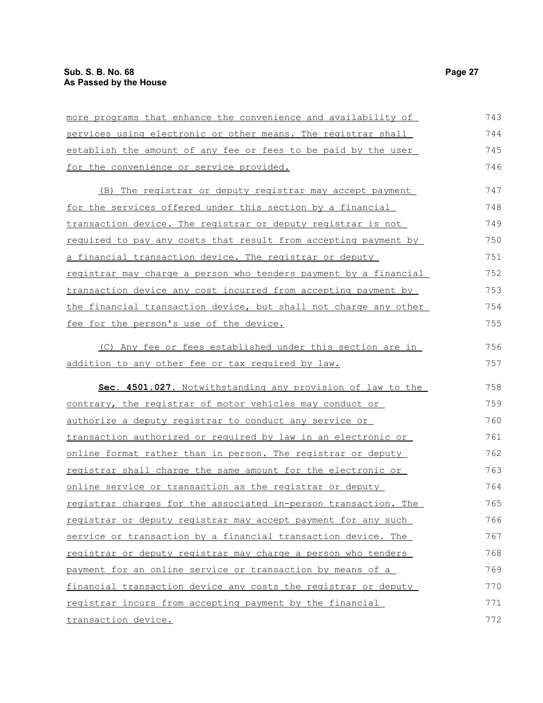| <u>more programs that enhance the convenience and availability of</u> | 743 |
|-----------------------------------------------------------------------|-----|
| services using electronic or other means. The registrar shall         | 744 |
| establish the amount of any fee or fees to be paid by the user        | 745 |
| for the convenience or service provided.                              | 746 |
| (B) The registrar or deputy registrar may accept payment              | 747 |
| for the services offered under this section by a financial            | 748 |
| transaction device. The registrar or deputy registrar is not          | 749 |
| required to pay any costs that result from accepting payment by       | 750 |
| a financial transaction device. The registrar or deputy               | 751 |
| registrar may charge a person who tenders payment by a financial      | 752 |
| transaction device any cost incurred from accepting payment by        | 753 |
| the financial transaction device, but shall not charge any other      | 754 |
| fee for the person's use of the device.                               | 755 |
| (C) Any fee or fees established under this section are in             | 756 |
| addition to any other fee or tax required by law.                     | 757 |
| Sec. 4501.027. Notwithstanding any provision of law to the            | 758 |
| contrary, the registrar of motor vehicles may conduct or              | 759 |
| <u>authorize a deputy registrar to conduct any service or</u>         | 760 |
| transaction authorized or required by law in an electronic or         | 761 |
| online format rather than in person. The registrar or deputy          | 762 |
| registrar shall charge the same amount for the electronic or          | 763 |
| online service or transaction as the registrar or deputy              | 764 |
| registrar charges for the associated in-person transaction. The       | 765 |
| registrar or deputy registrar may accept payment for any such         | 766 |
| service or transaction by a financial transaction device. The         | 767 |
| registrar or deputy registrar may charge a person who tenders         | 768 |
| payment for an online service or transaction by means of a            | 769 |
| financial transaction device any costs the registrar or deputy        | 770 |
| registrar incurs from accepting payment by the financial              | 771 |
| transaction device.                                                   | 772 |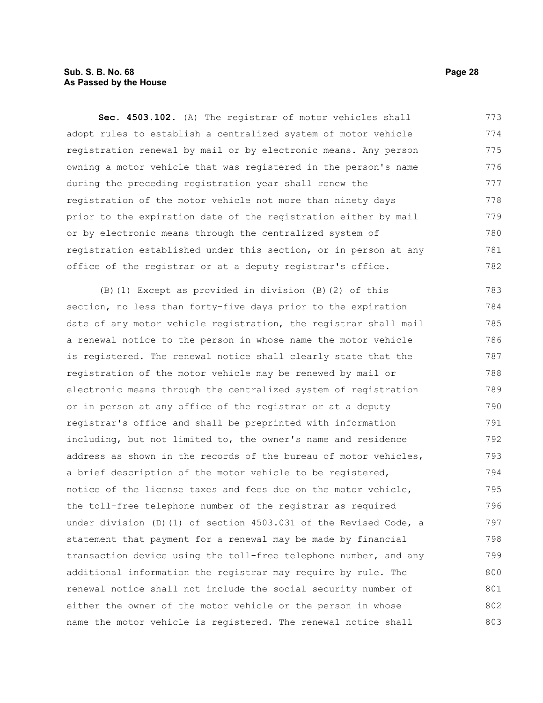#### **Sub. S. B. No. 68 Page 28 As Passed by the House**

**Sec. 4503.102.** (A) The registrar of motor vehicles shall adopt rules to establish a centralized system of motor vehicle registration renewal by mail or by electronic means. Any person owning a motor vehicle that was registered in the person's name during the preceding registration year shall renew the registration of the motor vehicle not more than ninety days prior to the expiration date of the registration either by mail or by electronic means through the centralized system of registration established under this section, or in person at any office of the registrar or at a deputy registrar's office. 773 774 775 776 777 778 779 780 781 782

(B)(1) Except as provided in division (B)(2) of this section, no less than forty-five days prior to the expiration date of any motor vehicle registration, the registrar shall mail a renewal notice to the person in whose name the motor vehicle is registered. The renewal notice shall clearly state that the registration of the motor vehicle may be renewed by mail or electronic means through the centralized system of registration or in person at any office of the registrar or at a deputy registrar's office and shall be preprinted with information including, but not limited to, the owner's name and residence address as shown in the records of the bureau of motor vehicles, a brief description of the motor vehicle to be registered, notice of the license taxes and fees due on the motor vehicle, the toll-free telephone number of the registrar as required under division (D)(1) of section 4503.031 of the Revised Code, a statement that payment for a renewal may be made by financial transaction device using the toll-free telephone number, and any additional information the registrar may require by rule. The renewal notice shall not include the social security number of either the owner of the motor vehicle or the person in whose name the motor vehicle is registered. The renewal notice shall 783 784 785 786 787 788 789 790 791 792 793 794 795 796 797 798 799 800 801 802 803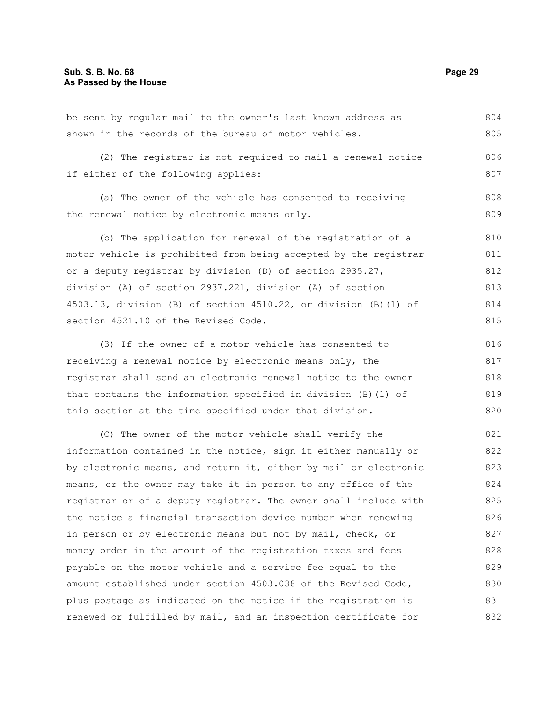be sent by regular mail to the owner's last known address as shown in the records of the bureau of motor vehicles. (2) The registrar is not required to mail a renewal notice if either of the following applies: (a) The owner of the vehicle has consented to receiving the renewal notice by electronic means only. (b) The application for renewal of the registration of a motor vehicle is prohibited from being accepted by the registrar or a deputy registrar by division (D) of section 2935.27, division (A) of section 2937.221, division (A) of section 4503.13, division (B) of section 4510.22, or division (B)(1) of section 4521.10 of the Revised Code. (3) If the owner of a motor vehicle has consented to receiving a renewal notice by electronic means only, the registrar shall send an electronic renewal notice to the owner that contains the information specified in division (B)(1) of this section at the time specified under that division. (C) The owner of the motor vehicle shall verify the information contained in the notice, sign it either manually or by electronic means, and return it, either by mail or electronic means, or the owner may take it in person to any office of the registrar or of a deputy registrar. The owner shall include with the notice a financial transaction device number when renewing in person or by electronic means but not by mail, check, or money order in the amount of the registration taxes and fees payable on the motor vehicle and a service fee equal to the amount established under section 4503.038 of the Revised Code, plus postage as indicated on the notice if the registration is renewed or fulfilled by mail, and an inspection certificate for 804 805 806 807 808 809 810 811 812 813 814 815 816 817 818 819 820 821 822 823 824 825 826 827 828 829 830 831 832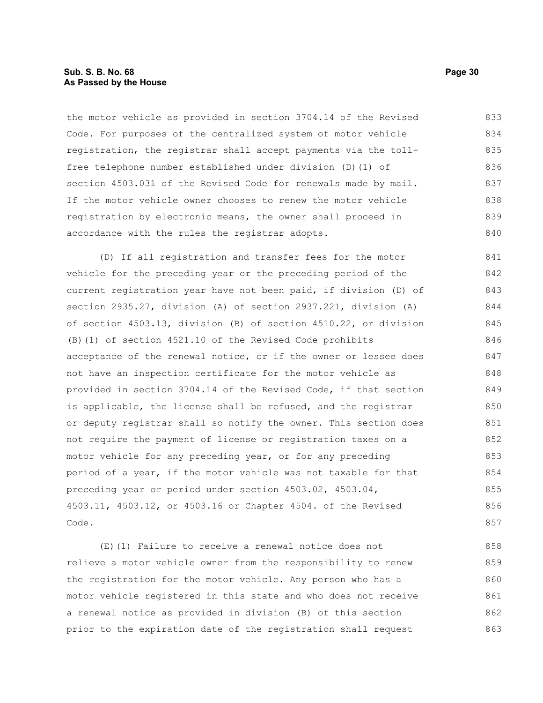the motor vehicle as provided in section 3704.14 of the Revised Code. For purposes of the centralized system of motor vehicle registration, the registrar shall accept payments via the tollfree telephone number established under division (D)(1) of section 4503.031 of the Revised Code for renewals made by mail. If the motor vehicle owner chooses to renew the motor vehicle registration by electronic means, the owner shall proceed in accordance with the rules the registrar adopts. 833 834 835 836 837 838 839 840

(D) If all registration and transfer fees for the motor vehicle for the preceding year or the preceding period of the current registration year have not been paid, if division (D) of section 2935.27, division (A) of section 2937.221, division (A) of section 4503.13, division (B) of section 4510.22, or division (B)(1) of section 4521.10 of the Revised Code prohibits acceptance of the renewal notice, or if the owner or lessee does not have an inspection certificate for the motor vehicle as provided in section 3704.14 of the Revised Code, if that section is applicable, the license shall be refused, and the registrar or deputy registrar shall so notify the owner. This section does not require the payment of license or registration taxes on a motor vehicle for any preceding year, or for any preceding period of a year, if the motor vehicle was not taxable for that preceding year or period under section 4503.02, 4503.04, 4503.11, 4503.12, or 4503.16 or Chapter 4504. of the Revised Code. 841 842 843 844 845 846 847 848 849 850 851 852 853 854 855 856 857

(E)(1) Failure to receive a renewal notice does not relieve a motor vehicle owner from the responsibility to renew the registration for the motor vehicle. Any person who has a motor vehicle registered in this state and who does not receive a renewal notice as provided in division (B) of this section prior to the expiration date of the registration shall request 858 859 860 861 862 863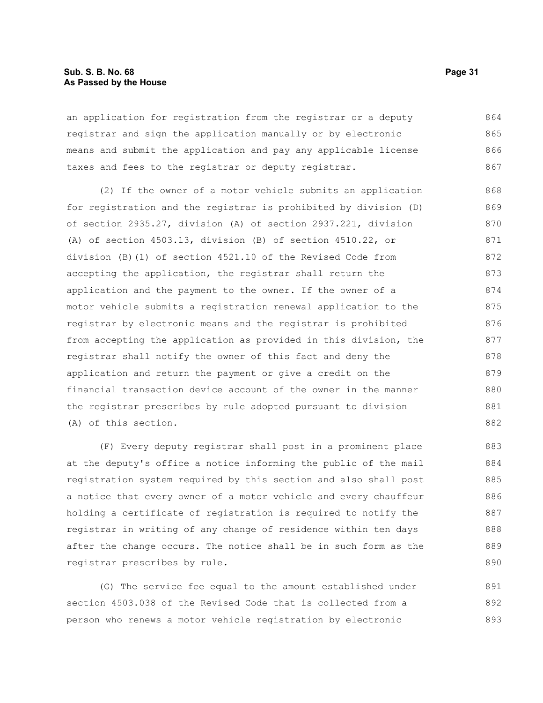#### **Sub. S. B. No. 68 Page 31 As Passed by the House**

an application for registration from the registrar or a deputy registrar and sign the application manually or by electronic means and submit the application and pay any applicable license taxes and fees to the registrar or deputy registrar. 864 865 866 867

(2) If the owner of a motor vehicle submits an application for registration and the registrar is prohibited by division (D) of section 2935.27, division (A) of section 2937.221, division (A) of section 4503.13, division (B) of section 4510.22, or division (B)(1) of section 4521.10 of the Revised Code from accepting the application, the registrar shall return the application and the payment to the owner. If the owner of a motor vehicle submits a registration renewal application to the registrar by electronic means and the registrar is prohibited from accepting the application as provided in this division, the registrar shall notify the owner of this fact and deny the application and return the payment or give a credit on the financial transaction device account of the owner in the manner the registrar prescribes by rule adopted pursuant to division (A) of this section. 868 869 870 871 872 873 874 875 876 877 878 879 880 881 882

(F) Every deputy registrar shall post in a prominent place at the deputy's office a notice informing the public of the mail registration system required by this section and also shall post a notice that every owner of a motor vehicle and every chauffeur holding a certificate of registration is required to notify the registrar in writing of any change of residence within ten days after the change occurs. The notice shall be in such form as the registrar prescribes by rule.

(G) The service fee equal to the amount established under section 4503.038 of the Revised Code that is collected from a person who renews a motor vehicle registration by electronic 891 892 893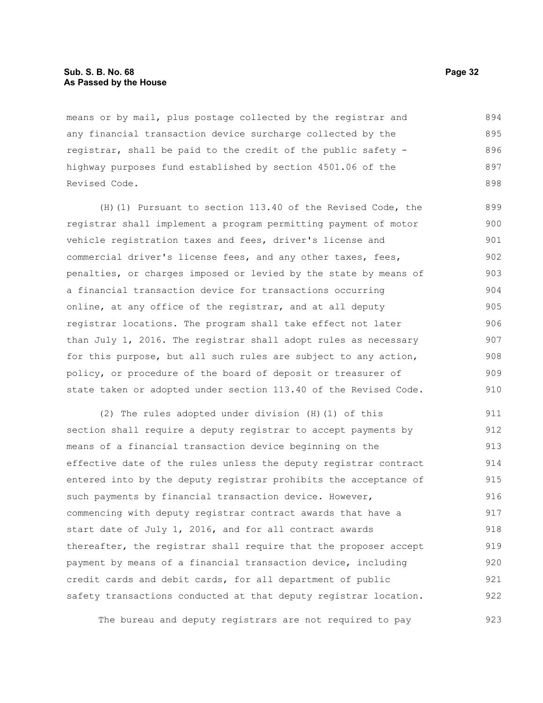#### **Sub. S. B. No. 68 Page 32 As Passed by the House**

means or by mail, plus postage collected by the registrar and any financial transaction device surcharge collected by the registrar, shall be paid to the credit of the public safety highway purposes fund established by section 4501.06 of the Revised Code. 894 895 896 897 898

(H)(1) Pursuant to section 113.40 of the Revised Code, the registrar shall implement a program permitting payment of motor vehicle registration taxes and fees, driver's license and commercial driver's license fees, and any other taxes, fees, penalties, or charges imposed or levied by the state by means of a financial transaction device for transactions occurring online, at any office of the registrar, and at all deputy registrar locations. The program shall take effect not later than July 1, 2016. The registrar shall adopt rules as necessary for this purpose, but all such rules are subject to any action, policy, or procedure of the board of deposit or treasurer of state taken or adopted under section 113.40 of the Revised Code. 899 900 901 902 903 904 905 906 907 908 909 910

(2) The rules adopted under division (H)(1) of this section shall require a deputy registrar to accept payments by means of a financial transaction device beginning on the effective date of the rules unless the deputy registrar contract entered into by the deputy registrar prohibits the acceptance of such payments by financial transaction device. However, commencing with deputy registrar contract awards that have a start date of July 1, 2016, and for all contract awards thereafter, the registrar shall require that the proposer accept payment by means of a financial transaction device, including credit cards and debit cards, for all department of public safety transactions conducted at that deputy registrar location. 911 912 913 914 915 916 917 918 919 920 921 922

The bureau and deputy registrars are not required to pay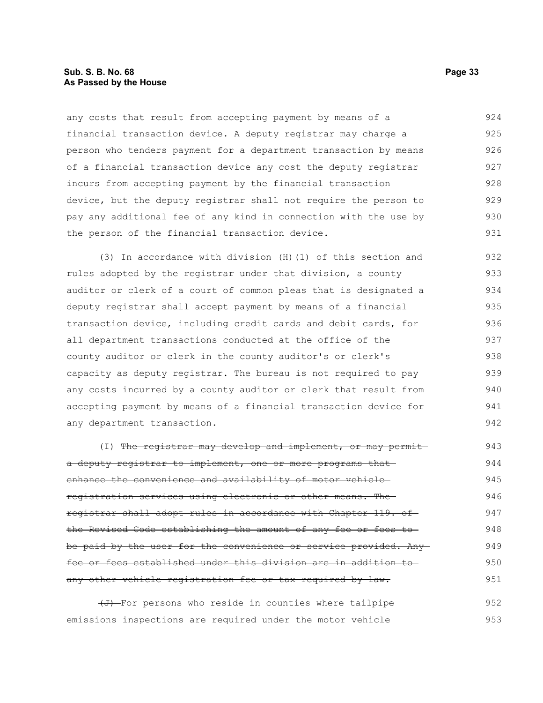#### **Sub. S. B. No. 68 Page 33 As Passed by the House**

any costs that result from accepting payment by means of a financial transaction device. A deputy registrar may charge a person who tenders payment for a department transaction by means of a financial transaction device any cost the deputy registrar incurs from accepting payment by the financial transaction device, but the deputy registrar shall not require the person to pay any additional fee of any kind in connection with the use by the person of the financial transaction device. 924 925 926 927 928 929 930 931

(3) In accordance with division (H)(1) of this section and rules adopted by the registrar under that division, a county auditor or clerk of a court of common pleas that is designated a deputy registrar shall accept payment by means of a financial transaction device, including credit cards and debit cards, for all department transactions conducted at the office of the county auditor or clerk in the county auditor's or clerk's capacity as deputy registrar. The bureau is not required to pay any costs incurred by a county auditor or clerk that result from accepting payment by means of a financial transaction device for any department transaction. 932 933 934 935 936 937 938 939 940 941 942

(I) The registrar may develop and implement, or may permita deputy registrar to implement, one or more programs thatenhance the convenience and availability of motor vehicle registration services using electronic or other means. The registrar shall adopt rules in accordance with Chapter 119. of the Revised Code establishing the amount of any fee or fees to be paid by the user for the convenience or service provided. Any fee or fees established under this division are in addition to any other vehicle registration fee or tax required by law. 943 944 945 946 947 948 949 950 951

(J) For persons who reside in counties where tailpipe emissions inspections are required under the motor vehicle 952 953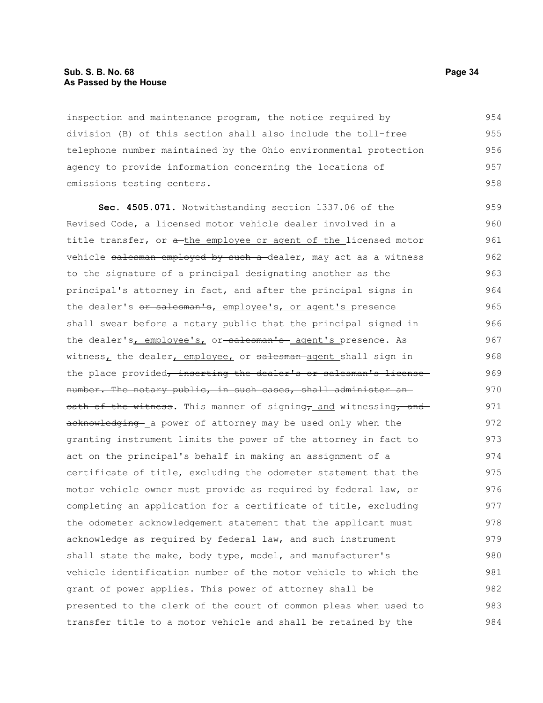#### **Sub. S. B. No. 68 Page 34 As Passed by the House**

inspection and maintenance program, the notice required by division (B) of this section shall also include the toll-free telephone number maintained by the Ohio environmental protection agency to provide information concerning the locations of emissions testing centers. 954 955 956 957 958

**Sec. 4505.071.** Notwithstanding section 1337.06 of the Revised Code, a licensed motor vehicle dealer involved in a title transfer, or  $a$ -the employee or agent of the licensed motor vehicle salesman employed by such a dealer, may act as a witness to the signature of a principal designating another as the principal's attorney in fact, and after the principal signs in the dealer's or salesman's, employee's, or agent's presence shall swear before a notary public that the principal signed in the dealer's, employee's, or salesman's agent's presence. As witness, the dealer, employee, or salesman agent shall sign in the place provided, inserting the dealer's or salesman's license number. The notary public, in such cases, shall administer anoath of the witness. This manner of signing<sub>r</sub> and witnessing, and acknowledging a power of attorney may be used only when the granting instrument limits the power of the attorney in fact to act on the principal's behalf in making an assignment of a certificate of title, excluding the odometer statement that the motor vehicle owner must provide as required by federal law, or completing an application for a certificate of title, excluding the odometer acknowledgement statement that the applicant must acknowledge as required by federal law, and such instrument shall state the make, body type, model, and manufacturer's vehicle identification number of the motor vehicle to which the grant of power applies. This power of attorney shall be presented to the clerk of the court of common pleas when used to transfer title to a motor vehicle and shall be retained by the 959 960 961 962 963 964 965 966 967 968 969 970 971 972 973 974 975 976 977 978 979 980 981 982 983 984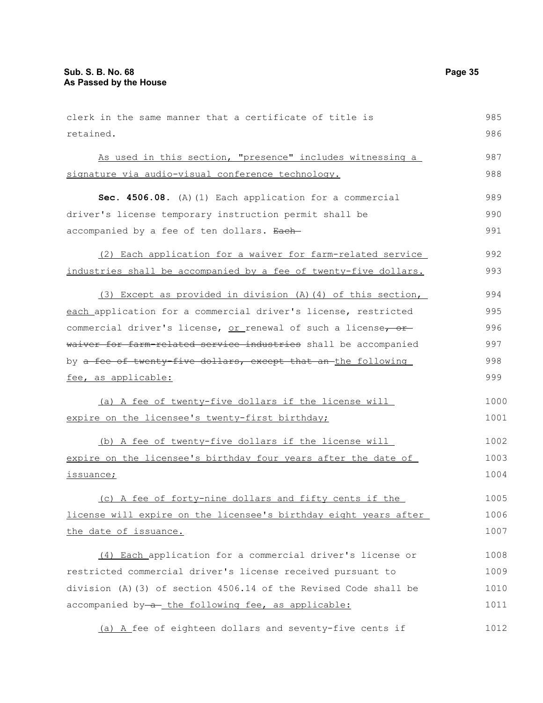| clerk in the same manner that a certificate of title is          | 985  |
|------------------------------------------------------------------|------|
| retained.                                                        | 986  |
| As used in this section, "presence" includes witnessing a        | 987  |
| signature via audio-visual conference technology.                | 988  |
| Sec. 4506.08. (A) (1) Each application for a commercial          | 989  |
| driver's license temporary instruction permit shall be           | 990  |
| accompanied by a fee of ten dollars. Each-                       | 991  |
| (2) Each application for a waiver for farm-related service       | 992  |
| industries shall be accompanied by a fee of twenty-five dollars. | 993  |
| (3) Except as provided in division (A)(4) of this section,       | 994  |
| each application for a commercial driver's license, restricted   | 995  |
| commercial driver's license, or renewal of such a license, or    | 996  |
| waiver for farm-related service industries shall be accompanied  | 997  |
| by a fee of twenty-five dollars, except that an the following    | 998  |
| fee, as applicable:                                              | 999  |
| (a) A fee of twenty-five dollars if the license will             | 1000 |
| expire on the licensee's twenty-first birthday;                  | 1001 |
| (b) A fee of twenty-five dollars if the license will             | 1002 |
| expire on the licensee's birthday four years after the date of   | 1003 |
| issuance;                                                        | 1004 |
| (c) A fee of forty-nine dollars and fifty cents if the           | 1005 |
| license will expire on the licensee's birthday eight years after | 1006 |
| the date of issuance.                                            | 1007 |
| (4) Each application for a commercial driver's license or        | 1008 |
| restricted commercial driver's license received pursuant to      | 1009 |
| division (A)(3) of section 4506.14 of the Revised Code shall be  | 1010 |
| accompanied by-a- the following fee, as applicable:              | 1011 |

(a) A fee of eighteen dollars and seventy-five cents if 1012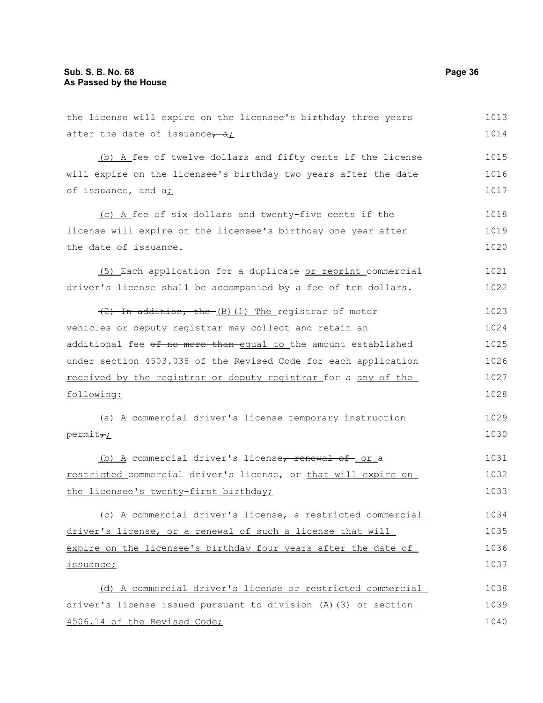of issuance, and al

the date of issuance.

after the date of issuance $\frac{\partial f}{\partial x}$ 

### the license will expire on the licensee's birthday three years (b) A fee of twelve dollars and fifty cents if the license will expire on the licensee's birthday two years after the date (c) A fee of six dollars and twenty-five cents if the license will expire on the licensee's birthday one year after (5) Each application for a duplicate or reprint commercial driver's license shall be accompanied by a fee of ten dollars. 1013 1014 1015 1016 1017 1018 1019 1020 1021 1022

(2) In addition, the (B)(1) The registrar of motor vehicles or deputy registrar may collect and retain an additional fee of no more than equal to the amount established under section 4503.038 of the Revised Code for each application received by the registrar or deputy registrar for  $a$ -any of the following: 1023 1024 1025 1026 1027 1028

(a) A commercial driver's license temporary instruction  $permit$ 1029 1030

(b) A commercial driver's license, renewal of or a restricted commercial driver's license<del>, or</del> that will expire on the licensee's twenty-first birthday; 1031 1032 1033

(c) A commercial driver's license, a restricted commercial driver's license, or a renewal of such a license that will expire on the licensee's birthday four years after the date of issuance; 1034 1035 1036 1037

(d) A commercial driver's license or restricted commercial driver's license issued pursuant to division (A)(3) of section 4506.14 of the Revised Code; 1038 1039 1040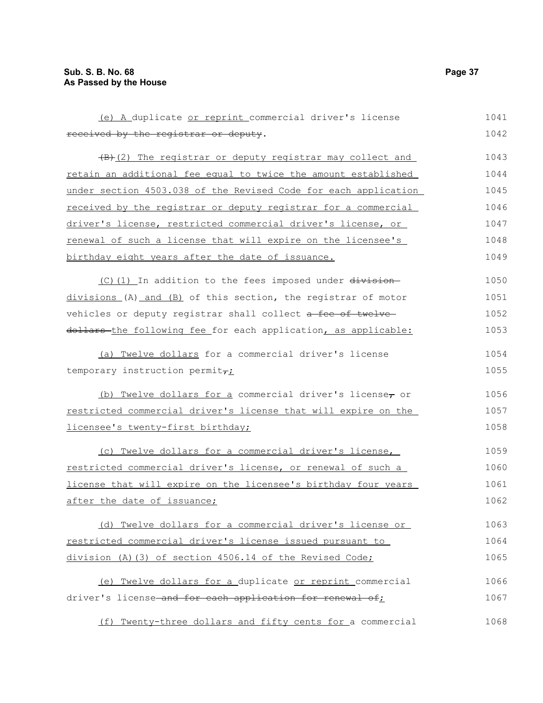| (e) A duplicate or reprint commercial driver's license               | 1041 |
|----------------------------------------------------------------------|------|
| received by the registrar or deputy.                                 | 1042 |
| (B) (2) The registrar or deputy registrar may collect and            | 1043 |
| retain an additional fee equal to twice the amount established       | 1044 |
| under section 4503.038 of the Revised Code for each application      | 1045 |
| received by the registrar or deputy registrar for a commercial       | 1046 |
| driver's license, restricted commercial driver's license, or         | 1047 |
| renewal of such a license that will expire on the licensee's         | 1048 |
| birthday eight years after the date of issuance.                     | 1049 |
| (C)(1) In addition to the fees imposed under division                | 1050 |
| divisions (A) and (B) of this section, the registrar of motor        | 1051 |
| vehicles or deputy registrar shall collect a fee of twelve-          | 1052 |
| dollars-the following fee for each application, as applicable:       | 1053 |
| (a) Twelve dollars for a commercial driver's license                 | 1054 |
| temporary instruction permitri                                       | 1055 |
| (b) Twelve dollars for a commercial driver's license <sub>r</sub> or | 1056 |
| restricted commercial driver's license that will expire on the       | 1057 |
| licensee's twenty-first birthday;                                    | 1058 |
| (c) Twelve dollars for a commercial driver's license,                | 1059 |
| restricted commercial driver's license, or renewal of such a         | 1060 |
| license that will expire on the licensee's birthday four years       | 1061 |
| after the date of issuance;                                          | 1062 |
| (d) Twelve dollars for a commercial driver's license or              | 1063 |
| restricted commercial driver's license issued pursuant to            | 1064 |
| division (A) (3) of section 4506.14 of the Revised Code;             | 1065 |
| (e) Twelve dollars for a duplicate or reprint commercial             | 1066 |
| driver's license and for each application for renewal of;            | 1067 |
| (f) Twenty-three dollars and fifty cents for a commercial            | 1068 |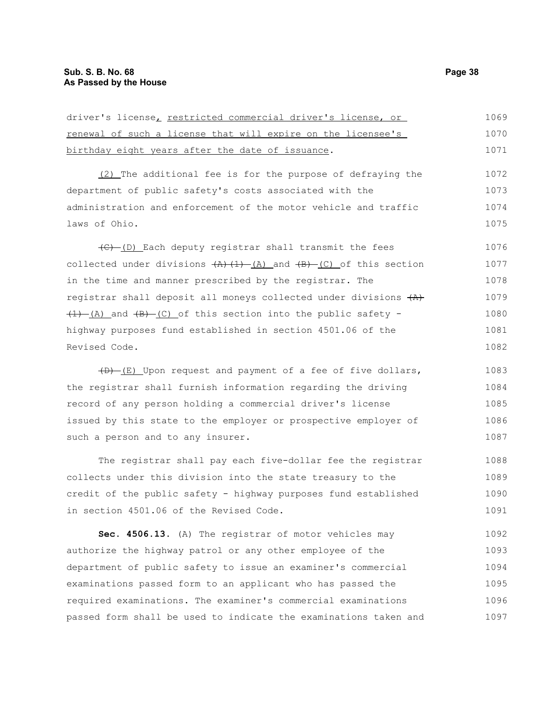| driver's license <u>, restricted commercial driver's license, or </u>                        | 1069 |
|----------------------------------------------------------------------------------------------|------|
| renewal of such a license that will expire on the licensee's                                 | 1070 |
| <u>birthday eight years after the date of issuance.</u>                                      | 1071 |
| (2) The additional fee is for the purpose of defraying the                                   | 1072 |
| department of public safety's costs associated with the                                      | 1073 |
| administration and enforcement of the motor vehicle and traffic                              | 1074 |
| laws of Ohio.                                                                                | 1075 |
| $\left(\frac{f}{f} - \frac{f}{f}\right)$ Each deputy registrar shall transmit the fees       | 1076 |
| collected under divisions $(A)$ $(1)$ $(A)$ and $(B)$ $(C)$ of this section                  | 1077 |
| in the time and manner prescribed by the registrar. The                                      | 1078 |
| registrar shall deposit all moneys collected under divisions (A)                             | 1079 |
| $\frac{(1) - (A)}{(A)}$ and $\frac{(B) - (C)}{(B)}$ of this section into the public safety - | 1080 |
| highway purposes fund established in section 4501.06 of the                                  | 1081 |
| Revised Code.                                                                                | 1082 |
| (B) (E) Upon request and payment of a fee of five dollars,                                   | 1083 |
| the registrar shall furnish information regarding the driving                                | 1084 |
| record of any person holding a commercial driver's license                                   | 1085 |
| issued by this state to the employer or prospective employer of                              | 1086 |
| such a person and to any insurer.                                                            | 1087 |
| The registrar shall pay each five-dollar fee the registrar                                   | 1088 |

collects under this division into the state treasury to the credit of the public safety - highway purposes fund established in section 4501.06 of the Revised Code. 1089 1090 1091

**Sec. 4506.13.** (A) The registrar of motor vehicles may authorize the highway patrol or any other employee of the department of public safety to issue an examiner's commercial examinations passed form to an applicant who has passed the required examinations. The examiner's commercial examinations passed form shall be used to indicate the examinations taken and 1092 1093 1094 1095 1096 1097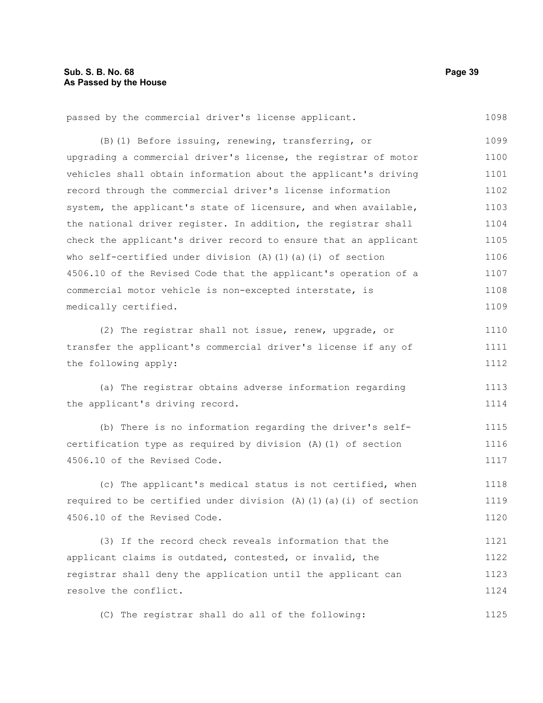passed by the commercial driver's license applicant.

(B)(1) Before issuing, renewing, transferring, or upgrading a commercial driver's license, the registrar of motor vehicles shall obtain information about the applicant's driving record through the commercial driver's license information system, the applicant's state of licensure, and when available, the national driver register. In addition, the registrar shall check the applicant's driver record to ensure that an applicant who self-certified under division (A)(1)(a)(i) of section 4506.10 of the Revised Code that the applicant's operation of a commercial motor vehicle is non-excepted interstate, is medically certified. 1099 1100 1101 1102 1103 1104 1105 1106 1107 1108 1109

(2) The registrar shall not issue, renew, upgrade, or transfer the applicant's commercial driver's license if any of the following apply:

(a) The registrar obtains adverse information regarding the applicant's driving record. 1113 1114

(b) There is no information regarding the driver's selfcertification type as required by division (A)(1) of section 4506.10 of the Revised Code. 1115 1116 1117

(c) The applicant's medical status is not certified, when required to be certified under division  $(A)$   $(1)$   $(a)$   $(i)$  of section 4506.10 of the Revised Code. 1118 1119 1120

(3) If the record check reveals information that the applicant claims is outdated, contested, or invalid, the registrar shall deny the application until the applicant can resolve the conflict. 1121 1122 1123 1124

(C) The registrar shall do all of the following: 1125

1098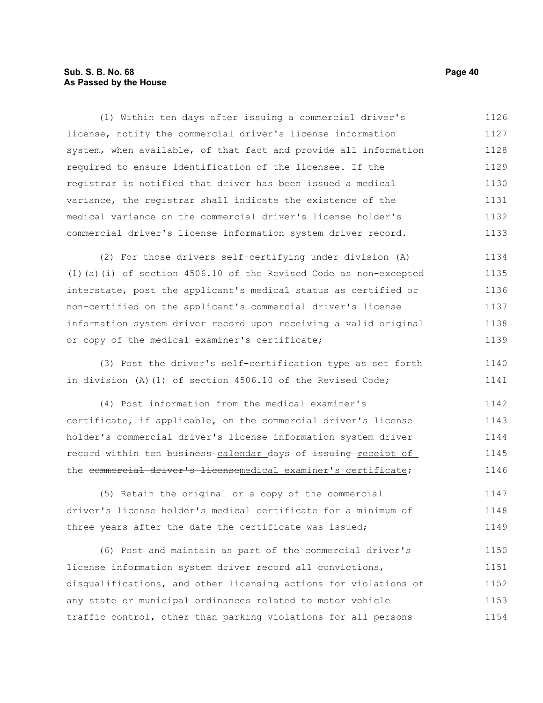# **Sub. S. B. No. 68 Page 40 As Passed by the House**

(1) Within ten days after issuing a commercial driver's license, notify the commercial driver's license information system, when available, of that fact and provide all information required to ensure identification of the licensee. If the registrar is notified that driver has been issued a medical variance, the registrar shall indicate the existence of the medical variance on the commercial driver's license holder's commercial driver's license information system driver record. 1126 1127 1128 1129 1130 1131 1132 1133

(2) For those drivers self-certifying under division (A) (1)(a)(i) of section 4506.10 of the Revised Code as non-excepted interstate, post the applicant's medical status as certified or non-certified on the applicant's commercial driver's license information system driver record upon receiving a valid original or copy of the medical examiner's certificate; 1134 1135 1136 1137 1138 1139

(3) Post the driver's self-certification type as set forth in division (A)(1) of section 4506.10 of the Revised Code; 1140 1141

(4) Post information from the medical examiner's certificate, if applicable, on the commercial driver's license holder's commercial driver's license information system driver record within ten business calendar days of issuing receipt of the commercial driver's licensemedical examiner's certificate; 1142 1143 1144 1145 1146

(5) Retain the original or a copy of the commercial driver's license holder's medical certificate for a minimum of three years after the date the certificate was issued; 1147 1148 1149

(6) Post and maintain as part of the commercial driver's license information system driver record all convictions, disqualifications, and other licensing actions for violations of any state or municipal ordinances related to motor vehicle traffic control, other than parking violations for all persons 1150 1151 1152 1153 1154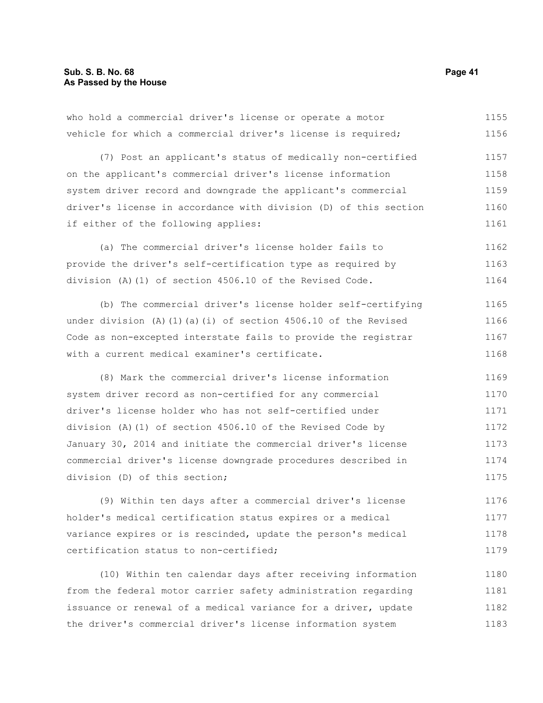## **Sub. S. B. No. 68 Page 41 As Passed by the House**

who hold a commercial driver's license or operate a motor vehicle for which a commercial driver's license is required; 1155 1156

(7) Post an applicant's status of medically non-certified on the applicant's commercial driver's license information system driver record and downgrade the applicant's commercial driver's license in accordance with division (D) of this section if either of the following applies: 1157 1158 1159 1160 1161

(a) The commercial driver's license holder fails to provide the driver's self-certification type as required by division (A)(1) of section 4506.10 of the Revised Code. 1162 1163 1164

(b) The commercial driver's license holder self-certifying under division (A)(1)(a)(i) of section 4506.10 of the Revised Code as non-excepted interstate fails to provide the registrar with a current medical examiner's certificate. 1165 1166 1167 1168

(8) Mark the commercial driver's license information system driver record as non-certified for any commercial driver's license holder who has not self-certified under division (A)(1) of section 4506.10 of the Revised Code by January 30, 2014 and initiate the commercial driver's license commercial driver's license downgrade procedures described in division (D) of this section; 1169 1170 1171 1172 1173 1174 1175

(9) Within ten days after a commercial driver's license holder's medical certification status expires or a medical variance expires or is rescinded, update the person's medical certification status to non-certified; 1176 1177 1178 1179

(10) Within ten calendar days after receiving information from the federal motor carrier safety administration regarding issuance or renewal of a medical variance for a driver, update the driver's commercial driver's license information system 1180 1181 1182 1183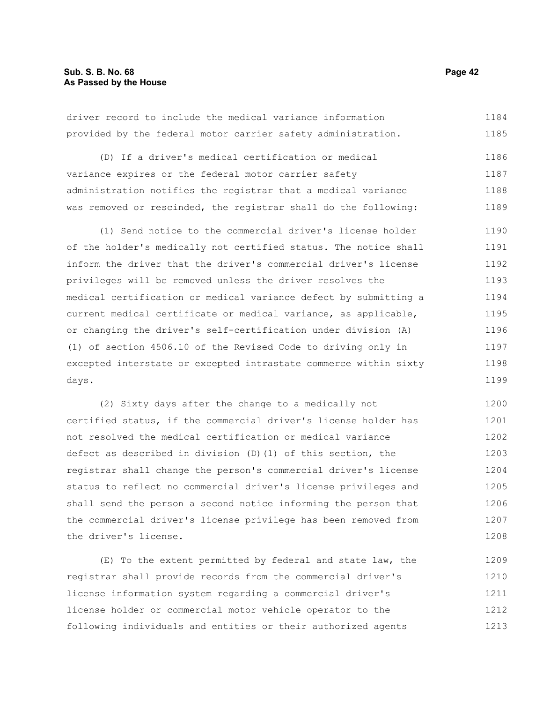driver record to include the medical variance information provided by the federal motor carrier safety administration. 1184 1185

(D) If a driver's medical certification or medical variance expires or the federal motor carrier safety administration notifies the registrar that a medical variance was removed or rescinded, the registrar shall do the following: 1186 1187 1188 1189

(1) Send notice to the commercial driver's license holder of the holder's medically not certified status. The notice shall inform the driver that the driver's commercial driver's license privileges will be removed unless the driver resolves the medical certification or medical variance defect by submitting a current medical certificate or medical variance, as applicable, or changing the driver's self-certification under division (A) (1) of section 4506.10 of the Revised Code to driving only in excepted interstate or excepted intrastate commerce within sixty days. 1190 1191 1192 1193 1194 1195 1196 1197 1198 1199

(2) Sixty days after the change to a medically not certified status, if the commercial driver's license holder has not resolved the medical certification or medical variance defect as described in division (D)(1) of this section, the registrar shall change the person's commercial driver's license status to reflect no commercial driver's license privileges and shall send the person a second notice informing the person that the commercial driver's license privilege has been removed from the driver's license. 1200 1201 1202 1203 1204 1205 1206 1207 1208

(E) To the extent permitted by federal and state law, the registrar shall provide records from the commercial driver's license information system regarding a commercial driver's license holder or commercial motor vehicle operator to the following individuals and entities or their authorized agents 1209 1210 1211 1212 1213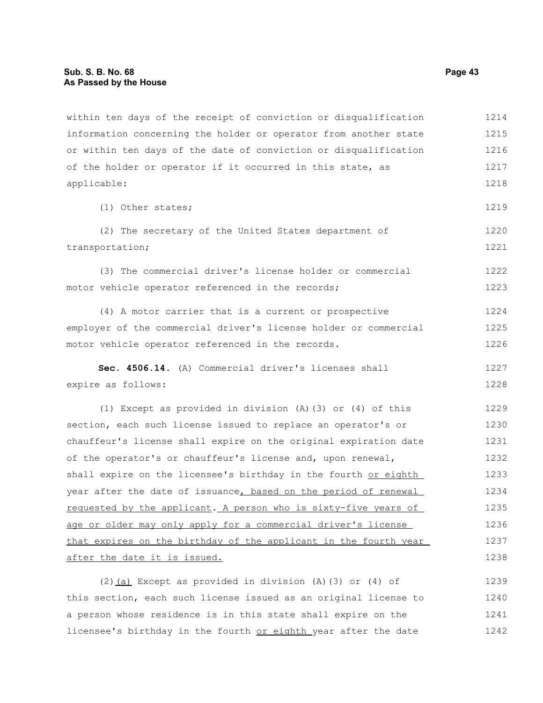within ten days of the receipt of conviction or disqualification information concerning the holder or operator from another state or within ten days of the date of conviction or disqualification of the holder or operator if it occurred in this state, as applicable: 1214 1215 1216 1217 1218

(1) Other states;

(2) The secretary of the United States department of transportation; 1220 1221

(3) The commercial driver's license holder or commercial motor vehicle operator referenced in the records; 1222 1223

(4) A motor carrier that is a current or prospective employer of the commercial driver's license holder or commercial motor vehicle operator referenced in the records. 1224 1225 1226

**Sec. 4506.14.** (A) Commercial driver's licenses shall expire as follows: 1227 1228

(1) Except as provided in division (A)(3) or (4) of this section, each such license issued to replace an operator's or chauffeur's license shall expire on the original expiration date of the operator's or chauffeur's license and, upon renewal, shall expire on the licensee's birthday in the fourth or eighth year after the date of issuance, based on the period of renewal requested by the applicant. A person who is sixty-five years of age or older may only apply for a commercial driver's license that expires on the birthday of the applicant in the fourth year after the date it is issued. 1229 1230 1231 1232 1233 1234 1235 1236 1237 1238

(2)(a) Except as provided in division (A)(3) or (4) of this section, each such license issued as an original license to a person whose residence is in this state shall expire on the licensee's birthday in the fourth or eighth year after the date 1239 1240 1241 1242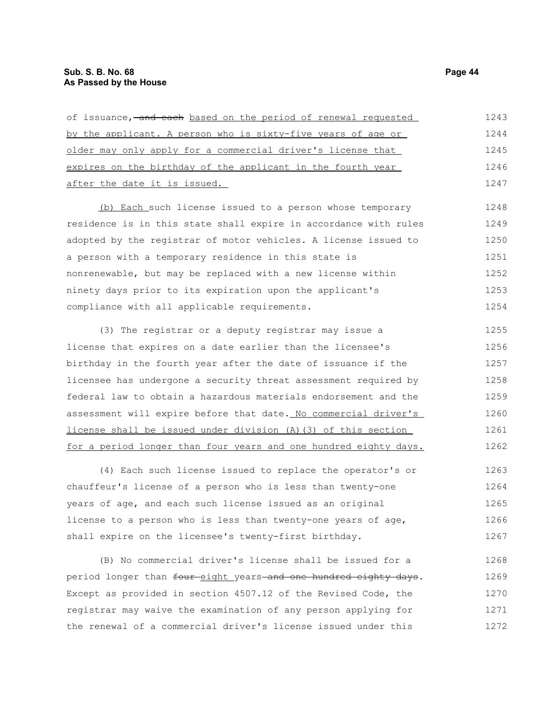| of issuance, and each based on the period of renewal requested   | 1243 |
|------------------------------------------------------------------|------|
| by the applicant. A person who is sixty-five years of age or     | 1244 |
| older may only apply for a commercial driver's license that      | 1245 |
| expires on the birthday of the applicant in the fourth year      | 1246 |
| after the date it is issued.                                     | 1247 |
| (b) Each such license issued to a person whose temporary         | 1248 |
| residence is in this state shall expire in accordance with rules | 1249 |
| adopted by the registrar of motor vehicles. A license issued to  | 1250 |
| a person with a temporary residence in this state is             | 1251 |
| nonrenewable, but may be replaced with a new license within      | 1252 |
| ninety days prior to its expiration upon the applicant's         | 1253 |
| compliance with all applicable requirements.                     | 1254 |
| (3) The registrar or a deputy registrar may issue a              | 1255 |
| license that expires on a date earlier than the licensee's       | 1256 |
| birthday in the fourth year after the date of issuance if the    | 1257 |
| licensee has undergone a security threat assessment required by  | 1258 |
| federal law to obtain a hazardous materials endorsement and the  | 1259 |
| assessment will expire before that date. No commercial driver's  | 1260 |
| license shall be issued under division (A) (3) of this section   | 1261 |

(4) Each such license issued to replace the operator's or chauffeur's license of a person who is less than twenty-one years of age, and each such license issued as an original license to a person who is less than twenty-one years of age, shall expire on the licensee's twenty-first birthday. 1263 1264 1265 1266 1267

for a period longer than four years and one hundred eighty days.

(B) No commercial driver's license shall be issued for a period longer than four eight years and one hundred eighty days. Except as provided in section 4507.12 of the Revised Code, the registrar may waive the examination of any person applying for the renewal of a commercial driver's license issued under this 1268 1269 1270 1271 1272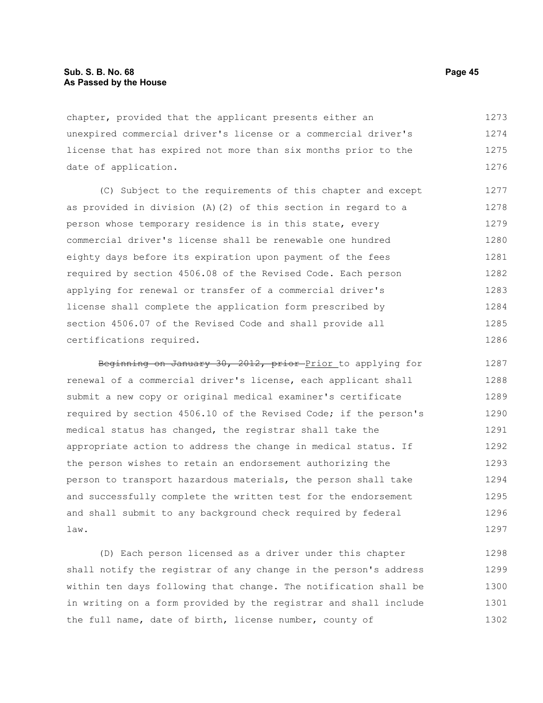chapter, provided that the applicant presents either an unexpired commercial driver's license or a commercial driver's license that has expired not more than six months prior to the date of application. 1273 1274 1275 1276

(C) Subject to the requirements of this chapter and except as provided in division (A)(2) of this section in regard to a person whose temporary residence is in this state, every commercial driver's license shall be renewable one hundred eighty days before its expiration upon payment of the fees required by section 4506.08 of the Revised Code. Each person applying for renewal or transfer of a commercial driver's license shall complete the application form prescribed by section 4506.07 of the Revised Code and shall provide all certifications required. 1277 1278 1279 1280 1281 1282 1283 1284 1285 1286

Beginning on January 30, 2012, prior Prior to applying for renewal of a commercial driver's license, each applicant shall submit a new copy or original medical examiner's certificate required by section 4506.10 of the Revised Code; if the person's medical status has changed, the registrar shall take the appropriate action to address the change in medical status. If the person wishes to retain an endorsement authorizing the person to transport hazardous materials, the person shall take and successfully complete the written test for the endorsement and shall submit to any background check required by federal law. 1287 1288 1289 1290 1291 1292 1293 1294 1295 1296 1297

(D) Each person licensed as a driver under this chapter shall notify the registrar of any change in the person's address within ten days following that change. The notification shall be in writing on a form provided by the registrar and shall include the full name, date of birth, license number, county of 1298 1299 1300 1301 1302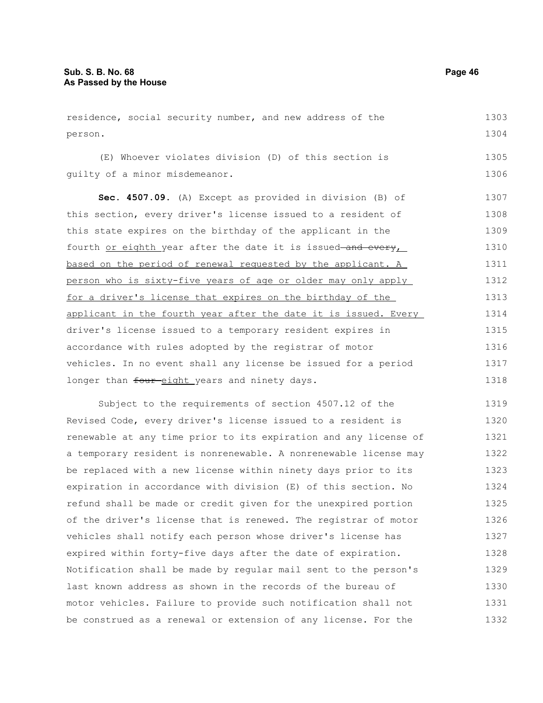residence, social security number, and new address of the person. (E) Whoever violates division (D) of this section is guilty of a minor misdemeanor. **Sec. 4507.09.** (A) Except as provided in division (B) of this section, every driver's license issued to a resident of this state expires on the birthday of the applicant in the fourth <u>or eighth year after</u> the date it is issued and every, based on the period of renewal requested by the applicant. A person who is sixty-five years of age or older may only apply for a driver's license that expires on the birthday of the applicant in the fourth year after the date it is issued. Every driver's license issued to a temporary resident expires in accordance with rules adopted by the registrar of motor vehicles. In no event shall any license be issued for a period longer than four-eight years and ninety days. Subject to the requirements of section 4507.12 of the 1303 1304 1305 1306 1307 1308 1309 1310 1311 1312 1313 1314 1315 1316 1317 1318 1319

Revised Code, every driver's license issued to a resident is renewable at any time prior to its expiration and any license of a temporary resident is nonrenewable. A nonrenewable license may be replaced with a new license within ninety days prior to its expiration in accordance with division (E) of this section. No refund shall be made or credit given for the unexpired portion of the driver's license that is renewed. The registrar of motor vehicles shall notify each person whose driver's license has expired within forty-five days after the date of expiration. Notification shall be made by regular mail sent to the person's last known address as shown in the records of the bureau of motor vehicles. Failure to provide such notification shall not be construed as a renewal or extension of any license. For the 1320 1321 1322 1323 1324 1325 1326 1327 1328 1329 1330 1331 1332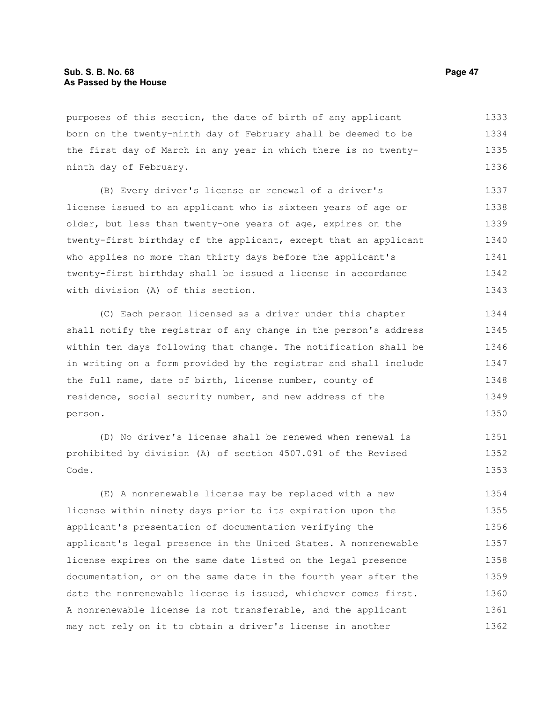purposes of this section, the date of birth of any applicant born on the twenty-ninth day of February shall be deemed to be the first day of March in any year in which there is no twentyninth day of February. 1333 1334 1335 1336

(B) Every driver's license or renewal of a driver's license issued to an applicant who is sixteen years of age or older, but less than twenty-one years of age, expires on the twenty-first birthday of the applicant, except that an applicant who applies no more than thirty days before the applicant's twenty-first birthday shall be issued a license in accordance with division (A) of this section. 1337 1338 1339 1340 1341 1342 1343

(C) Each person licensed as a driver under this chapter shall notify the registrar of any change in the person's address within ten days following that change. The notification shall be in writing on a form provided by the registrar and shall include the full name, date of birth, license number, county of residence, social security number, and new address of the person. 1344 1345 1346 1347 1348 1349 1350

(D) No driver's license shall be renewed when renewal is prohibited by division (A) of section 4507.091 of the Revised Code. 1351 1352 1353

(E) A nonrenewable license may be replaced with a new license within ninety days prior to its expiration upon the applicant's presentation of documentation verifying the applicant's legal presence in the United States. A nonrenewable license expires on the same date listed on the legal presence documentation, or on the same date in the fourth year after the date the nonrenewable license is issued, whichever comes first. A nonrenewable license is not transferable, and the applicant may not rely on it to obtain a driver's license in another 1354 1355 1356 1357 1358 1359 1360 1361 1362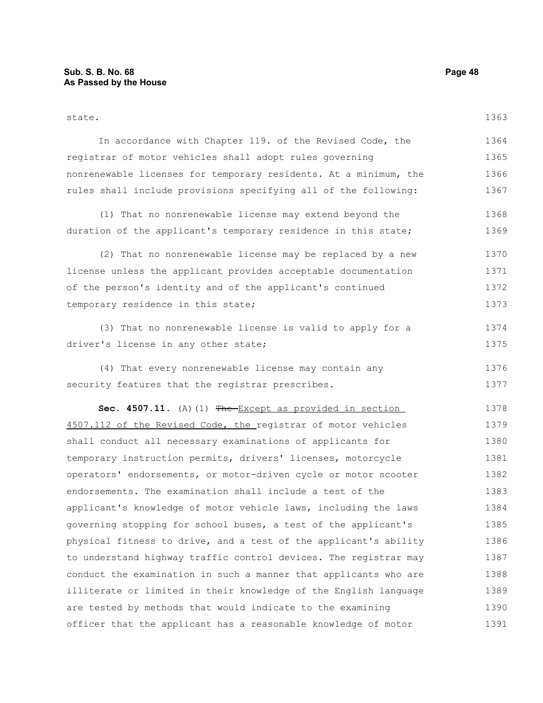#### state. In accordance with Chapter 119. of the Revised Code, the registrar of motor vehicles shall adopt rules governing nonrenewable licenses for temporary residents. At a minimum, the rules shall include provisions specifying all of the following: (1) That no nonrenewable license may extend beyond the duration of the applicant's temporary residence in this state; (2) That no nonrenewable license may be replaced by a new license unless the applicant provides acceptable documentation of the person's identity and of the applicant's continued temporary residence in this state; (3) That no nonrenewable license is valid to apply for a driver's license in any other state; (4) That every nonrenewable license may contain any security features that the registrar prescribes. **Sec. 4507.11.** (A)(1) The Except as provided in section 4507.112 of the Revised Code, the registrar of motor vehicles shall conduct all necessary examinations of applicants for temporary instruction permits, drivers' licenses, motorcycle operators' endorsements, or motor-driven cycle or motor scooter endorsements. The examination shall include a test of the applicant's knowledge of motor vehicle laws, including the laws governing stopping for school buses, a test of the applicant's physical fitness to drive, and a test of the applicant's ability to understand highway traffic control devices. The registrar may 1363 1364 1365 1366 1367 1368 1369 1370 1371 1372 1373 1374 1375 1376 1377 1378 1379 1380 1381 1382 1383 1384 1385 1386 1387

conduct the examination in such a manner that applicants who are illiterate or limited in their knowledge of the English language

officer that the applicant has a reasonable knowledge of motor

are tested by methods that would indicate to the examining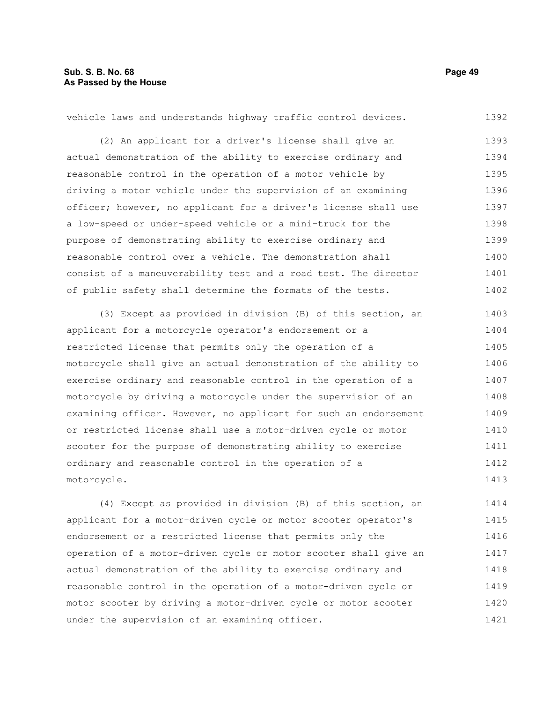vehicle laws and understands highway traffic control devices. 1392

(2) An applicant for a driver's license shall give an actual demonstration of the ability to exercise ordinary and reasonable control in the operation of a motor vehicle by driving a motor vehicle under the supervision of an examining officer; however, no applicant for a driver's license shall use a low-speed or under-speed vehicle or a mini-truck for the purpose of demonstrating ability to exercise ordinary and reasonable control over a vehicle. The demonstration shall consist of a maneuverability test and a road test. The director of public safety shall determine the formats of the tests. 1393 1394 1395 1396 1397 1398 1399 1400 1401 1402

(3) Except as provided in division (B) of this section, an applicant for a motorcycle operator's endorsement or a restricted license that permits only the operation of a motorcycle shall give an actual demonstration of the ability to exercise ordinary and reasonable control in the operation of a motorcycle by driving a motorcycle under the supervision of an examining officer. However, no applicant for such an endorsement or restricted license shall use a motor-driven cycle or motor scooter for the purpose of demonstrating ability to exercise ordinary and reasonable control in the operation of a motorcycle. 1403 1404 1405 1406 1407 1408 1409 1410 1411 1412 1413

(4) Except as provided in division (B) of this section, an applicant for a motor-driven cycle or motor scooter operator's endorsement or a restricted license that permits only the operation of a motor-driven cycle or motor scooter shall give an actual demonstration of the ability to exercise ordinary and reasonable control in the operation of a motor-driven cycle or motor scooter by driving a motor-driven cycle or motor scooter under the supervision of an examining officer. 1414 1415 1416 1417 1418 1419 1420 1421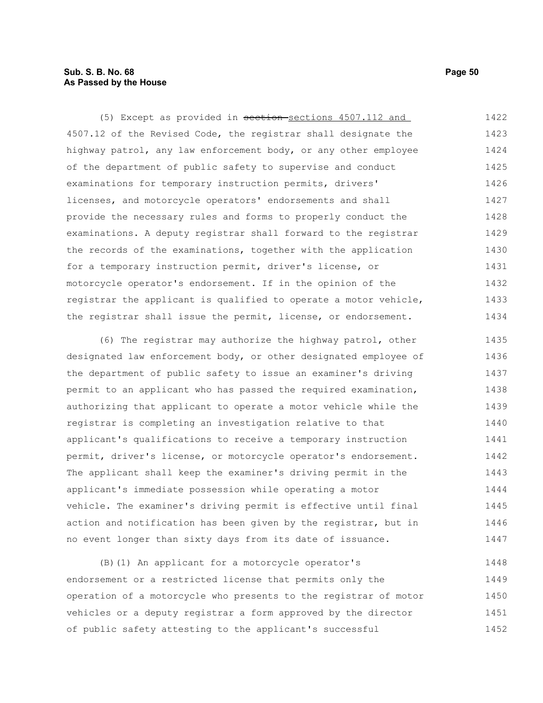# **Sub. S. B. No. 68 Page 50 As Passed by the House**

(5) Except as provided in section-sections 4507.112 and 4507.12 of the Revised Code, the registrar shall designate the highway patrol, any law enforcement body, or any other employee of the department of public safety to supervise and conduct examinations for temporary instruction permits, drivers' licenses, and motorcycle operators' endorsements and shall provide the necessary rules and forms to properly conduct the examinations. A deputy registrar shall forward to the registrar the records of the examinations, together with the application for a temporary instruction permit, driver's license, or motorcycle operator's endorsement. If in the opinion of the registrar the applicant is qualified to operate a motor vehicle, the registrar shall issue the permit, license, or endorsement. 1422 1423 1424 1425 1426 1427 1428 1429 1430 1431 1432 1433 1434

(6) The registrar may authorize the highway patrol, other designated law enforcement body, or other designated employee of the department of public safety to issue an examiner's driving permit to an applicant who has passed the required examination, authorizing that applicant to operate a motor vehicle while the registrar is completing an investigation relative to that applicant's qualifications to receive a temporary instruction permit, driver's license, or motorcycle operator's endorsement. The applicant shall keep the examiner's driving permit in the applicant's immediate possession while operating a motor vehicle. The examiner's driving permit is effective until final action and notification has been given by the registrar, but in no event longer than sixty days from its date of issuance. 1435 1436 1437 1438 1439 1440 1441 1442 1443 1444 1445 1446 1447

(B)(1) An applicant for a motorcycle operator's endorsement or a restricted license that permits only the operation of a motorcycle who presents to the registrar of motor vehicles or a deputy registrar a form approved by the director of public safety attesting to the applicant's successful 1448 1449 1450 1451 1452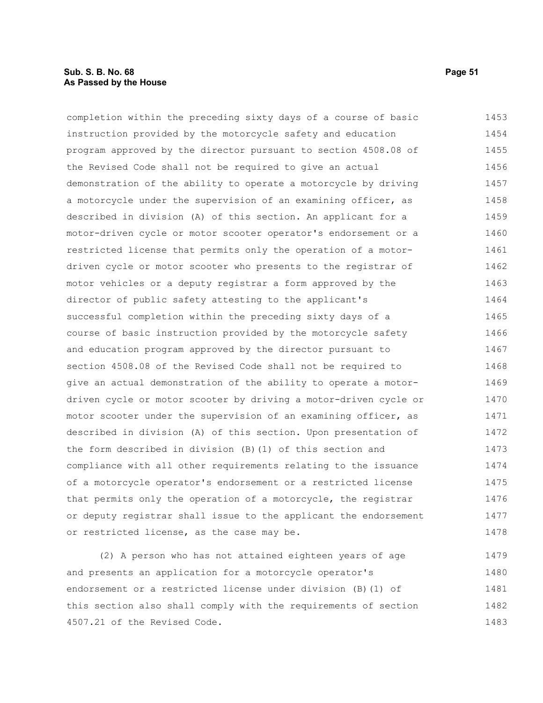## **Sub. S. B. No. 68 Page 51 As Passed by the House**

completion within the preceding sixty days of a course of basic instruction provided by the motorcycle safety and education program approved by the director pursuant to section 4508.08 of the Revised Code shall not be required to give an actual demonstration of the ability to operate a motorcycle by driving a motorcycle under the supervision of an examining officer, as described in division (A) of this section. An applicant for a motor-driven cycle or motor scooter operator's endorsement or a restricted license that permits only the operation of a motordriven cycle or motor scooter who presents to the registrar of motor vehicles or a deputy registrar a form approved by the director of public safety attesting to the applicant's successful completion within the preceding sixty days of a course of basic instruction provided by the motorcycle safety and education program approved by the director pursuant to section 4508.08 of the Revised Code shall not be required to give an actual demonstration of the ability to operate a motordriven cycle or motor scooter by driving a motor-driven cycle or motor scooter under the supervision of an examining officer, as described in division (A) of this section. Upon presentation of the form described in division (B)(1) of this section and compliance with all other requirements relating to the issuance of a motorcycle operator's endorsement or a restricted license that permits only the operation of a motorcycle, the registrar or deputy registrar shall issue to the applicant the endorsement or restricted license, as the case may be. (2) A person who has not attained eighteen years of age 1453 1454 1455 1456 1457 1458 1459 1460 1461 1462 1463 1464 1465 1466 1467 1468 1469 1470 1471 1472 1473 1474 1475 1476 1477 1478 1479

and presents an application for a motorcycle operator's endorsement or a restricted license under division (B)(1) of this section also shall comply with the requirements of section 4507.21 of the Revised Code. 1480 1481 1482 1483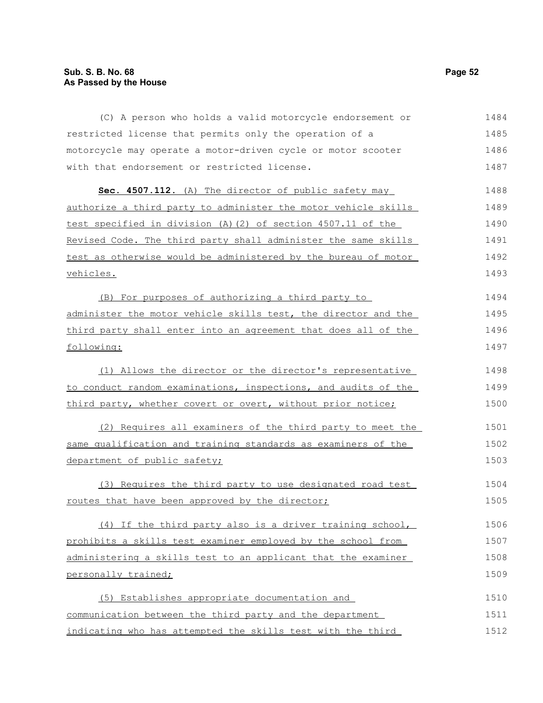| (C) A person who holds a valid motorcycle endorsement or       | 1484 |
|----------------------------------------------------------------|------|
| restricted license that permits only the operation of a        | 1485 |
| motorcycle may operate a motor-driven cycle or motor scooter   | 1486 |
| with that endorsement or restricted license.                   | 1487 |
| Sec. 4507.112. (A) The director of public safety may           | 1488 |
| authorize a third party to administer the motor vehicle skills | 1489 |
| test specified in division (A) (2) of section 4507.11 of the   | 1490 |
| Revised Code. The third party shall administer the same skills | 1491 |
| test as otherwise would be administered by the bureau of motor | 1492 |
| vehicles.                                                      | 1493 |
| (B) For purposes of authorizing a third party to               | 1494 |
| administer the motor vehicle skills test, the director and the | 1495 |
| third party shall enter into an agreement that does all of the | 1496 |
| following:                                                     | 1497 |
| (1) Allows the director or the director's representative       | 1498 |
| to conduct random examinations, inspections, and audits of the | 1499 |
| third party, whether covert or overt, without prior notice;    | 1500 |
| (2) Requires all examiners of the third party to meet the      | 1501 |
| same qualification and training standards as examiners of the  | 1502 |
| department of public safety;                                   | 1503 |
| (3) Requires the third party to use designated road test       | 1504 |
| routes that have been approved by the director;                | 1505 |
| (4) If the third party also is a driver training school,       | 1506 |
| prohibits a skills test examiner employed by the school from   | 1507 |
| administering a skills test to an applicant that the examiner  | 1508 |
| personally trained;                                            | 1509 |
| (5) Establishes appropriate documentation and                  | 1510 |
| communication between the third party and the department       | 1511 |
| indicating who has attempted the skills test with the third    | 1512 |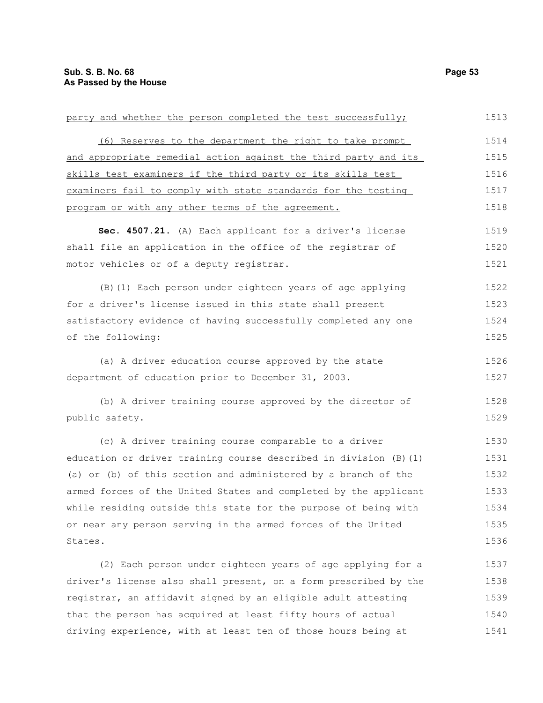| party and whether the person completed the test successfully;     | 1513 |
|-------------------------------------------------------------------|------|
| (6) Reserves to the department the right to take prompt           | 1514 |
| and appropriate remedial action against the third party and its   | 1515 |
| skills test examiners if the third party or its skills test       | 1516 |
| examiners fail to comply with state standards for the testing     | 1517 |
| program or with any other terms of the agreement.                 | 1518 |
| Sec. 4507.21. (A) Each applicant for a driver's license           | 1519 |
| shall file an application in the office of the registrar of       | 1520 |
| motor vehicles or of a deputy registrar.                          | 1521 |
| (B) (1) Each person under eighteen years of age applying          | 1522 |
| for a driver's license issued in this state shall present         | 1523 |
| satisfactory evidence of having successfully completed any one    | 1524 |
| of the following:                                                 | 1525 |
| (a) A driver education course approved by the state               | 1526 |
| department of education prior to December 31, 2003.               | 1527 |
| (b) A driver training course approved by the director of          | 1528 |
| public safety.                                                    | 1529 |
| (c) A driver training course comparable to a driver               | 1530 |
| education or driver training course described in division (B) (1) | 1531 |
| (a) or (b) of this section and administered by a branch of the    | 1532 |
| armed forces of the United States and completed by the applicant  | 1533 |
| while residing outside this state for the purpose of being with   | 1534 |
| or near any person serving in the armed forces of the United      | 1535 |
| States.                                                           | 1536 |
| (2) Each person under eighteen years of age applying for a        | 1537 |
| driver's license also shall present, on a form prescribed by the  | 1538 |
| registrar, an affidavit signed by an eligible adult attesting     | 1539 |
| that the person has acquired at least fifty hours of actual       | 1540 |
| driving experience, with at least ten of those hours being at     | 1541 |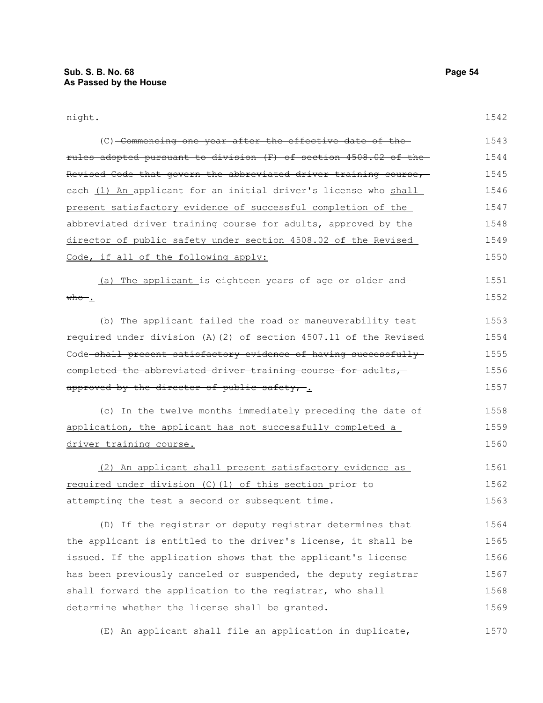night.

| (C)-Commencing one year after the effective date of the           | 1543 |
|-------------------------------------------------------------------|------|
| rules adopted pursuant to division (F) of section 4508.02 of the  | 1544 |
| Revised Code that govern the abbreviated driver training course,  | 1545 |
| each-(1) An applicant for an initial driver's license who shall   | 1546 |
| present satisfactory evidence of successful completion of the     | 1547 |
| abbreviated driver training course for adults, approved by the    | 1548 |
| director of public safety under section 4508.02 of the Revised    | 1549 |
| Code, if all of the following apply:                              | 1550 |
| (a) The applicant is eighteen years of age or older-and           | 1551 |
| $w$ ho $-$ .                                                      | 1552 |
| (b) The applicant failed the road or maneuverability test         | 1553 |
| required under division (A) (2) of section 4507.11 of the Revised | 1554 |
| Code shall present satisfactory evidence of having successfully   | 1555 |
| completed the abbreviated driver training course for adults,      | 1556 |
| approved by the director of public safety,.                       | 1557 |
| (c) In the twelve months immediately preceding the date of        | 1558 |
| application, the applicant has not successfully completed a       | 1559 |
| driver training course.                                           | 1560 |
| (2) An applicant shall present satisfactory evidence as           | 1561 |
| required under division (C) (1) of this section prior to          | 1562 |
| attempting the test a second or subsequent time.                  | 1563 |
| (D) If the registrar or deputy registrar determines that          | 1564 |
| the applicant is entitled to the driver's license, it shall be    | 1565 |
| issued. If the application shows that the applicant's license     | 1566 |
| has been previously canceled or suspended, the deputy registrar   | 1567 |
| shall forward the application to the registrar, who shall         | 1568 |
| determine whether the license shall be granted.                   | 1569 |
|                                                                   |      |

(E) An applicant shall file an application in duplicate, 1570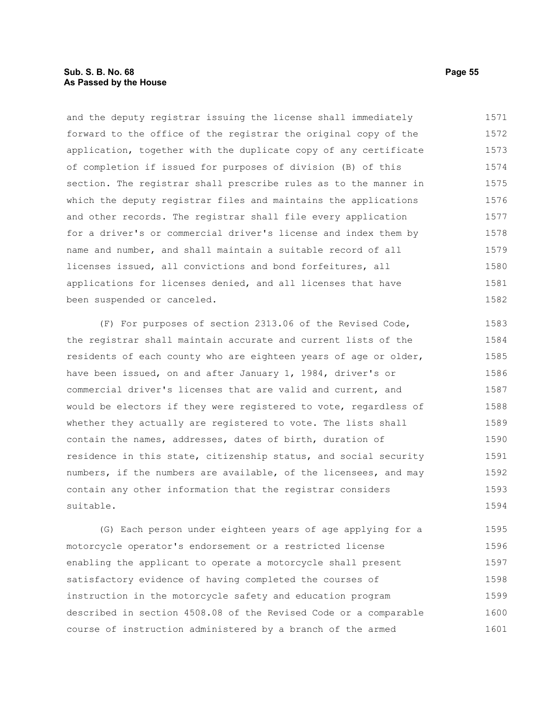and the deputy registrar issuing the license shall immediately forward to the office of the registrar the original copy of the application, together with the duplicate copy of any certificate of completion if issued for purposes of division (B) of this section. The registrar shall prescribe rules as to the manner in which the deputy registrar files and maintains the applications and other records. The registrar shall file every application for a driver's or commercial driver's license and index them by name and number, and shall maintain a suitable record of all licenses issued, all convictions and bond forfeitures, all applications for licenses denied, and all licenses that have been suspended or canceled. 1571 1572 1573 1574 1575 1576 1577 1578 1579 1580 1581 1582

(F) For purposes of section 2313.06 of the Revised Code, the registrar shall maintain accurate and current lists of the residents of each county who are eighteen years of age or older, have been issued, on and after January 1, 1984, driver's or commercial driver's licenses that are valid and current, and would be electors if they were registered to vote, regardless of whether they actually are registered to vote. The lists shall contain the names, addresses, dates of birth, duration of residence in this state, citizenship status, and social security numbers, if the numbers are available, of the licensees, and may contain any other information that the registrar considers suitable. 1583 1584 1585 1586 1587 1588 1589 1590 1591 1592 1593 1594

(G) Each person under eighteen years of age applying for a motorcycle operator's endorsement or a restricted license enabling the applicant to operate a motorcycle shall present satisfactory evidence of having completed the courses of instruction in the motorcycle safety and education program described in section 4508.08 of the Revised Code or a comparable course of instruction administered by a branch of the armed 1595 1596 1597 1598 1599 1600 1601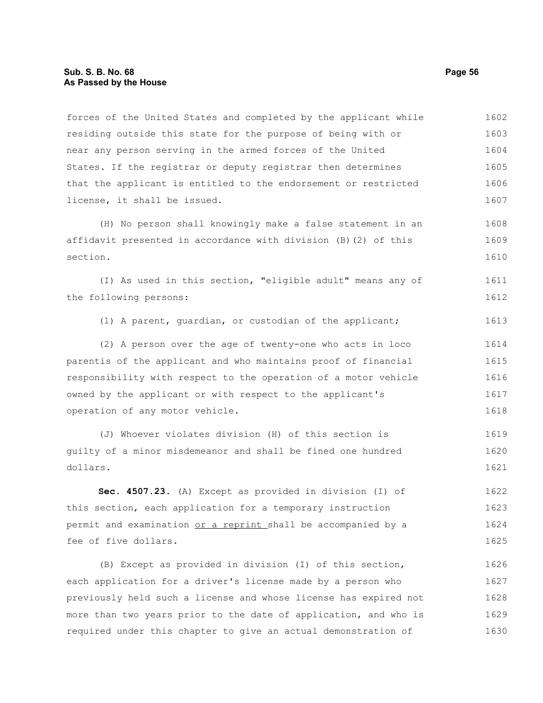forces of the United States and completed by the applicant while residing outside this state for the purpose of being with or near any person serving in the armed forces of the United States. If the registrar or deputy registrar then determines that the applicant is entitled to the endorsement or restricted license, it shall be issued. 1602 1603 1604 1605 1606 1607

(H) No person shall knowingly make a false statement in an affidavit presented in accordance with division (B)(2) of this section. 1608 1609 1610

(I) As used in this section, "eligible adult" means any of the following persons: 1611 1612

(1) A parent, guardian, or custodian of the applicant;

(2) A person over the age of twenty-one who acts in loco parentis of the applicant and who maintains proof of financial responsibility with respect to the operation of a motor vehicle owned by the applicant or with respect to the applicant's operation of any motor vehicle. 1614 1615 1616 1617 1618

(J) Whoever violates division (H) of this section is guilty of a minor misdemeanor and shall be fined one hundred dollars. 1619 1620 1621

**Sec. 4507.23.** (A) Except as provided in division (I) of this section, each application for a temporary instruction permit and examination or a reprint shall be accompanied by a fee of five dollars. 1622 1623 1624 1625

(B) Except as provided in division (I) of this section, each application for a driver's license made by a person who previously held such a license and whose license has expired not more than two years prior to the date of application, and who is required under this chapter to give an actual demonstration of 1626 1627 1628 1629 1630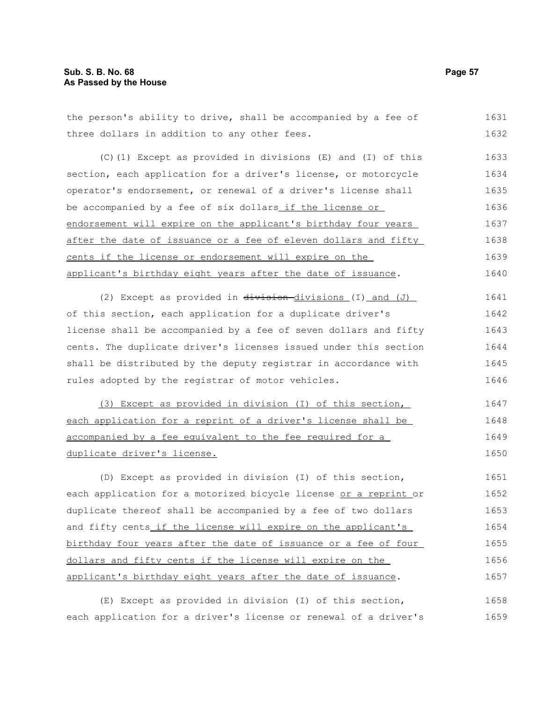the person's ability to drive, shall be accompanied by a fee of three dollars in addition to any other fees. (C)(1) Except as provided in divisions (E) and (I) of this section, each application for a driver's license, or motorcycle operator's endorsement, or renewal of a driver's license shall be accompanied by a fee of six dollars if the license or endorsement will expire on the applicant's birthday four years after the date of issuance or a fee of eleven dollars and fifty cents if the license or endorsement will expire on the applicant's birthday eight years after the date of issuance. (2) Except as provided in division-divisions (I) and (J) of this section, each application for a duplicate driver's license shall be accompanied by a fee of seven dollars and fifty cents. The duplicate driver's licenses issued under this section shall be distributed by the deputy registrar in accordance with rules adopted by the registrar of motor vehicles. (3) Except as provided in division (I) of this section, each application for a reprint of a driver's license shall be accompanied by a fee equivalent to the fee required for a duplicate driver's license. (D) Except as provided in division (I) of this section, each application for a motorized bicycle license or a reprint or duplicate thereof shall be accompanied by a fee of two dollars and fifty cents if the license will expire on the applicant's birthday four years after the date of issuance or a fee of four dollars and fifty cents if the license will expire on the applicant's birthday eight years after the date of issuance. 1631 1632 1633 1634 1635 1636 1637 1638 1639 1640 1641 1642 1643 1644 1645 1646 1647 1648 1649 1650 1651 1652 1653 1654 1655 1656 1657

(E) Except as provided in division (I) of this section, each application for a driver's license or renewal of a driver's 1658 1659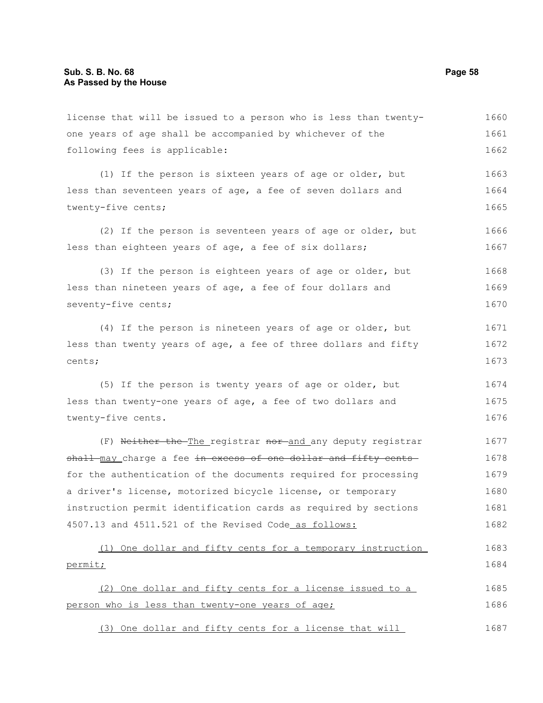license that will be issued to a person who is less than twentyone years of age shall be accompanied by whichever of the following fees is applicable: (1) If the person is sixteen years of age or older, but less than seventeen years of age, a fee of seven dollars and twenty-five cents; (2) If the person is seventeen years of age or older, but less than eighteen years of age, a fee of six dollars; (3) If the person is eighteen years of age or older, but less than nineteen years of age, a fee of four dollars and seventy-five cents; (4) If the person is nineteen years of age or older, but less than twenty years of age, a fee of three dollars and fifty cents; (5) If the person is twenty years of age or older, but less than twenty-one years of age, a fee of two dollars and twenty-five cents. (F) Neither the The registrar nor and any deputy registrar shall may charge a fee in excess of one dollar and fifty cents for the authentication of the documents required for processing a driver's license, motorized bicycle license, or temporary instruction permit identification cards as required by sections 4507.13 and 4511.521 of the Revised Code as follows: (1) One dollar and fifty cents for a temporary instruction permit; (2) One dollar and fifty cents for a license issued to a person who is less than twenty-one years of age; 1660 1661 1662 1663 1664 1665 1666 1667 1668 1669 1670 1671 1672 1673 1674 1675 1676 1677 1678 1679 1680 1681 1682 1683 1684 1685 1686

(3) One dollar and fifty cents for a license that will 1687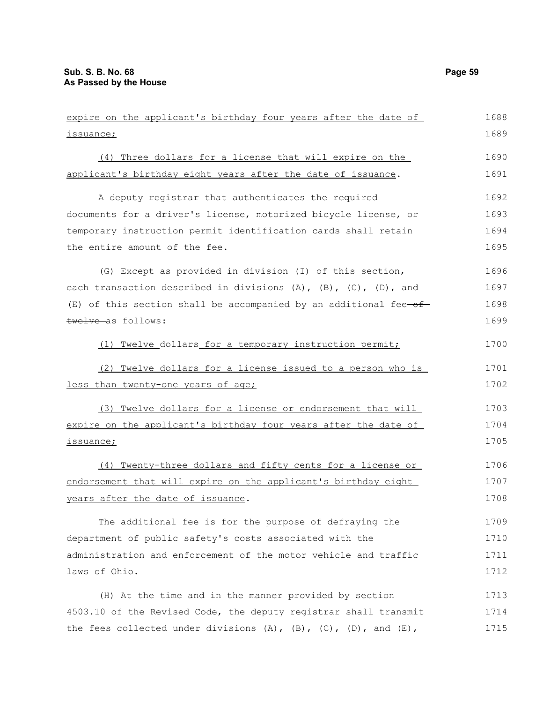| expire on the applicant's birthday four years after the date of                | 1688 |
|--------------------------------------------------------------------------------|------|
| issuance;                                                                      | 1689 |
| (4) Three dollars for a license that will expire on the                        | 1690 |
| applicant's birthday eight years after the date of issuance.                   | 1691 |
| A deputy registrar that authenticates the required                             | 1692 |
| documents for a driver's license, motorized bicycle license, or                | 1693 |
| temporary instruction permit identification cards shall retain                 | 1694 |
| the entire amount of the fee.                                                  | 1695 |
| (G) Except as provided in division (I) of this section,                        | 1696 |
| each transaction described in divisions $(A)$ , $(B)$ , $(C)$ , $(D)$ , and    | 1697 |
| (E) of this section shall be accompanied by an additional fee-of-              | 1698 |
| twelve-as follows:                                                             | 1699 |
| (1) Twelve dollars for a temporary instruction permit;                         | 1700 |
| (2) Twelve dollars for a license issued to a person who is                     | 1701 |
| less than twenty-one years of age;                                             | 1702 |
| (3) Twelve dollars for a license or endorsement that will                      | 1703 |
| expire on the applicant's birthday four years after the date of                | 1704 |
| <u>issuance;</u>                                                               | 1705 |
| (4) Twenty-three dollars and fifty cents for a license or                      | 1706 |
| endorsement that will expire on the applicant's birthday eight                 | 1707 |
| years after the date of issuance.                                              | 1708 |
| The additional fee is for the purpose of defraying the                         | 1709 |
| department of public safety's costs associated with the                        | 1710 |
| administration and enforcement of the motor vehicle and traffic                | 1711 |
| laws of Ohio.                                                                  | 1712 |
| (H) At the time and in the manner provided by section                          | 1713 |
| 4503.10 of the Revised Code, the deputy registrar shall transmit               | 1714 |
| the fees collected under divisions $(A)$ , $(B)$ , $(C)$ , $(D)$ , and $(E)$ , | 1715 |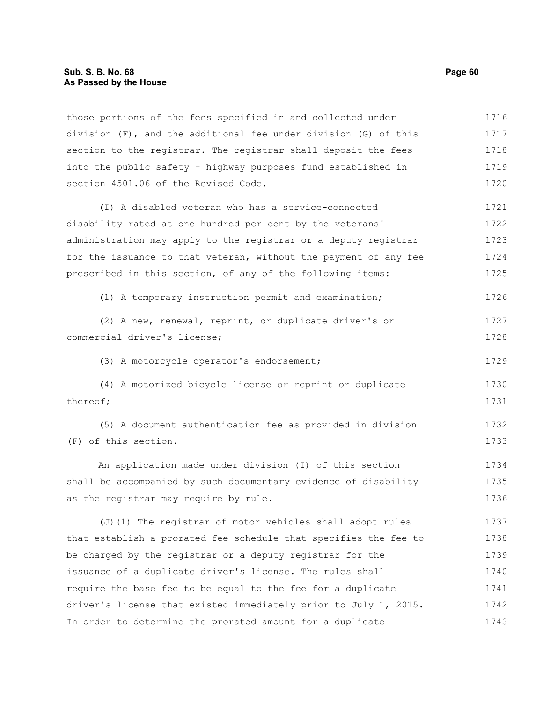## **Sub. S. B. No. 68 Page 60 As Passed by the House**

those portions of the fees specified in and collected under division (F), and the additional fee under division (G) of this section to the registrar. The registrar shall deposit the fees into the public safety - highway purposes fund established in section 4501.06 of the Revised Code. 1716 1717 1718 1719 1720

(I) A disabled veteran who has a service-connected disability rated at one hundred per cent by the veterans' administration may apply to the registrar or a deputy registrar for the issuance to that veteran, without the payment of any fee prescribed in this section, of any of the following items: 1721 1722 1723 1724 1725

(1) A temporary instruction permit and examination; 1726

(2) A new, renewal, reprint, or duplicate driver's or commercial driver's license; 1727 1728

(3) A motorcycle operator's endorsement;

(4) A motorized bicycle license or reprint or duplicate thereof; 1730 1731

(5) A document authentication fee as provided in division (F) of this section. 1732 1733

An application made under division (I) of this section shall be accompanied by such documentary evidence of disability as the registrar may require by rule. 1734 1735 1736

(J)(1) The registrar of motor vehicles shall adopt rules that establish a prorated fee schedule that specifies the fee to be charged by the registrar or a deputy registrar for the issuance of a duplicate driver's license. The rules shall require the base fee to be equal to the fee for a duplicate driver's license that existed immediately prior to July 1, 2015. In order to determine the prorated amount for a duplicate 1737 1738 1739 1740 1741 1742 1743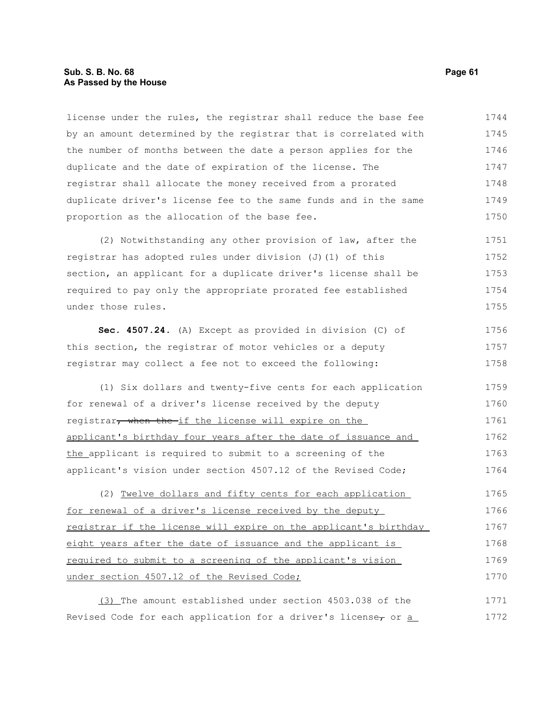# **Sub. S. B. No. 68 Page 61 As Passed by the House**

license under the rules, the registrar shall reduce the base fee by an amount determined by the registrar that is correlated with the number of months between the date a person applies for the duplicate and the date of expiration of the license. The registrar shall allocate the money received from a prorated duplicate driver's license fee to the same funds and in the same proportion as the allocation of the base fee. 1744 1745 1746 1747 1748 1749 1750

(2) Notwithstanding any other provision of law, after the registrar has adopted rules under division (J)(1) of this section, an applicant for a duplicate driver's license shall be required to pay only the appropriate prorated fee established under those rules. 1751 1752 1753 1754 1755

**Sec. 4507.24.** (A) Except as provided in division (C) of this section, the registrar of motor vehicles or a deputy registrar may collect a fee not to exceed the following: 1756 1757 1758

(1) Six dollars and twenty-five cents for each application for renewal of a driver's license received by the deputy registrar<del>, when the </del>if the license will expire on the applicant's birthday four years after the date of issuance and the applicant is required to submit to a screening of the applicant's vision under section 4507.12 of the Revised Code; 1759 1760 1761 1762 1763 1764

(2) Twelve dollars and fifty cents for each application for renewal of a driver's license received by the deputy registrar if the license will expire on the applicant's birthday eight years after the date of issuance and the applicant is required to submit to a screening of the applicant's vision under section 4507.12 of the Revised Code; 1765 1766 1767 1768 1769 1770

(3) The amount established under section 4503.038 of the Revised Code for each application for a driver's license $_{\tau}$  or a 1771 1772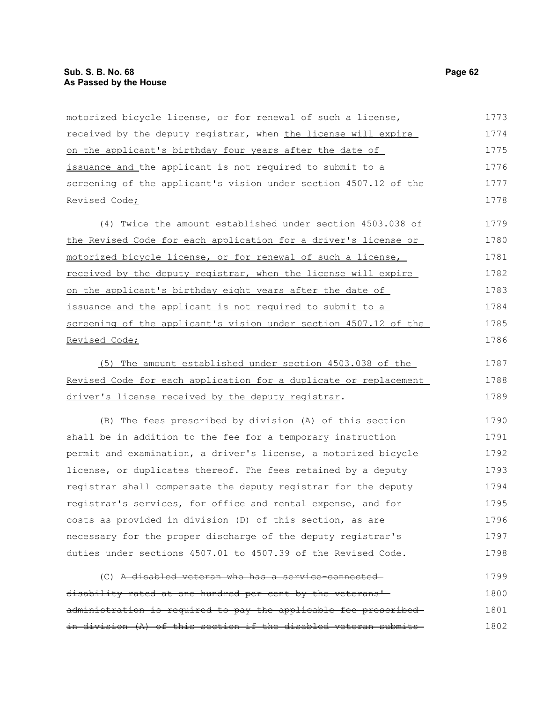motorized bicycle license, or for renewal of such a license, received by the deputy registrar, when the license will expire on the applicant's birthday four years after the date of issuance and the applicant is not required to submit to a screening of the applicant's vision under section 4507.12 of the Revised Code; (4) Twice the amount established under section 4503.038 of the Revised Code for each application for a driver's license or motorized bicycle license, or for renewal of such a license, received by the deputy registrar, when the license will expire on the applicant's birthday eight years after the date of issuance and the applicant is not required to submit to a screening of the applicant's vision under section 4507.12 of the Revised Code; (5) The amount established under section 4503.038 of the Revised Code for each application for a duplicate or replacement driver's license received by the deputy registrar. (B) The fees prescribed by division (A) of this section shall be in addition to the fee for a temporary instruction permit and examination, a driver's license, a motorized bicycle license, or duplicates thereof. The fees retained by a deputy registrar shall compensate the deputy registrar for the deputy registrar's services, for office and rental expense, and for costs as provided in division (D) of this section, as are necessary for the proper discharge of the deputy registrar's duties under sections 4507.01 to 4507.39 of the Revised Code. (C) A disabled veteran who has a service-connected disability rated at one hundred per cent by the veterans' 1773 1774 1775 1776 1777 1778 1779 1780 1781 1782 1783 1784 1785 1786 1787 1788 1789 1790 1791 1792 1793 1794 1795 1796 1797 1798 1799 1800

administration is required to pay the applicable fee prescribed in division (A) of this section if the disabled veteran submits-1801 1802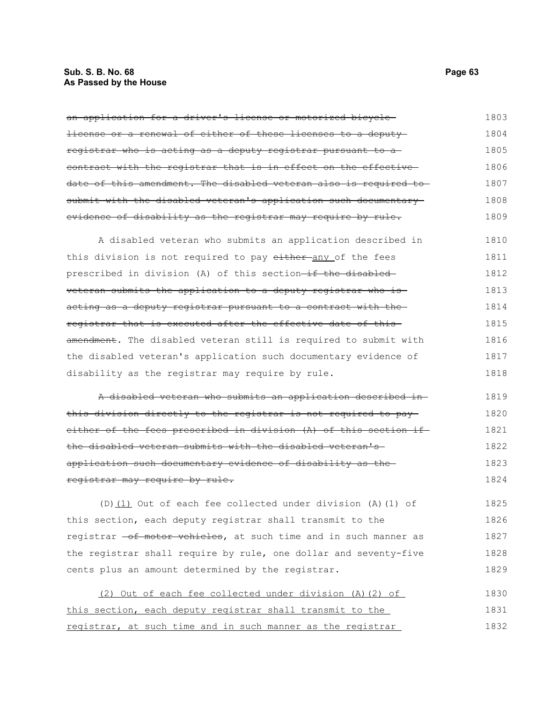## **Sub. S. B. No. 68 Page 63 As Passed by the House**

an application for a driver's license or motorized bicycle license or a renewal of either of these licenses to a deputy registrar who is acting as a deputy registrar pursuant to a contract with the registrar that is in effect on the effective date of this amendment. The disabled veteran also is required to submit with the disabled veteran's application such documentary evidence of disability as the registrar may require by rule. 1803 1804 1805 1806 1807 1808 1809

A disabled veteran who submits an application described in this division is not required to pay either any of the fees prescribed in division (A) of this section-if the disabledveteran submits the application to a deputy registrar who is acting as a deputy registrar pursuant to a contract with the registrar that is executed after the effective date of this amendment. The disabled veteran still is required to submit with the disabled veteran's application such documentary evidence of disability as the registrar may require by rule. 1810 1811 1812 1813 1814 1815 1816 1817 1818

A disabled veteran who submits an application described in this division directly to the registrar is not required to pay either of the fees prescribed in division (A) of this section if the disabled veteran submits with the disabled veteran's application such documentary evidence of disability as the registrar may require by rule. 1819 1820 1821 1822 1823 1824

(D)(1) Out of each fee collected under division (A)(1) of this section, each deputy registrar shall transmit to the registrar -of motor vehicles, at such time and in such manner as the registrar shall require by rule, one dollar and seventy-five cents plus an amount determined by the registrar. 1825 1826 1827 1828 1829

|  |  |  |  |  | (2) Out of each fee collected under division $(A)$ (2) of   |  | 1830 |  |
|--|--|--|--|--|-------------------------------------------------------------|--|------|--|
|  |  |  |  |  | this section, each deputy registrar shall transmit to the   |  | 1831 |  |
|  |  |  |  |  | registrar, at such time and in such manner as the registrar |  | 1832 |  |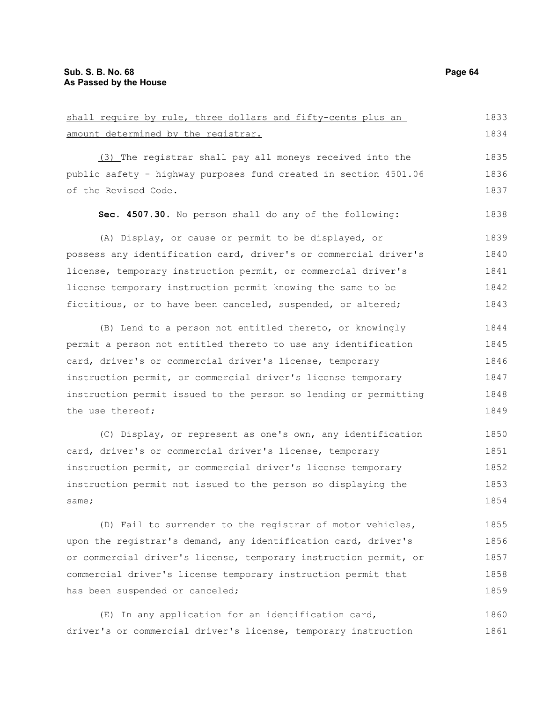| shall require by rule, three dollars and fifty-cents plus an     | 1833 |
|------------------------------------------------------------------|------|
| amount determined by the registrar.                              | 1834 |
| (3) The registrar shall pay all moneys received into the         | 1835 |
| public safety - highway purposes fund created in section 4501.06 | 1836 |
| of the Revised Code.                                             | 1837 |
| Sec. 4507.30. No person shall do any of the following:           | 1838 |
| (A) Display, or cause or permit to be displayed, or              | 1839 |
| possess any identification card, driver's or commercial driver's | 1840 |
| license, temporary instruction permit, or commercial driver's    | 1841 |
| license temporary instruction permit knowing the same to be      | 1842 |
| fictitious, or to have been canceled, suspended, or altered;     | 1843 |
| (B) Lend to a person not entitled thereto, or knowingly          | 1844 |
| permit a person not entitled thereto to use any identification   | 1845 |
| card, driver's or commercial driver's license, temporary         | 1846 |
| instruction permit, or commercial driver's license temporary     | 1847 |
| instruction permit issued to the person so lending or permitting | 1848 |
| the use thereof;                                                 | 1849 |
| (C) Display, or represent as one's own, any identification       | 1850 |
| card, driver's or commercial driver's license, temporary         | 1851 |
| instruction permit, or commercial driver's license temporary     | 1852 |
| instruction permit not issued to the person so displaying the    | 1853 |
| same;                                                            | 1854 |
| (D) Fail to surrender to the registrar of motor vehicles,        | 1855 |
| upon the registrar's demand, any identification card, driver's   | 1856 |

or commercial driver's license, temporary instruction permit, or commercial driver's license temporary instruction permit that has been suspended or canceled; 1857 1858 1859

(E) In any application for an identification card, driver's or commercial driver's license, temporary instruction 1860 1861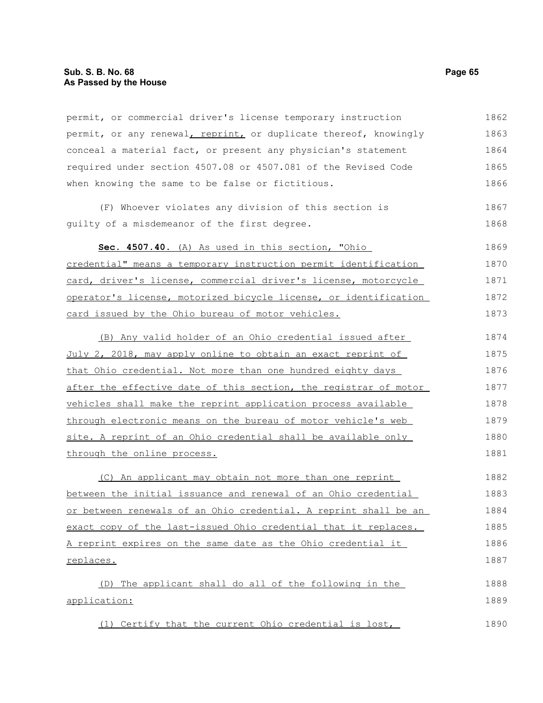permit, or commercial driver's license temporary instruction permit, or any renewal, reprint, or duplicate thereof, knowingly conceal a material fact, or present any physician's statement required under section 4507.08 or 4507.081 of the Revised Code when knowing the same to be false or fictitious. (F) Whoever violates any division of this section is guilty of a misdemeanor of the first degree. **Sec. 4507.40.** (A) As used in this section, "Ohio credential" means a temporary instruction permit identification card, driver's license, commercial driver's license, motorcycle operator's license, motorized bicycle license, or identification card issued by the Ohio bureau of motor vehicles. (B) Any valid holder of an Ohio credential issued after July 2, 2018, may apply online to obtain an exact reprint of that Ohio credential. Not more than one hundred eighty days after the effective date of this section, the registrar of motor vehicles shall make the reprint application process available 1862 1863 1864 1865 1866 1867 1868 1869 1870 1871 1872 1873 1874 1875 1876 1877 1878

through electronic means on the bureau of motor vehicle's web site. A reprint of an Ohio credential shall be available only through the online process. 1879 1880 1881

(C) An applicant may obtain not more than one reprint between the initial issuance and renewal of an Ohio credential or between renewals of an Ohio credential. A reprint shall be an exact copy of the last-issued Ohio credential that it replaces. A reprint expires on the same date as the Ohio credential it replaces. 1882 1883 1884 1885 1886 1887

(D) The applicant shall do all of the following in the application: 1888 1889

(1) Certify that the current Ohio credential is lost, 1890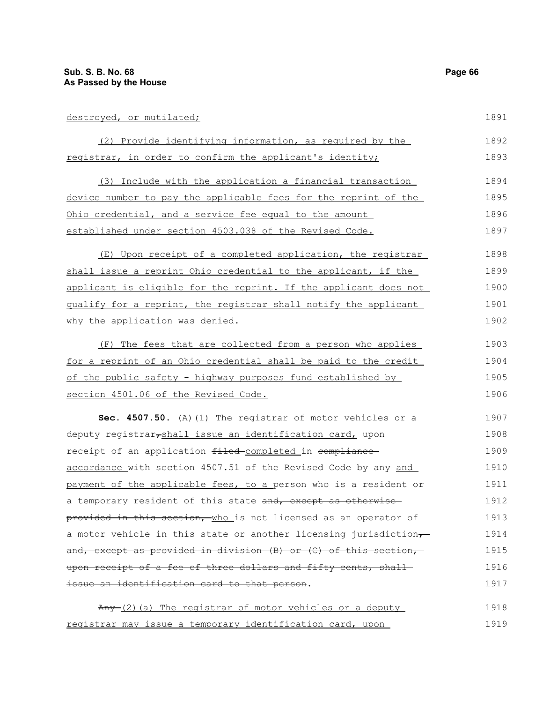| destroyed, or mutilated;                                               | 1891 |
|------------------------------------------------------------------------|------|
| (2) Provide identifying information, as required by the                | 1892 |
| registrar, in order to confirm the applicant's identity;               | 1893 |
| (3) Include with the application a financial transaction               | 1894 |
| device number to pay the applicable fees for the reprint of the        | 1895 |
| Ohio credential, and a service fee equal to the amount                 | 1896 |
| established under section 4503.038 of the Revised Code.                | 1897 |
| (E) Upon receipt of a completed application, the registrar             | 1898 |
| shall issue a reprint Ohio credential to the applicant, if the         | 1899 |
| applicant is eligible for the reprint. If the applicant does not       | 1900 |
| qualify for a reprint, the registrar shall notify the applicant        | 1901 |
| why the application was denied.                                        | 1902 |
| (F) The fees that are collected from a person who applies              | 1903 |
| for a reprint of an Ohio credential shall be paid to the credit        | 1904 |
| of the public safety - highway purposes fund established by            | 1905 |
| section 4501.06 of the Revised Code.                                   | 1906 |
| Sec. 4507.50. (A) $(1)$ The registrar of motor vehicles or a           | 1907 |
| deputy registrar <sub>r</sub> shall issue an identification card, upon | 1908 |
| receipt of an application filed-completed in compliance                | 1909 |
| accordance with section 4507.51 of the Revised Code by any and         | 1910 |
| payment of the applicable fees, to a person who is a resident or       | 1911 |
| a temporary resident of this state and, except as otherwise-           | 1912 |
| provided in this section, who is not licensed as an operator of        | 1913 |
| a motor vehicle in this state or another licensing jurisdiction-       | 1914 |
| and, except as provided in division (B) or (C) of this section,        | 1915 |
| upon receipt of a fee of three dollars and fifty cents, shall-         | 1916 |
| issue an identification card to that person.                           | 1917 |
| Any (2) (a) The registrar of motor vehicles or a deputy                | 1918 |

registrar may issue a temporary identification card, upon 1919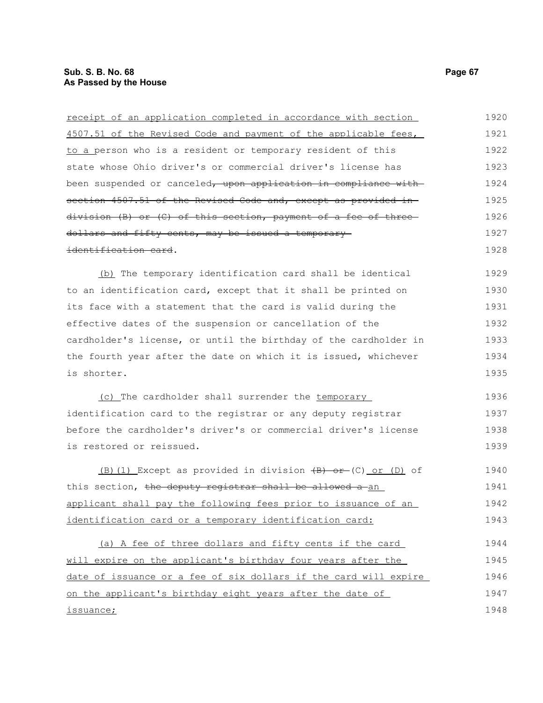| receipt of an application completed in accordance with section   | 1920 |
|------------------------------------------------------------------|------|
| 4507.51 of the Revised Code and payment of the applicable fees,  | 1921 |
| to a person who is a resident or temporary resident of this      | 1922 |
| state whose Ohio driver's or commercial driver's license has     | 1923 |
| been suspended or canceled, upon application in compliance with  | 1924 |
| section 4507.51 of the Revised Code and, except as provided in-  | 1925 |
| division (B) or (C) of this section, payment of a fee of three-  | 1926 |
| dollars and fifty cents, may be issued a temporary               | 1927 |
| identification card.                                             | 1928 |
| (b) The temporary identification card shall be identical         | 1929 |
| to an identification card, except that it shall be printed on    | 1930 |
| its face with a statement that the card is valid during the      | 1931 |
| effective dates of the suspension or cancellation of the         | 1932 |
| cardholder's license, or until the birthday of the cardholder in | 1933 |
| the fourth year after the date on which it is issued, whichever  | 1934 |
| is shorter.                                                      | 1935 |
| (c) The cardholder shall surrender the temporary                 | 1936 |
| identification card to the registrar or any deputy registrar     | 1937 |
| before the cardholder's driver's or commercial driver's license  | 1938 |
| is restored or reissued.                                         | 1939 |
| $(B)$ (1) Except as provided in division $(B)$ or (C) or (D) of  | 1940 |
| this section, the deputy registrar shall be allowed a an         | 1941 |
| applicant shall pay the following fees prior to issuance of an   | 1942 |
| identification card or a temporary identification card:          | 1943 |
| (a) A fee of three dollars and fifty cents if the card           | 1944 |
| will expire on the applicant's birthday four years after the     | 1945 |
| date of issuance or a fee of six dollars if the card will expire | 1946 |
| on the applicant's birthday eight years after the date of        | 1947 |
| issuance;                                                        | 1948 |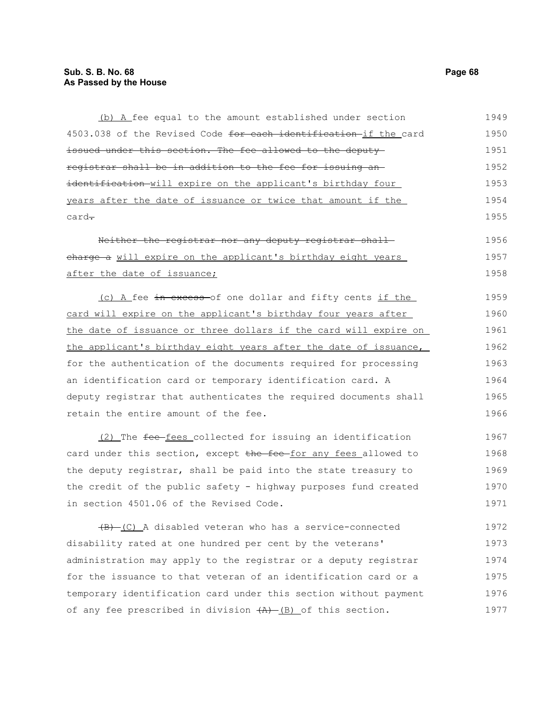## **Sub. S. B. No. 68 Page 68 As Passed by the House**

(b) A fee equal to the amount established under section 4503.038 of the Revised Code for each identification-if the card issued under this section. The fee allowed to the deputy registrar shall be in addition to the fee for issuing an identification will expire on the applicant's birthday four years after the date of issuance or twice that amount if the card-1949 1950 1951 1952 1953 1954 1955

Neither the registrar nor any deputy registrar shall charge a will expire on the applicant's birthday eight years after the date of issuance; 1956 1957 1958

(c) A fee in excess-of one dollar and fifty cents if the card will expire on the applicant's birthday four years after the date of issuance or three dollars if the card will expire on the applicant's birthday eight years after the date of issuance, for the authentication of the documents required for processing an identification card or temporary identification card. A deputy registrar that authenticates the required documents shall retain the entire amount of the fee. 1959 1960 1961 1962 1963 1964 1965 1966

(2) The fee-fees collected for issuing an identification card under this section, except the fee for any fees allowed to the deputy registrar, shall be paid into the state treasury to the credit of the public safety - highway purposes fund created in section 4501.06 of the Revised Code. 1967 1968 1969 1970 1971

 $(B)$  (C) A disabled veteran who has a service-connected disability rated at one hundred per cent by the veterans' administration may apply to the registrar or a deputy registrar for the issuance to that veteran of an identification card or a temporary identification card under this section without payment of any fee prescribed in division  $(A)$  (B) of this section. 1972 1973 1974 1975 1976 1977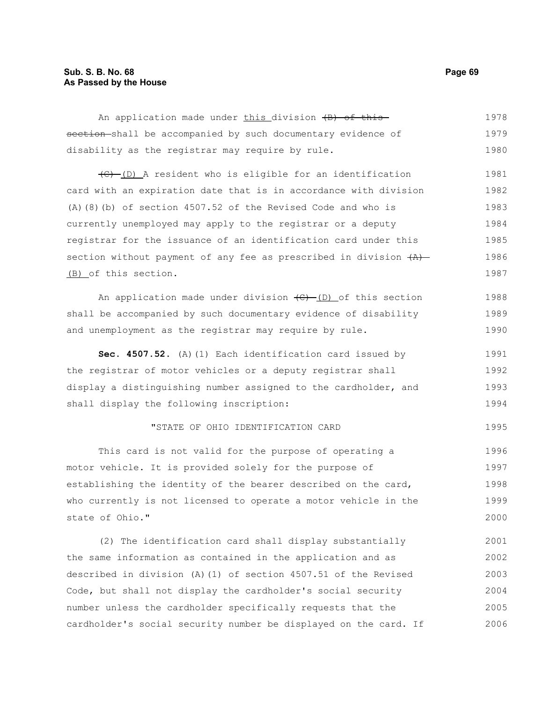# **Sub. S. B. No. 68 Page 69 As Passed by the House**

An application made under this division (B) of this section shall be accompanied by such documentary evidence of disability as the registrar may require by rule. 1978 1979 1980

(C) (D) A resident who is eligible for an identification card with an expiration date that is in accordance with division (A)(8)(b) of section 4507.52 of the Revised Code and who is currently unemployed may apply to the registrar or a deputy registrar for the issuance of an identification card under this section without payment of any fee as prescribed in division  $\{A\}$ (B) of this section. 1981 1982 1983 1984 1985 1986 1987

An application made under division  $\left(\frac{C}{C}\right)$  of this section shall be accompanied by such documentary evidence of disability and unemployment as the registrar may require by rule. 1988 1989 1990

**Sec. 4507.52.** (A)(1) Each identification card issued by the registrar of motor vehicles or a deputy registrar shall display a distinguishing number assigned to the cardholder, and shall display the following inscription: 1991 1992 1993 1994

#### "STATE OF OHIO IDENTIFICATION CARD

This card is not valid for the purpose of operating a motor vehicle. It is provided solely for the purpose of establishing the identity of the bearer described on the card, who currently is not licensed to operate a motor vehicle in the state of Ohio." 1996 1997 1998 1999 2000

(2) The identification card shall display substantially the same information as contained in the application and as described in division (A)(1) of section 4507.51 of the Revised Code, but shall not display the cardholder's social security number unless the cardholder specifically requests that the cardholder's social security number be displayed on the card. If 2001 2002 2003 2004 2005 2006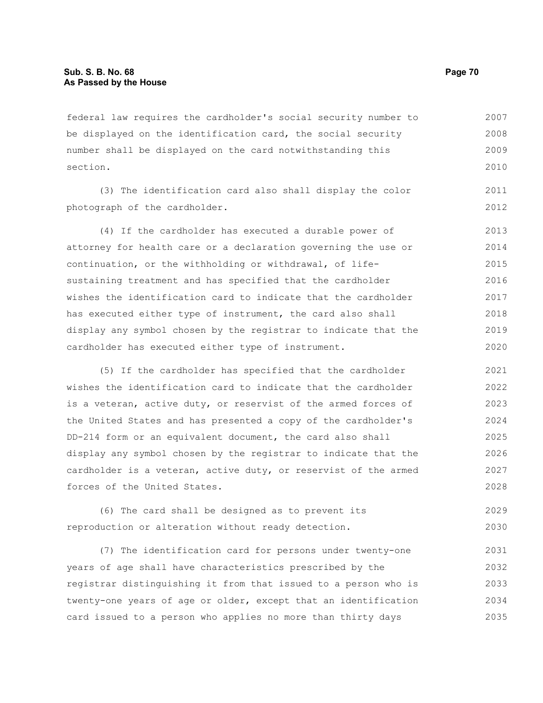federal law requires the cardholder's social security number to be displayed on the identification card, the social security number shall be displayed on the card notwithstanding this section. 2007 2008 2009 2010

(3) The identification card also shall display the color photograph of the cardholder.

(4) If the cardholder has executed a durable power of attorney for health care or a declaration governing the use or continuation, or the withholding or withdrawal, of lifesustaining treatment and has specified that the cardholder wishes the identification card to indicate that the cardholder has executed either type of instrument, the card also shall display any symbol chosen by the registrar to indicate that the cardholder has executed either type of instrument. 2013 2014 2015 2016 2017 2018 2019 2020

(5) If the cardholder has specified that the cardholder wishes the identification card to indicate that the cardholder is a veteran, active duty, or reservist of the armed forces of the United States and has presented a copy of the cardholder's DD-214 form or an equivalent document, the card also shall display any symbol chosen by the registrar to indicate that the cardholder is a veteran, active duty, or reservist of the armed forces of the United States. 2021 2022 2023 2024 2025 2026 2027 2028

(6) The card shall be designed as to prevent its reproduction or alteration without ready detection. 2029 2030

(7) The identification card for persons under twenty-one years of age shall have characteristics prescribed by the registrar distinguishing it from that issued to a person who is twenty-one years of age or older, except that an identification card issued to a person who applies no more than thirty days 2031 2032 2033 2034 2035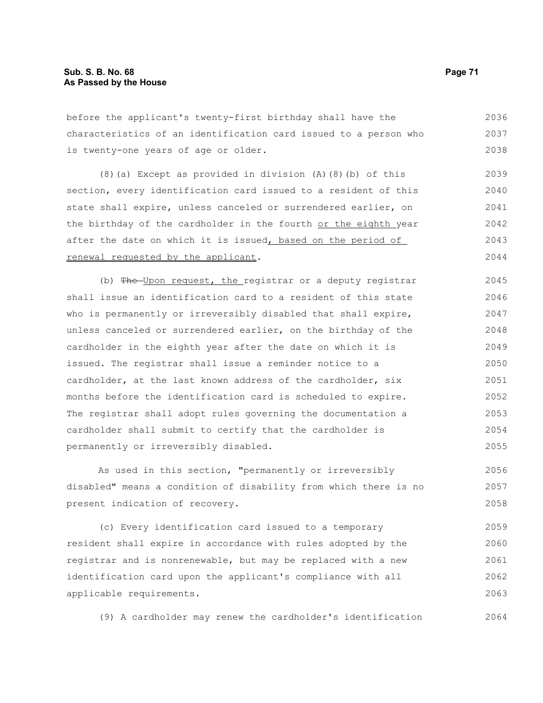before the applicant's twenty-first birthday shall have the characteristics of an identification card issued to a person who is twenty-one years of age or older. 2036 2037 2038

(8)(a) Except as provided in division (A)(8)(b) of this section, every identification card issued to a resident of this state shall expire, unless canceled or surrendered earlier, on the birthday of the cardholder in the fourth or the eighth year after the date on which it is issued, based on the period of renewal requested by the applicant. 2039 2040 2041 2042 2043 2044

(b) The Upon request, the registrar or a deputy registrar shall issue an identification card to a resident of this state who is permanently or irreversibly disabled that shall expire, unless canceled or surrendered earlier, on the birthday of the cardholder in the eighth year after the date on which it is issued. The registrar shall issue a reminder notice to a cardholder, at the last known address of the cardholder, six months before the identification card is scheduled to expire. The registrar shall adopt rules governing the documentation a cardholder shall submit to certify that the cardholder is permanently or irreversibly disabled. 2045 2046 2047 2048 2049 2050 2051 2052 2053 2054 2055

As used in this section, "permanently or irreversibly disabled" means a condition of disability from which there is no present indication of recovery. 2056

(c) Every identification card issued to a temporary resident shall expire in accordance with rules adopted by the registrar and is nonrenewable, but may be replaced with a new identification card upon the applicant's compliance with all applicable requirements. 2059 2060 2061 2062 2063

(9) A cardholder may renew the cardholder's identification 2064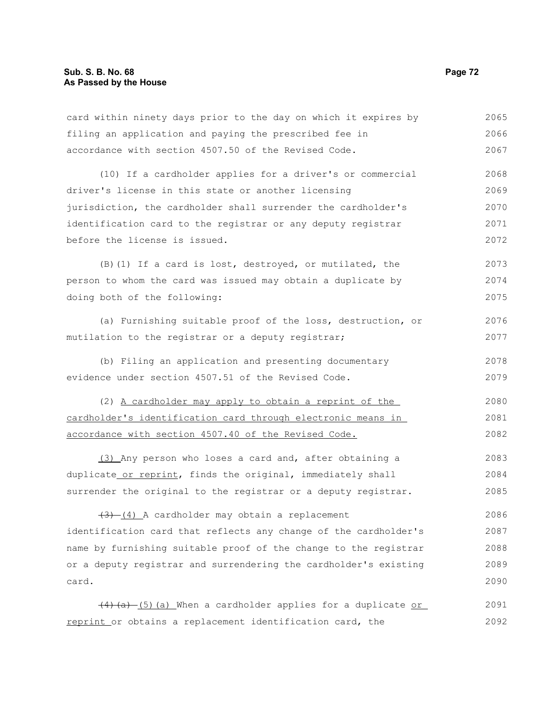| card within ninety days prior to the day on which it expires by  | 2065 |
|------------------------------------------------------------------|------|
| filing an application and paying the prescribed fee in           | 2066 |
| accordance with section 4507.50 of the Revised Code.             | 2067 |
| (10) If a cardholder applies for a driver's or commercial        | 2068 |
| driver's license in this state or another licensing              | 2069 |
| jurisdiction, the cardholder shall surrender the cardholder's    | 2070 |
| identification card to the registrar or any deputy registrar     | 2071 |
| before the license is issued.                                    | 2072 |
| (B) (1) If a card is lost, destroyed, or mutilated, the          | 2073 |
| person to whom the card was issued may obtain a duplicate by     | 2074 |
| doing both of the following:                                     | 2075 |
| (a) Furnishing suitable proof of the loss, destruction, or       | 2076 |
| mutilation to the registrar or a deputy registrar;               | 2077 |
| (b) Filing an application and presenting documentary             | 2078 |
| evidence under section 4507.51 of the Revised Code.              | 2079 |
| (2) A cardholder may apply to obtain a reprint of the            | 2080 |
| cardholder's identification card through electronic means in     | 2081 |
| accordance with section 4507.40 of the Revised Code.             | 2082 |
| (3) Any person who loses a card and, after obtaining a           | 2083 |
| duplicate or reprint, finds the original, immediately shall      | 2084 |
| surrender the original to the registrar or a deputy registrar.   | 2085 |
| $(3)$ (4) A cardholder may obtain a replacement                  | 2086 |
| identification card that reflects any change of the cardholder's | 2087 |
| name by furnishing suitable proof of the change to the registrar | 2088 |
| or a deputy registrar and surrendering the cardholder's existing | 2089 |
| card.                                                            | 2090 |
|                                                                  |      |

(4) (a) (5) (a) When a cardholder applies for a duplicate <u>or</u> 2091 reprint or obtains a replacement identification card, the 2092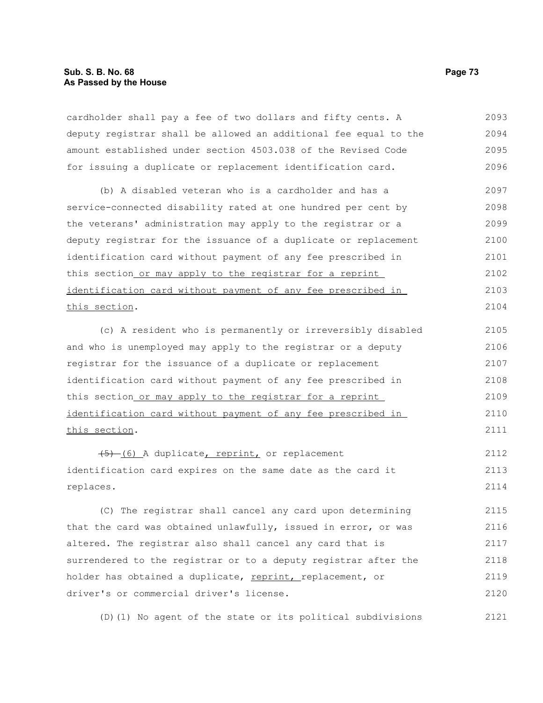cardholder shall pay a fee of two dollars and fifty cents. A deputy registrar shall be allowed an additional fee equal to the amount established under section 4503.038 of the Revised Code for issuing a duplicate or replacement identification card. 2093 2094 2095 2096

(b) A disabled veteran who is a cardholder and has a service-connected disability rated at one hundred per cent by the veterans' administration may apply to the registrar or a deputy registrar for the issuance of a duplicate or replacement identification card without payment of any fee prescribed in this section or may apply to the registrar for a reprint identification card without payment of any fee prescribed in this section. 2097 2098 2099 2100 2101 2102 2103 2104

(c) A resident who is permanently or irreversibly disabled and who is unemployed may apply to the registrar or a deputy registrar for the issuance of a duplicate or replacement identification card without payment of any fee prescribed in this section or may apply to the registrar for a reprint identification card without payment of any fee prescribed in this section. 2105 2106 2107 2108 2109 2110 2111

(5) (6) A duplicate, reprint, or replacement identification card expires on the same date as the card it replaces. 2112 2113 2114

(C) The registrar shall cancel any card upon determining that the card was obtained unlawfully, issued in error, or was altered. The registrar also shall cancel any card that is surrendered to the registrar or to a deputy registrar after the holder has obtained a duplicate, reprint, replacement, or driver's or commercial driver's license. 2115 2116 2117 2118 2119 2120

(D)(1) No agent of the state or its political subdivisions 2121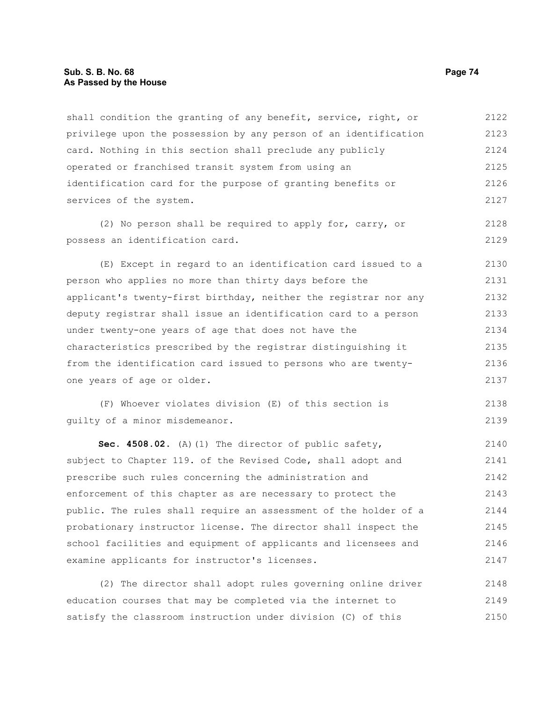# **Sub. S. B. No. 68 Page 74 As Passed by the House**

shall condition the granting of any benefit, service, right, or privilege upon the possession by any person of an identification card. Nothing in this section shall preclude any publicly operated or franchised transit system from using an identification card for the purpose of granting benefits or services of the system. 2122 2123 2124 2125 2126 2127

(2) No person shall be required to apply for, carry, or possess an identification card.

(E) Except in regard to an identification card issued to a person who applies no more than thirty days before the applicant's twenty-first birthday, neither the registrar nor any deputy registrar shall issue an identification card to a person under twenty-one years of age that does not have the characteristics prescribed by the registrar distinguishing it from the identification card issued to persons who are twentyone years of age or older. 2130 2131 2132 2133 2134 2135 2136 2137

(F) Whoever violates division (E) of this section is guilty of a minor misdemeanor. 2138 2139

**Sec. 4508.02.** (A)(1) The director of public safety, subject to Chapter 119. of the Revised Code, shall adopt and prescribe such rules concerning the administration and enforcement of this chapter as are necessary to protect the public. The rules shall require an assessment of the holder of a probationary instructor license. The director shall inspect the school facilities and equipment of applicants and licensees and examine applicants for instructor's licenses. 2140 2141 2142 2143 2144 2145 2146 2147

(2) The director shall adopt rules governing online driver education courses that may be completed via the internet to satisfy the classroom instruction under division (C) of this 2148 2149 2150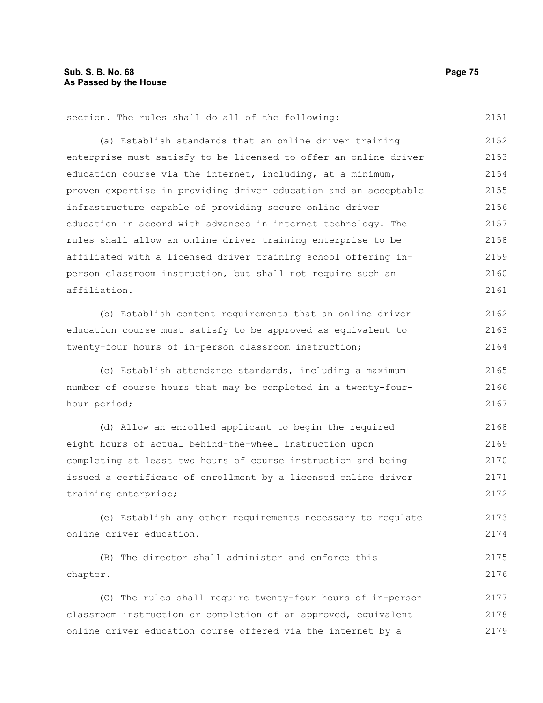section. The rules shall do all of the following:

(a) Establish standards that an online driver training enterprise must satisfy to be licensed to offer an online driver education course via the internet, including, at a minimum, proven expertise in providing driver education and an acceptable infrastructure capable of providing secure online driver education in accord with advances in internet technology. The rules shall allow an online driver training enterprise to be affiliated with a licensed driver training school offering inperson classroom instruction, but shall not require such an affiliation. 2152 2153 2154 2155 2156 2157 2158 2159 2160 2161

(b) Establish content requirements that an online driver education course must satisfy to be approved as equivalent to twenty-four hours of in-person classroom instruction; 2162 2163 2164

(c) Establish attendance standards, including a maximum number of course hours that may be completed in a twenty-fourhour period; 2165 2166 2167

(d) Allow an enrolled applicant to begin the required eight hours of actual behind-the-wheel instruction upon completing at least two hours of course instruction and being issued a certificate of enrollment by a licensed online driver training enterprise; 2168 2169 2170 2171 2172

(e) Establish any other requirements necessary to regulate online driver education. 2173 2174

(B) The director shall administer and enforce this chapter. 2175 2176

(C) The rules shall require twenty-four hours of in-person classroom instruction or completion of an approved, equivalent online driver education course offered via the internet by a 2177 2178 2179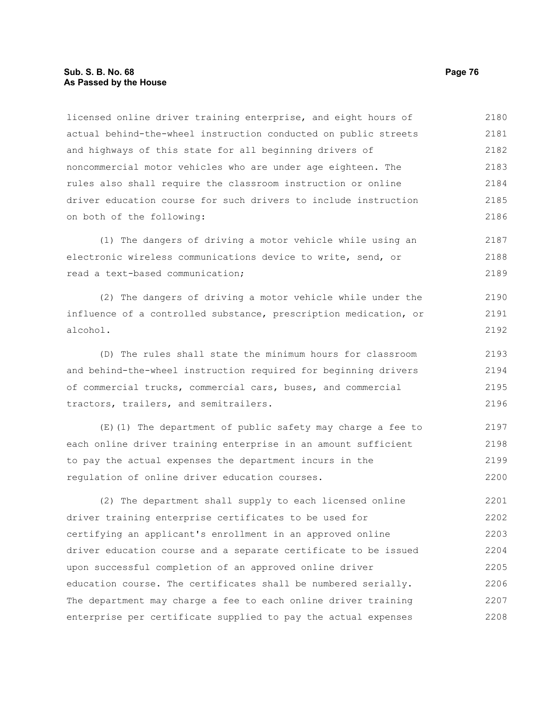licensed online driver training enterprise, and eight hours of actual behind-the-wheel instruction conducted on public streets and highways of this state for all beginning drivers of noncommercial motor vehicles who are under age eighteen. The rules also shall require the classroom instruction or online driver education course for such drivers to include instruction on both of the following: 2180 2181 2182 2183 2184 2185 2186

(1) The dangers of driving a motor vehicle while using an electronic wireless communications device to write, send, or read a text-based communication; 2187 2188 2189

(2) The dangers of driving a motor vehicle while under the influence of a controlled substance, prescription medication, or alcohol. 2190 2191 2192

(D) The rules shall state the minimum hours for classroom and behind-the-wheel instruction required for beginning drivers of commercial trucks, commercial cars, buses, and commercial tractors, trailers, and semitrailers. 2193 2194 2195 2196

(E)(1) The department of public safety may charge a fee to each online driver training enterprise in an amount sufficient to pay the actual expenses the department incurs in the regulation of online driver education courses. 2197 2198 2199 2200

(2) The department shall supply to each licensed online driver training enterprise certificates to be used for certifying an applicant's enrollment in an approved online driver education course and a separate certificate to be issued upon successful completion of an approved online driver education course. The certificates shall be numbered serially. The department may charge a fee to each online driver training enterprise per certificate supplied to pay the actual expenses 2201 2202 2203 2204 2205 2206 2207 2208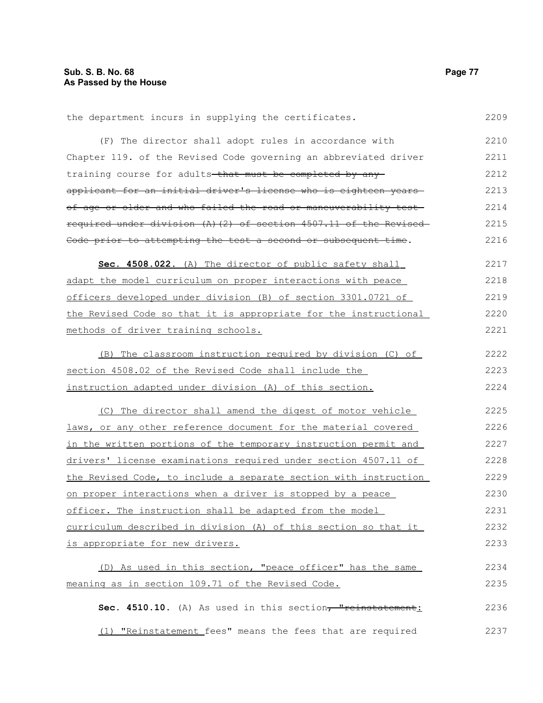the department incurs in supplying the certificates. 2209

(F) The director shall adopt rules in accordance with Chapter 119. of the Revised Code governing an abbreviated driver training course for adults-that must be completed by any applicant for an initial driver's license who is eighteen years of age or older and who failed the road or maneuverability test required under division (A)(2) of section 4507.11 of the Revised Code prior to attempting the test a second or subsequent time. Sec. 4508.022. (A) The director of public safety shall adapt the model curriculum on proper interactions with peace officers developed under division (B) of section 3301.0721 of the Revised Code so that it is appropriate for the instructional methods of driver training schools. (B) The classroom instruction required by division (C) of section 4508.02 of the Revised Code shall include the instruction adapted under division (A) of this section. (C) The director shall amend the digest of motor vehicle laws, or any other reference document for the material covered 2210 2211 2212 2213 2214 2215 2216 2217 2218 2219 2220 2221 2222 2223 2224 2225 2226

in the written portions of the temporary instruction permit and drivers' license examinations required under section 4507.11 of the Revised Code, to include a separate section with instruction on proper interactions when a driver is stopped by a peace officer. The instruction shall be adapted from the model curriculum described in division (A) of this section so that it is appropriate for new drivers. 2227 2228 2229 2230 2231 2232 2233

(D) As used in this section, "peace officer" has the same meaning as in section 109.71 of the Revised Code. 2234 2235

|                                                           |  |  |  | <b>Sec. 4510.10.</b> (A) As used in this section <del>, "reinstatement</del> : | 2236 |
|-----------------------------------------------------------|--|--|--|--------------------------------------------------------------------------------|------|
| (1) "Reinstatement fees" means the fees that are required |  |  |  |                                                                                | 2237 |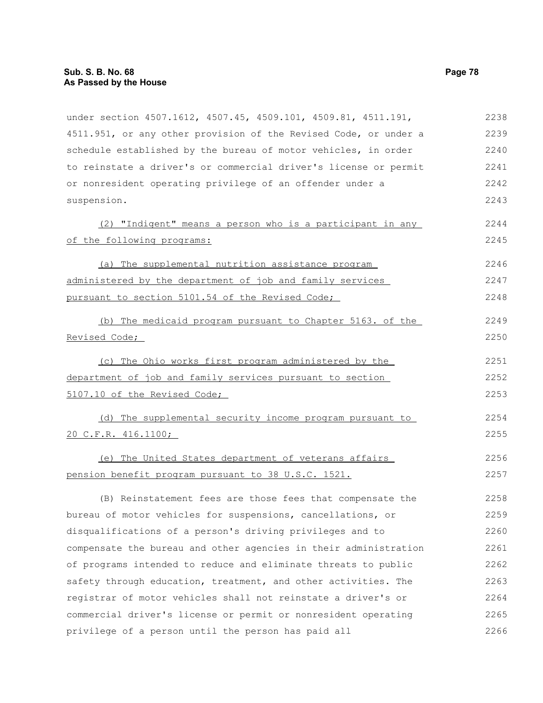| under section 4507.1612, 4507.45, 4509.101, 4509.81, 4511.191,   | 2238 |  |
|------------------------------------------------------------------|------|--|
| 4511.951, or any other provision of the Revised Code, or under a | 2239 |  |
| schedule established by the bureau of motor vehicles, in order   | 2240 |  |
| to reinstate a driver's or commercial driver's license or permit | 2241 |  |
| or nonresident operating privilege of an offender under a        | 2242 |  |
| suspension.                                                      | 2243 |  |
| (2) "Indigent" means a person who is a participant in any        | 2244 |  |
| of the following programs:                                       | 2245 |  |
| (a) The supplemental nutrition assistance program                | 2246 |  |
| administered by the department of job and family services        | 2247 |  |
| pursuant to section 5101.54 of the Revised Code;                 | 2248 |  |
| (b) The medicaid program pursuant to Chapter 5163. of the        | 2249 |  |
| Revised Code;                                                    | 2250 |  |
| (c) The Ohio works first program administered by the             | 2251 |  |
| department of job and family services pursuant to section        |      |  |
| 5107.10 of the Revised Code;                                     | 2253 |  |
| (d) The supplemental security income program pursuant to         | 2254 |  |
| <u>20 C.F.R. 416.1100;</u>                                       | 2255 |  |
| (e) The United States department of veterans affairs             | 2256 |  |
| pension benefit program pursuant to 38 U.S.C. 1521.              | 2257 |  |
| (B) Reinstatement fees are those fees that compensate the        | 2258 |  |
| bureau of motor vehicles for suspensions, cancellations, or      | 2259 |  |
| disqualifications of a person's driving privileges and to        | 2260 |  |
| compensate the bureau and other agencies in their administration | 2261 |  |
| of programs intended to reduce and eliminate threats to public   | 2262 |  |
| safety through education, treatment, and other activities. The   | 2263 |  |
| registrar of motor vehicles shall not reinstate a driver's or    | 2264 |  |
| commercial driver's license or permit or nonresident operating   | 2265 |  |
| privilege of a person until the person has paid all              | 2266 |  |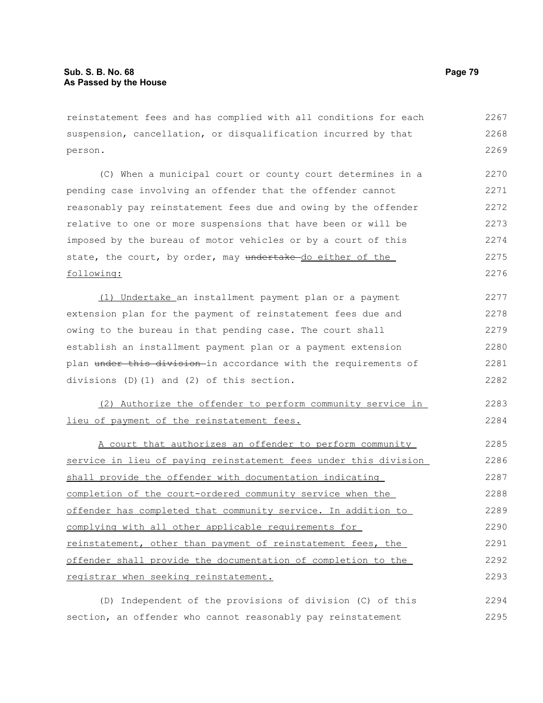reinstatement fees and has complied with all conditions for each suspension, cancellation, or disqualification incurred by that person. 2267 2268 2269

(C) When a municipal court or county court determines in a pending case involving an offender that the offender cannot reasonably pay reinstatement fees due and owing by the offender relative to one or more suspensions that have been or will be imposed by the bureau of motor vehicles or by a court of this state, the court, by order, may undertake do either of the following: 2270 2271 2272 2273 2274 2275 2276

(1) Undertake an installment payment plan or a payment extension plan for the payment of reinstatement fees due and owing to the bureau in that pending case. The court shall establish an installment payment plan or a payment extension plan under this division in accordance with the requirements of divisions (D)(1) and (2) of this section. 2277 2278 2279 2280 2281 2282

(2) Authorize the offender to perform community service in lieu of payment of the reinstatement fees. 2283 2284

A court that authorizes an offender to perform community service in lieu of paying reinstatement fees under this division shall provide the offender with documentation indicating completion of the court-ordered community service when the offender has completed that community service. In addition to complying with all other applicable requirements for reinstatement, other than payment of reinstatement fees, the offender shall provide the documentation of completion to the registrar when seeking reinstatement. 2285 2286 2287 2288 2289 2290 2291 2292 2293

(D) Independent of the provisions of division (C) of this section, an offender who cannot reasonably pay reinstatement 2294 2295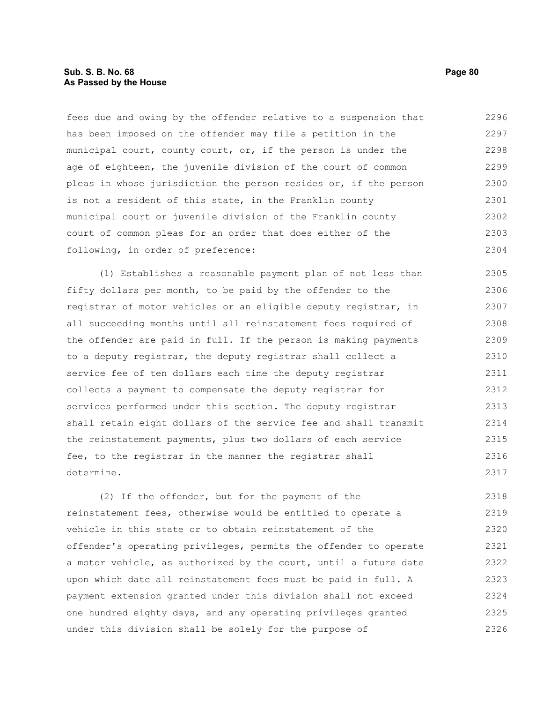# **Sub. S. B. No. 68 Page 80 As Passed by the House**

fees due and owing by the offender relative to a suspension that has been imposed on the offender may file a petition in the municipal court, county court, or, if the person is under the age of eighteen, the juvenile division of the court of common pleas in whose jurisdiction the person resides or, if the person is not a resident of this state, in the Franklin county municipal court or juvenile division of the Franklin county court of common pleas for an order that does either of the following, in order of preference: 2296 2297 2298 2299 2300 2301 2302 2303 2304

(1) Establishes a reasonable payment plan of not less than fifty dollars per month, to be paid by the offender to the registrar of motor vehicles or an eligible deputy registrar, in all succeeding months until all reinstatement fees required of the offender are paid in full. If the person is making payments to a deputy registrar, the deputy registrar shall collect a service fee of ten dollars each time the deputy registrar collects a payment to compensate the deputy registrar for services performed under this section. The deputy registrar shall retain eight dollars of the service fee and shall transmit the reinstatement payments, plus two dollars of each service fee, to the registrar in the manner the registrar shall determine. 2305 2306 2307 2308 2309 2310 2311 2312 2313 2314 2315 2316 2317

(2) If the offender, but for the payment of the reinstatement fees, otherwise would be entitled to operate a vehicle in this state or to obtain reinstatement of the offender's operating privileges, permits the offender to operate a motor vehicle, as authorized by the court, until a future date upon which date all reinstatement fees must be paid in full. A payment extension granted under this division shall not exceed one hundred eighty days, and any operating privileges granted under this division shall be solely for the purpose of 2318 2319 2320 2321 2322 2323 2324 2325 2326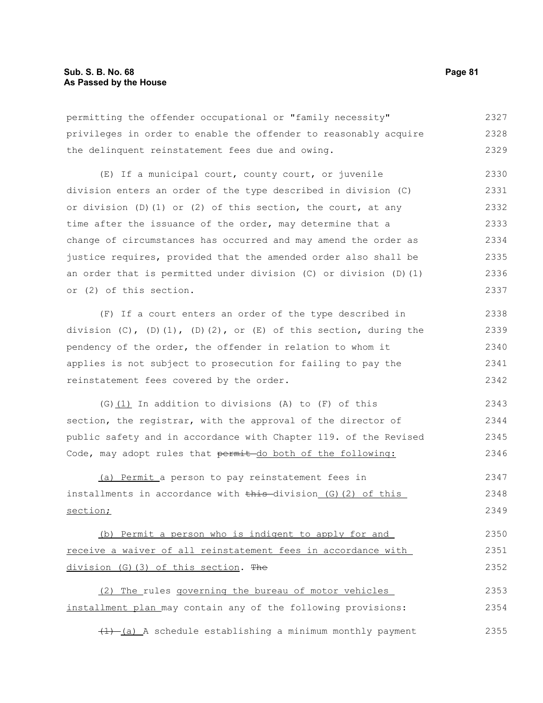permitting the offender occupational or "family necessity" privileges in order to enable the offender to reasonably acquire the delinquent reinstatement fees due and owing. 2327 2328 2329

(E) If a municipal court, county court, or juvenile division enters an order of the type described in division (C) or division  $(D)$  (1) or (2) of this section, the court, at any time after the issuance of the order, may determine that a change of circumstances has occurred and may amend the order as justice requires, provided that the amended order also shall be an order that is permitted under division (C) or division (D)(1) or (2) of this section. 2330 2331 2332 2333 2334 2335 2336 2337

(F) If a court enters an order of the type described in division  $(C)$ ,  $(D)$  $(1)$ ,  $(D)$  $(2)$ , or  $(E)$  of this section, during the pendency of the order, the offender in relation to whom it applies is not subject to prosecution for failing to pay the reinstatement fees covered by the order. 2338 2339 2340 2341 2342

(G)(1) In addition to divisions (A) to (F) of this section, the registrar, with the approval of the director of public safety and in accordance with Chapter 119. of the Revised Code, may adopt rules that permit do both of the following: 2343 2344 2345 2346

(a) Permit a person to pay reinstatement fees in installments in accordance with  $\frac{1}{2}$  division (G)(2) of this section; 2347 2348 2349

(b) Permit a person who is indigent to apply for and receive a waiver of all reinstatement fees in accordance with division (G)(3) of this section. The 2350 2351 2352

(2) The rules governing the bureau of motor vehicles installment plan may contain any of the following provisions: 2353 2354

 $(1)$  (a) A schedule establishing a minimum monthly payment 2355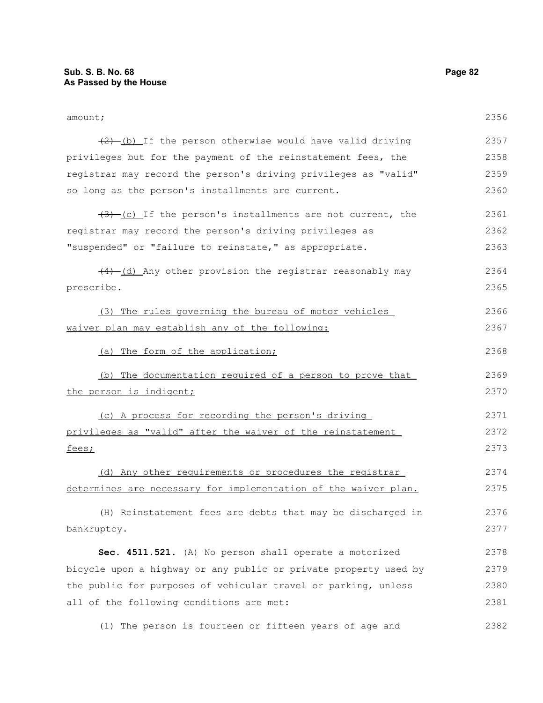| amount;                                                          | 2356 |  |  |  |
|------------------------------------------------------------------|------|--|--|--|
| $(2)$ (b) If the person otherwise would have valid driving       | 2357 |  |  |  |
| privileges but for the payment of the reinstatement fees, the    |      |  |  |  |
| registrar may record the person's driving privileges as "valid"  |      |  |  |  |
| so long as the person's installments are current.                | 2360 |  |  |  |
| $(3)$ (c) If the person's installments are not current, the      | 2361 |  |  |  |
| registrar may record the person's driving privileges as          | 2362 |  |  |  |
| "suspended" or "failure to reinstate," as appropriate.           | 2363 |  |  |  |
| $(4)$ (d) Any other provision the registrar reasonably may       | 2364 |  |  |  |
| prescribe.                                                       | 2365 |  |  |  |
| (3) The rules governing the bureau of motor vehicles             | 2366 |  |  |  |
| waiver plan may establish any of the following:                  | 2367 |  |  |  |
| (a) The form of the application;                                 | 2368 |  |  |  |
| (b) The documentation required of a person to prove that         | 2369 |  |  |  |
| the person is indigent;                                          | 2370 |  |  |  |
| (c) A process for recording the person's driving                 | 2371 |  |  |  |
| privileges as "valid" after the waiver of the reinstatement      | 2372 |  |  |  |
| fees;                                                            | 2373 |  |  |  |
| (d) Any other requirements or procedures the registrar           | 2374 |  |  |  |
| determines are necessary for implementation of the waiver plan.  | 2375 |  |  |  |
| (H) Reinstatement fees are debts that may be discharged in       | 2376 |  |  |  |
| bankruptcy.                                                      | 2377 |  |  |  |
| Sec. 4511.521. (A) No person shall operate a motorized           | 2378 |  |  |  |
| bicycle upon a highway or any public or private property used by | 2379 |  |  |  |
| the public for purposes of vehicular travel or parking, unless   | 2380 |  |  |  |
| all of the following conditions are met:                         | 2381 |  |  |  |
| (1) The person is fourteen or fifteen years of age and           | 2382 |  |  |  |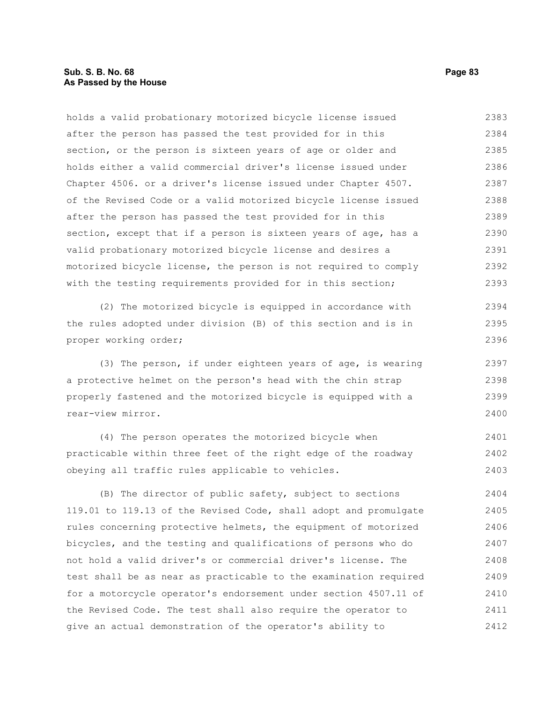# **Sub. S. B. No. 68 Page 83 As Passed by the House**

holds a valid probationary motorized bicycle license issued after the person has passed the test provided for in this section, or the person is sixteen years of age or older and holds either a valid commercial driver's license issued under Chapter 4506. or a driver's license issued under Chapter 4507. of the Revised Code or a valid motorized bicycle license issued after the person has passed the test provided for in this section, except that if a person is sixteen years of age, has a valid probationary motorized bicycle license and desires a motorized bicycle license, the person is not required to comply with the testing requirements provided for in this section; 2383 2384 2385 2386 2387 2388 2389 2390 2391 2392 2393

(2) The motorized bicycle is equipped in accordance with the rules adopted under division (B) of this section and is in proper working order;

(3) The person, if under eighteen years of age, is wearing a protective helmet on the person's head with the chin strap properly fastened and the motorized bicycle is equipped with a rear-view mirror.

(4) The person operates the motorized bicycle when practicable within three feet of the right edge of the roadway obeying all traffic rules applicable to vehicles. 2401 2402 2403

(B) The director of public safety, subject to sections 119.01 to 119.13 of the Revised Code, shall adopt and promulgate rules concerning protective helmets, the equipment of motorized bicycles, and the testing and qualifications of persons who do not hold a valid driver's or commercial driver's license. The test shall be as near as practicable to the examination required for a motorcycle operator's endorsement under section 4507.11 of the Revised Code. The test shall also require the operator to give an actual demonstration of the operator's ability to 2404 2405 2406 2407 2408 2409 2410 2411 2412

2394 2395 2396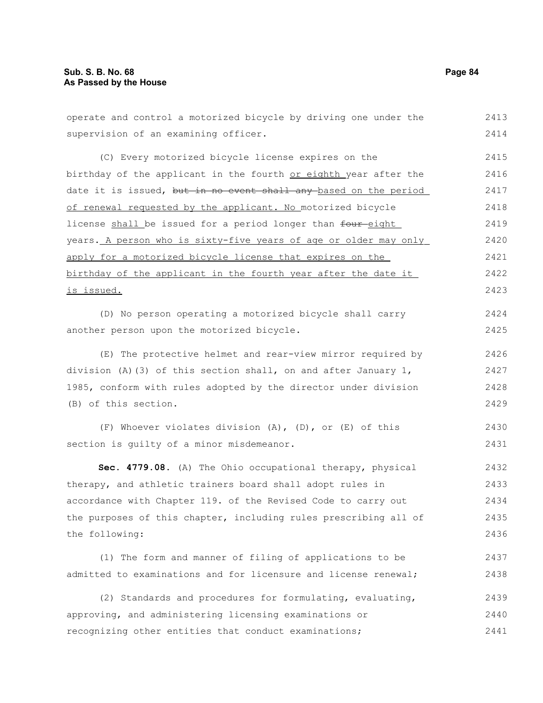# **Sub. S. B. No. 68 Page 84 As Passed by the House**

operate and control a motorized bicycle by driving one under the supervision of an examining officer. (C) Every motorized bicycle license expires on the birthday of the applicant in the fourth or eighth year after the date it is issued, but in no event shall any based on the period of renewal requested by the applicant. No motorized bicycle license shall be issued for a period longer than four-eight years. A person who is sixty-five years of age or older may only apply for a motorized bicycle license that expires on the birthday of the applicant in the fourth year after the date it is issued. (D) No person operating a motorized bicycle shall carry another person upon the motorized bicycle. (E) The protective helmet and rear-view mirror required by division (A)(3) of this section shall, on and after January 1, 1985, conform with rules adopted by the director under division (B) of this section. (F) Whoever violates division (A), (D), or (E) of this section is guilty of a minor misdemeanor. **Sec. 4779.08.** (A) The Ohio occupational therapy, physical therapy, and athletic trainers board shall adopt rules in accordance with Chapter 119. of the Revised Code to carry out the purposes of this chapter, including rules prescribing all of the following: (1) The form and manner of filing of applications to be admitted to examinations and for licensure and license renewal; (2) Standards and procedures for formulating, evaluating, approving, and administering licensing examinations or recognizing other entities that conduct examinations; 2413 2414 2415 2416 2417 2418 2419 2420 2421 2422 2423 2424 2425 2426 2427 2428 2429 2430 2431 2432 2433 2434 2435 2436 2437 2438 2439 2440 2441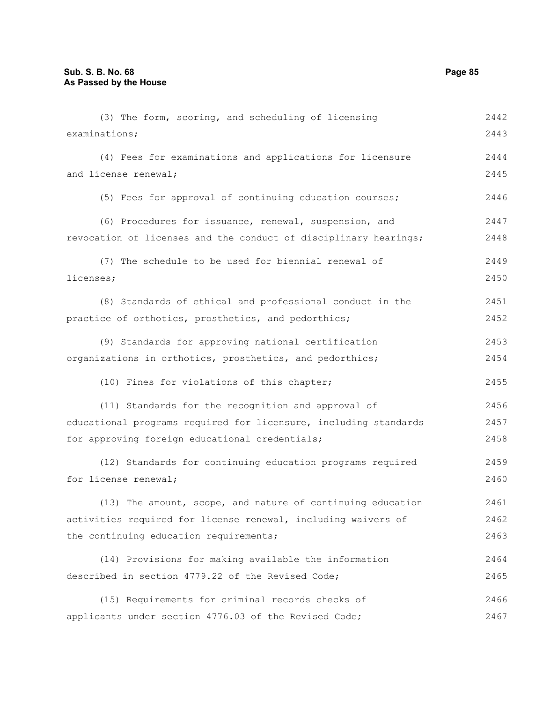| (3) The form, scoring, and scheduling of licensing               | 2442 |  |  |  |  |
|------------------------------------------------------------------|------|--|--|--|--|
| examinations;                                                    | 2443 |  |  |  |  |
| (4) Fees for examinations and applications for licensure         | 2444 |  |  |  |  |
| and license renewal;                                             | 2445 |  |  |  |  |
| (5) Fees for approval of continuing education courses;           | 2446 |  |  |  |  |
| (6) Procedures for issuance, renewal, suspension, and            | 2447 |  |  |  |  |
| revocation of licenses and the conduct of disciplinary hearings; | 2448 |  |  |  |  |
| (7) The schedule to be used for biennial renewal of              | 2449 |  |  |  |  |
| licenses;                                                        | 2450 |  |  |  |  |
| (8) Standards of ethical and professional conduct in the         | 2451 |  |  |  |  |
| practice of orthotics, prosthetics, and pedorthics;              | 2452 |  |  |  |  |
| (9) Standards for approving national certification               | 2453 |  |  |  |  |
| organizations in orthotics, prosthetics, and pedorthics;         |      |  |  |  |  |
| (10) Fines for violations of this chapter;                       | 2455 |  |  |  |  |
| (11) Standards for the recognition and approval of               | 2456 |  |  |  |  |
| educational programs required for licensure, including standards |      |  |  |  |  |
| for approving foreign educational credentials;                   | 2458 |  |  |  |  |
| (12) Standards for continuing education programs required        | 2459 |  |  |  |  |
| for license renewal;                                             | 2460 |  |  |  |  |
| (13) The amount, scope, and nature of continuing education       | 2461 |  |  |  |  |
| activities required for license renewal, including waivers of    | 2462 |  |  |  |  |
| the continuing education requirements;                           | 2463 |  |  |  |  |
| (14) Provisions for making available the information             | 2464 |  |  |  |  |
| described in section 4779.22 of the Revised Code;                | 2465 |  |  |  |  |
| (15) Requirements for criminal records checks of                 | 2466 |  |  |  |  |
| applicants under section 4776.03 of the Revised Code;            | 2467 |  |  |  |  |
|                                                                  |      |  |  |  |  |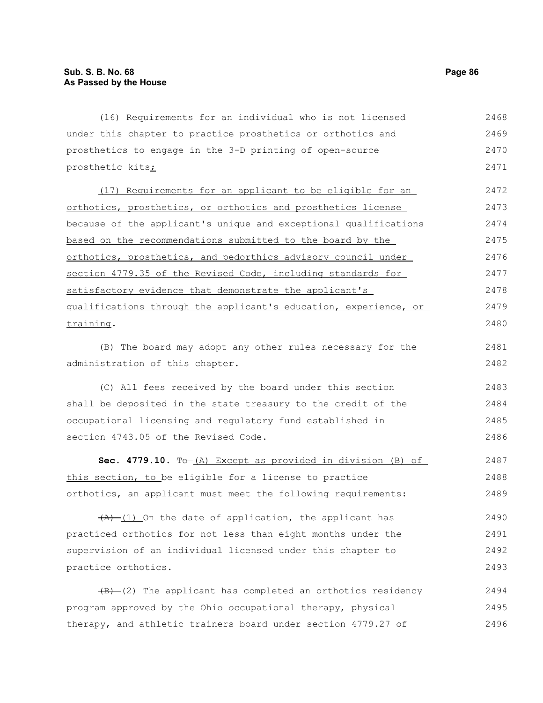(16) Requirements for an individual who is not licensed under this chapter to practice prosthetics or orthotics and prosthetics to engage in the 3-D printing of open-source prosthetic kits; (17) Requirements for an applicant to be eligible for an orthotics, prosthetics, or orthotics and prosthetics license because of the applicant's unique and exceptional qualifications based on the recommendations submitted to the board by the orthotics, prosthetics, and pedorthics advisory council under section 4779.35 of the Revised Code, including standards for satisfactory evidence that demonstrate the applicant's qualifications through the applicant's education, experience, or training. (B) The board may adopt any other rules necessary for the administration of this chapter. (C) All fees received by the board under this section shall be deposited in the state treasury to the credit of the occupational licensing and regulatory fund established in section 4743.05 of the Revised Code. **Sec. 4779.10.**  $F\rightarrow$  (A) Except as provided in division (B) of this section, to be eligible for a license to practice orthotics, an applicant must meet the following requirements:  $(A)$  (1) On the date of application, the applicant has practiced orthotics for not less than eight months under the supervision of an individual licensed under this chapter to practice orthotics.  $\overline{(B) - (2)}$  The applicant has completed an orthotics residency 2468 2469 2470 2471 2472 2473 2474 2475 2476 2477 2478 2479 2480 2481 2482 2483 2484 2485 2486 2487 2488 2489 2490 2491 2492 2493 2494

program approved by the Ohio occupational therapy, physical therapy, and athletic trainers board under section 4779.27 of 2495 2496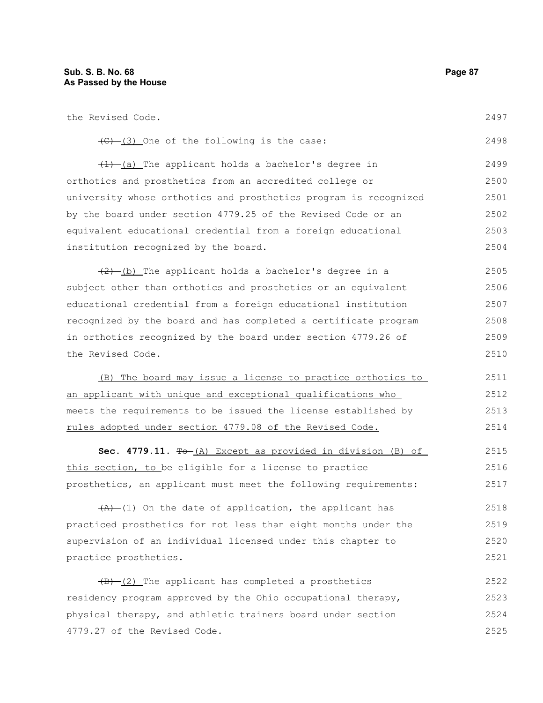the Revised Code. (C) (3) One of the following is the case:  $(1)$  (a) The applicant holds a bachelor's degree in orthotics and prosthetics from an accredited college or university whose orthotics and prosthetics program is recognized by the board under section 4779.25 of the Revised Code or an equivalent educational credential from a foreign educational institution recognized by the board.  $(2)$  (b) The applicant holds a bachelor's degree in a subject other than orthotics and prosthetics or an equivalent educational credential from a foreign educational institution recognized by the board and has completed a certificate program in orthotics recognized by the board under section 4779.26 of the Revised Code. (B) The board may issue a license to practice orthotics to an applicant with unique and exceptional qualifications who meets the requirements to be issued the license established by rules adopted under section 4779.08 of the Revised Code. **Sec. 4779.11.**  $F\rightarrow$  (A) Except as provided in division (B) of this section, to be eligible for a license to practice prosthetics, an applicant must meet the following requirements:  $(A)$  (1) On the date of application, the applicant has practiced prosthetics for not less than eight months under the supervision of an individual licensed under this chapter to practice prosthetics.  $(B)$  (2) The applicant has completed a prosthetics residency program approved by the Ohio occupational therapy, 2497 2498 2499 2500 2501 2502 2503 2504 2505 2506 2507 2508 2509 2510 2511 2512 2513 2514 2515 2516 2517 2518 2519 2520 2521 2522 2523

physical therapy, and athletic trainers board under section 4779.27 of the Revised Code. 2524 2525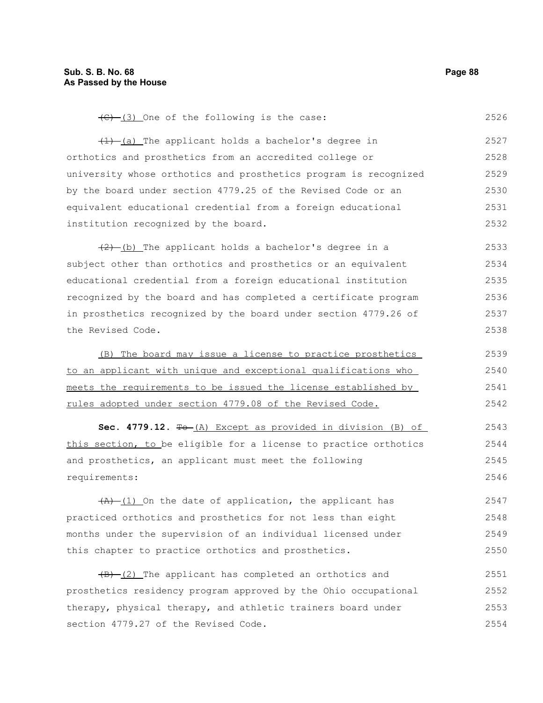$\left(\frac{C}{C}\right)$  (3) One of the following is the case: (1) (a) The applicant holds a bachelor's degree in orthotics and prosthetics from an accredited college or university whose orthotics and prosthetics program is recognized by the board under section 4779.25 of the Revised Code or an equivalent educational credential from a foreign educational institution recognized by the board.  $(2)$  (b) The applicant holds a bachelor's degree in a subject other than orthotics and prosthetics or an equivalent educational credential from a foreign educational institution recognized by the board and has completed a certificate program in prosthetics recognized by the board under section 4779.26 of the Revised Code. (B) The board may issue a license to practice prosthetics to an applicant with unique and exceptional qualifications who meets the requirements to be issued the license established by rules adopted under section 4779.08 of the Revised Code. **Sec. 4779.12.**  $\overline{P}\rightarrow (A)$  Except as provided in division (B) of this section, to be eligible for a license to practice orthotics and prosthetics, an applicant must meet the following requirements:  $(A)$  (1) On the date of application, the applicant has practiced orthotics and prosthetics for not less than eight months under the supervision of an individual licensed under this chapter to practice orthotics and prosthetics.  $(B)$   $(2)$  The applicant has completed an orthotics and 2526 2527 2528 2529 2530 2531 2532 2533 2534 2535 2536 2537 2538 2539 2540 2541 2542 2543 2544 2545 2546 2547 2548 2549 2550 2551

prosthetics residency program approved by the Ohio occupational therapy, physical therapy, and athletic trainers board under section 4779.27 of the Revised Code. 2552 2553 2554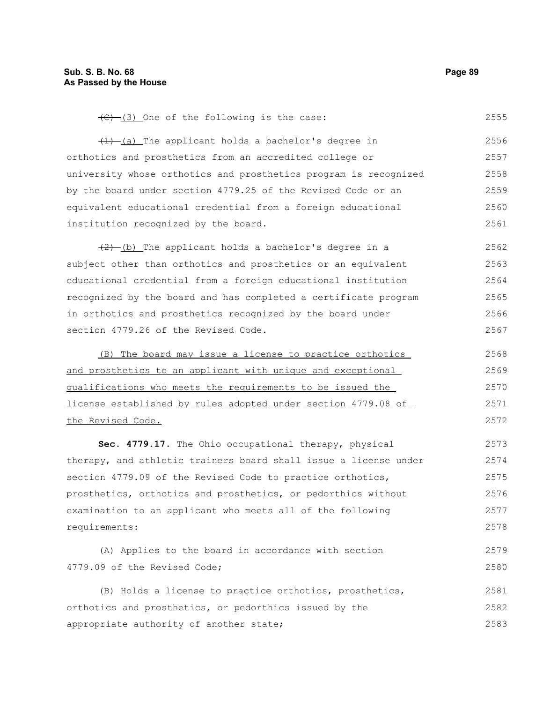$\left(\frac{C}{C}\right)$  (3) One of the following is the case: (1) (a) The applicant holds a bachelor's degree in orthotics and prosthetics from an accredited college or university whose orthotics and prosthetics program is recognized by the board under section 4779.25 of the Revised Code or an equivalent educational credential from a foreign educational institution recognized by the board.  $(2)$  (b) The applicant holds a bachelor's degree in a subject other than orthotics and prosthetics or an equivalent educational credential from a foreign educational institution recognized by the board and has completed a certificate program in orthotics and prosthetics recognized by the board under section 4779.26 of the Revised Code. (B) The board may issue a license to practice orthotics and prosthetics to an applicant with unique and exceptional qualifications who meets the requirements to be issued the license established by rules adopted under section 4779.08 of the Revised Code. **Sec. 4779.17.** The Ohio occupational therapy, physical therapy, and athletic trainers board shall issue a license under section 4779.09 of the Revised Code to practice orthotics, prosthetics, orthotics and prosthetics, or pedorthics without examination to an applicant who meets all of the following requirements: (A) Applies to the board in accordance with section 4779.09 of the Revised Code; (B) Holds a license to practice orthotics, prosthetics, 2555 2556 2557 2558 2559 2560 2561 2562 2563 2564 2565 2566 2567 2568 2569 2570 2571 2572 2573 2574 2575 2576 2577 2578 2579 2580 2581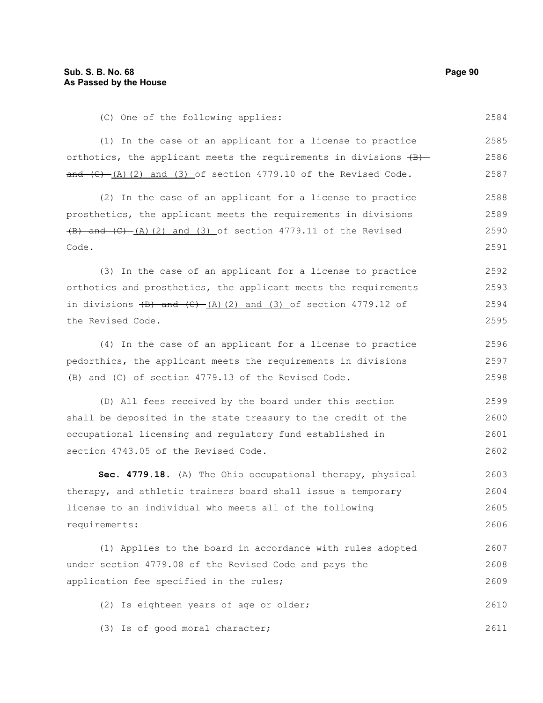(C) One of the following applies: 2584

(1) In the case of an applicant for a license to practice orthotics, the applicant meets the requirements in divisions  $\overline{B}$ ) and  $(C)$  (A)(2) and (3) of section 4779.10 of the Revised Code. 2585 2586 2587

(2) In the case of an applicant for a license to practice prosthetics, the applicant meets the requirements in divisions  $(B)$  and  $(C)$  (A)(2) and (3) of section 4779.11 of the Revised Code. 2588 2589 2590 2591

(3) In the case of an applicant for a license to practice orthotics and prosthetics, the applicant meets the requirements in divisions  $\overline{(B)}$  and  $\overline{(C)}$  (A)(2) and (3) of section 4779.12 of the Revised Code. 2592 2593 2594 2595

(4) In the case of an applicant for a license to practice pedorthics, the applicant meets the requirements in divisions (B) and (C) of section 4779.13 of the Revised Code. 2596 2597 2598

(D) All fees received by the board under this section shall be deposited in the state treasury to the credit of the occupational licensing and regulatory fund established in section 4743.05 of the Revised Code. 2599 2600 2601 2602

**Sec. 4779.18.** (A) The Ohio occupational therapy, physical therapy, and athletic trainers board shall issue a temporary license to an individual who meets all of the following requirements: 2603 2604 2605 2606

(1) Applies to the board in accordance with rules adopted under section 4779.08 of the Revised Code and pays the application fee specified in the rules; 2607 2608 2609

(2) Is eighteen years of age or older; 2610

(3) Is of good moral character; 2611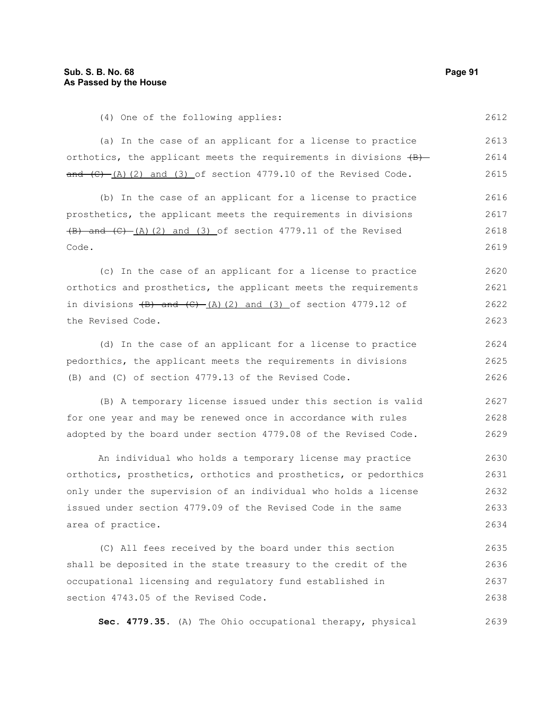(4) One of the following applies:

(a) In the case of an applicant for a license to practice orthotics, the applicant meets the requirements in divisions  $\overline{B}$ ) and  $(C)$  (A)(2) and (3) of section 4779.10 of the Revised Code. 2613 2614 2615

(b) In the case of an applicant for a license to practice prosthetics, the applicant meets the requirements in divisions  $(B)$  and  $(C)$  (A)(2) and (3) of section 4779.11 of the Revised Code. 2616 2617 2618 2619

(c) In the case of an applicant for a license to practice orthotics and prosthetics, the applicant meets the requirements in divisions  $\overline{(B)}$  and  $\overline{(C)}$  (A)(2) and (3) of section 4779.12 of the Revised Code. 2620 2621 2622 2623

(d) In the case of an applicant for a license to practice pedorthics, the applicant meets the requirements in divisions (B) and (C) of section 4779.13 of the Revised Code. 2624 2625 2626

(B) A temporary license issued under this section is valid for one year and may be renewed once in accordance with rules adopted by the board under section 4779.08 of the Revised Code. 2627 2628 2629

An individual who holds a temporary license may practice orthotics, prosthetics, orthotics and prosthetics, or pedorthics only under the supervision of an individual who holds a license issued under section 4779.09 of the Revised Code in the same area of practice. 2630 2631 2632 2633 2634

(C) All fees received by the board under this section shall be deposited in the state treasury to the credit of the occupational licensing and regulatory fund established in section 4743.05 of the Revised Code. 2635 2636 2637 2638

**Sec. 4779.35.** (A) The Ohio occupational therapy, physical 2639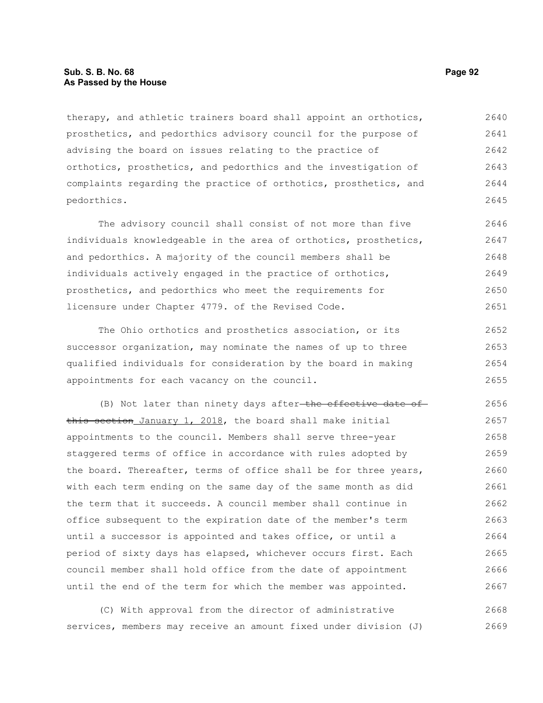# **Sub. S. B. No. 68 Page 92 As Passed by the House**

therapy, and athletic trainers board shall appoint an orthotics, prosthetics, and pedorthics advisory council for the purpose of advising the board on issues relating to the practice of orthotics, prosthetics, and pedorthics and the investigation of complaints regarding the practice of orthotics, prosthetics, and pedorthics. 2640 2641 2642 2643 2644 2645

The advisory council shall consist of not more than five individuals knowledgeable in the area of orthotics, prosthetics, and pedorthics. A majority of the council members shall be individuals actively engaged in the practice of orthotics, prosthetics, and pedorthics who meet the requirements for licensure under Chapter 4779. of the Revised Code. 2646 2647 2648 2649 2650 2651

The Ohio orthotics and prosthetics association, or its successor organization, may nominate the names of up to three qualified individuals for consideration by the board in making appointments for each vacancy on the council. 2652 2653 2654 2655

(B) Not later than ninety days after-the effective date ofthis section January 1, 2018, the board shall make initial appointments to the council. Members shall serve three-year staggered terms of office in accordance with rules adopted by the board. Thereafter, terms of office shall be for three years, with each term ending on the same day of the same month as did the term that it succeeds. A council member shall continue in office subsequent to the expiration date of the member's term until a successor is appointed and takes office, or until a period of sixty days has elapsed, whichever occurs first. Each council member shall hold office from the date of appointment until the end of the term for which the member was appointed. 2656 2657 2658 2659 2660 2661 2662 2663 2664 2665 2666 2667

(C) With approval from the director of administrative services, members may receive an amount fixed under division (J) 2668 2669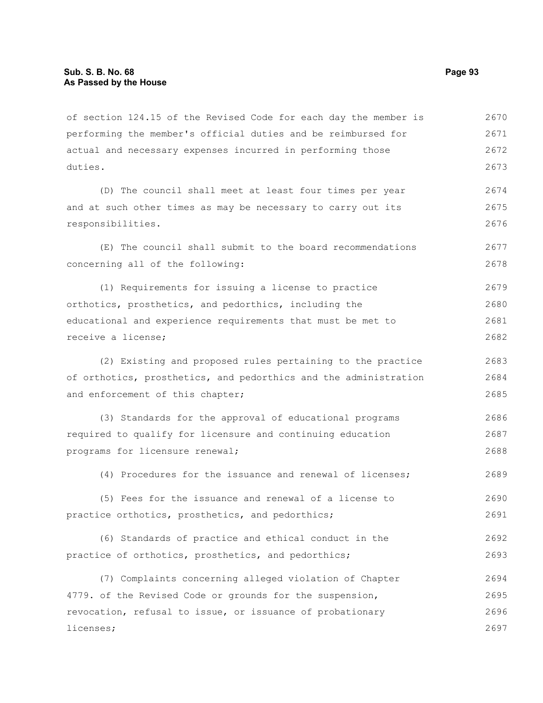licenses;

of section 124.15 of the Revised Code for each day the member is performing the member's official duties and be reimbursed for actual and necessary expenses incurred in performing those duties. (D) The council shall meet at least four times per year and at such other times as may be necessary to carry out its responsibilities. (E) The council shall submit to the board recommendations concerning all of the following: (1) Requirements for issuing a license to practice orthotics, prosthetics, and pedorthics, including the educational and experience requirements that must be met to receive a license; (2) Existing and proposed rules pertaining to the practice of orthotics, prosthetics, and pedorthics and the administration and enforcement of this chapter; (3) Standards for the approval of educational programs required to qualify for licensure and continuing education programs for licensure renewal; (4) Procedures for the issuance and renewal of licenses; (5) Fees for the issuance and renewal of a license to practice orthotics, prosthetics, and pedorthics; (6) Standards of practice and ethical conduct in the practice of orthotics, prosthetics, and pedorthics; (7) Complaints concerning alleged violation of Chapter 4779. of the Revised Code or grounds for the suspension, 2670 2671 2672 2673 2674 2675 2676 2677 2678 2679 2680 2681 2682 2683 2684 2685 2686 2687 2688 2689 2690 2691 2692 2693 2694 2695

revocation, refusal to issue, or issuance of probationary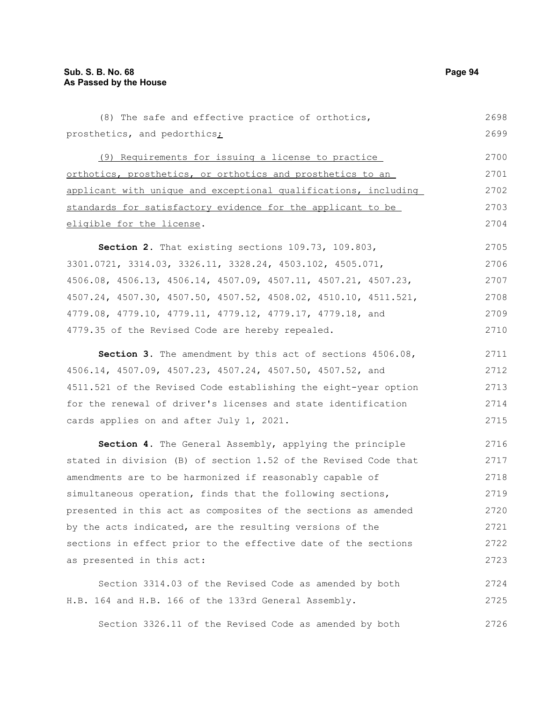| (8) The safe and effective practice of orthotics,               | 2698 |  |  |  |
|-----------------------------------------------------------------|------|--|--|--|
| prosthetics, and pedorthics;                                    | 2699 |  |  |  |
| (9) Requirements for issuing a license to practice              | 2700 |  |  |  |
| orthotics, prosthetics, or orthotics and prosthetics to an      |      |  |  |  |
| applicant with unique and exceptional qualifications, including | 2702 |  |  |  |
| standards for satisfactory evidence for the applicant to be     | 2703 |  |  |  |
| eligible for the license.                                       | 2704 |  |  |  |
| Section 2. That existing sections 109.73, 109.803,              | 2705 |  |  |  |
| 3301.0721, 3314.03, 3326.11, 3328.24, 4503.102, 4505.071,       | 2706 |  |  |  |
| 4506.08, 4506.13, 4506.14, 4507.09, 4507.11, 4507.21, 4507.23,  | 2707 |  |  |  |
| 4507.24, 4507.30, 4507.50, 4507.52, 4508.02, 4510.10, 4511.521, | 2708 |  |  |  |
| 4779.08, 4779.10, 4779.11, 4779.12, 4779.17, 4779.18, and       | 2709 |  |  |  |
| 4779.35 of the Revised Code are hereby repealed.                | 2710 |  |  |  |
| Section 3. The amendment by this act of sections 4506.08,       | 2711 |  |  |  |
| 4506.14, 4507.09, 4507.23, 4507.24, 4507.50, 4507.52, and       | 2712 |  |  |  |
| 4511.521 of the Revised Code establishing the eight-year option | 2713 |  |  |  |
| for the renewal of driver's licenses and state identification   | 2714 |  |  |  |
| cards applies on and after July 1, 2021.                        | 2715 |  |  |  |
| Section 4. The General Assembly, applying the principle         | 2716 |  |  |  |
| stated in division (B) of section 1.52 of the Revised Code that | 2717 |  |  |  |
| amendments are to be harmonized if reasonably capable of        | 2718 |  |  |  |
| simultaneous operation, finds that the following sections,      | 2719 |  |  |  |
| presented in this act as composites of the sections as amended  | 2720 |  |  |  |
| by the acts indicated, are the resulting versions of the        | 2721 |  |  |  |
| sections in effect prior to the effective date of the sections  |      |  |  |  |
| as presented in this act:                                       | 2723 |  |  |  |
| Section 3314.03 of the Revised Code as amended by both          | 2724 |  |  |  |
| H.B. 164 and H.B. 166 of the 133rd General Assembly.            | 2725 |  |  |  |
| Section 3326.11 of the Revised Code as amended by both          | 2726 |  |  |  |